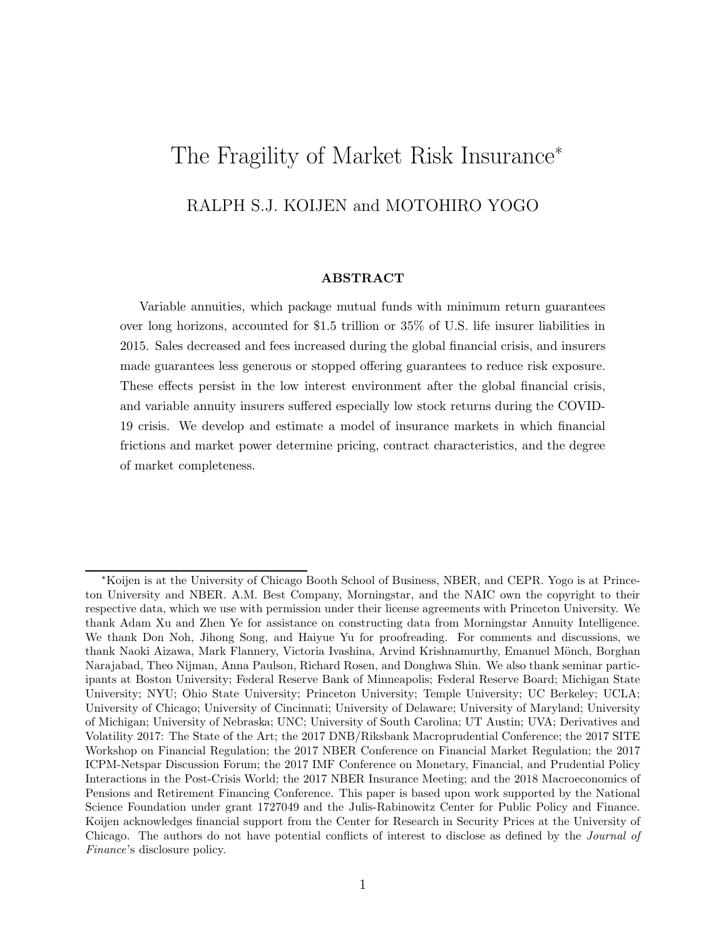# The Fragility of Market Risk Insurance<sup>∗</sup> RALPH S.J. KOIJEN and MOTOHIRO YOGO

#### **ABSTRACT**

Variable annuities, which package mutual funds with minimum return guarantees over long horizons, accounted for \$1.5 trillion or 35% of U.S. life insurer liabilities in 2015. Sales decreased and fees increased during the global financial crisis, and insurers made guarantees less generous or stopped offering guarantees to reduce risk exposure. These effects persist in the low interest environment after the global financial crisis, and variable annuity insurers suffered especially low stock returns during the COVID-19 crisis. We develop and estimate a model of insurance markets in which financial frictions and market power determine pricing, contract characteristics, and the degree of market completeness.

<sup>∗</sup>Koijen is at the University of Chicago Booth School of Business, NBER, and CEPR. Yogo is at Princeton University and NBER. A.M. Best Company, Morningstar, and the NAIC own the copyright to their respective data, which we use with permission under their license agreements with Princeton University. We thank Adam Xu and Zhen Ye for assistance on constructing data from Morningstar Annuity Intelligence. We thank Don Noh, Jihong Song, and Haiyue Yu for proofreading. For comments and discussions, we thank Naoki Aizawa, Mark Flannery, Victoria Ivashina, Arvind Krishnamurthy, Emanuel Mönch, Borghan Narajabad, Theo Nijman, Anna Paulson, Richard Rosen, and Donghwa Shin. We also thank seminar participants at Boston University; Federal Reserve Bank of Minneapolis; Federal Reserve Board; Michigan State University; NYU; Ohio State University; Princeton University; Temple University; UC Berkeley; UCLA; University of Chicago; University of Cincinnati; University of Delaware; University of Maryland; University of Michigan; University of Nebraska; UNC; University of South Carolina; UT Austin; UVA; Derivatives and Volatility 2017: The State of the Art; the 2017 DNB/Riksbank Macroprudential Conference; the 2017 SITE Workshop on Financial Regulation; the 2017 NBER Conference on Financial Market Regulation; the 2017 ICPM-Netspar Discussion Forum; the 2017 IMF Conference on Monetary, Financial, and Prudential Policy Interactions in the Post-Crisis World; the 2017 NBER Insurance Meeting; and the 2018 Macroeconomics of Pensions and Retirement Financing Conference. This paper is based upon work supported by the National Science Foundation under grant 1727049 and the Julis-Rabinowitz Center for Public Policy and Finance. Koijen acknowledges financial support from the Center for Research in Security Prices at the University of Chicago. The authors do not have potential conflicts of interest to disclose as defined by the *Journal of Finance*'s disclosure policy.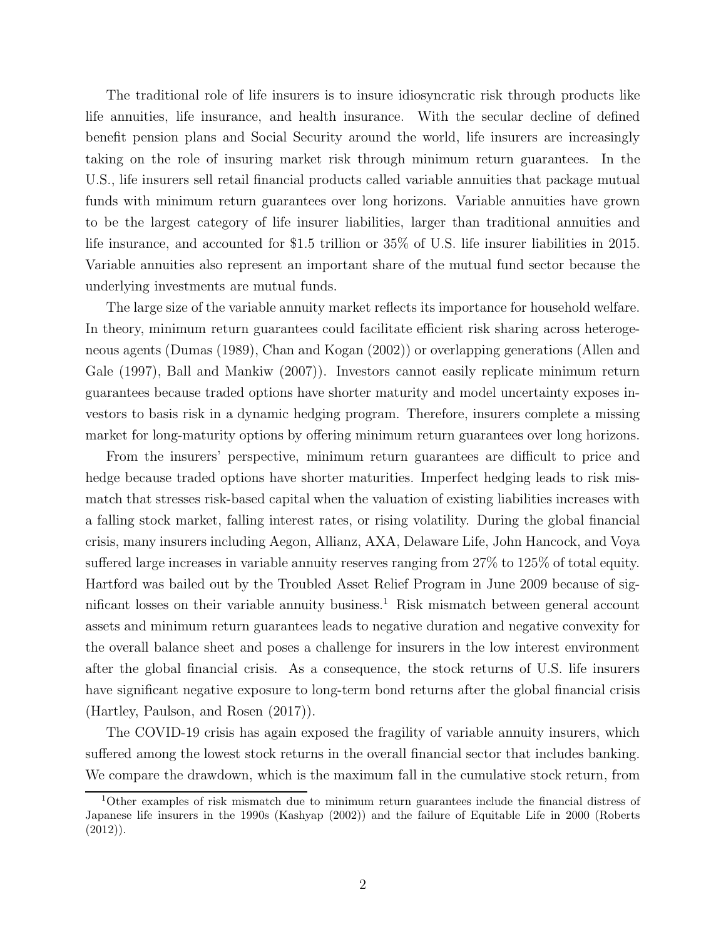The traditional role of life insurers is to insure idiosyncratic risk through products like life annuities, life insurance, and health insurance. With the secular decline of defined benefit pension plans and Social Security around the world, life insurers are increasingly taking on the role of insuring market risk through minimum return guarantees. In the U.S., life insurers sell retail financial products called variable annuities that package mutual funds with minimum return guarantees over long horizons. Variable annuities have grown to be the largest category of life insurer liabilities, larger than traditional annuities and life insurance, and accounted for \$1.5 trillion or 35% of U.S. life insurer liabilities in 2015. Variable annuities also represent an important share of the mutual fund sector because the underlying investments are mutual funds.

The large size of the variable annuity market reflects its importance for household welfare. In theory, minimum return guarantees could facilitate efficient risk sharing across heterogeneous agents (Dumas (1989), Chan and Kogan (2002)) or overlapping generations (Allen and Gale (1997), Ball and Mankiw (2007)). Investors cannot easily replicate minimum return guarantees because traded options have shorter maturity and model uncertainty exposes investors to basis risk in a dynamic hedging program. Therefore, insurers complete a missing market for long-maturity options by offering minimum return guarantees over long horizons.

From the insurers' perspective, minimum return guarantees are difficult to price and hedge because traded options have shorter maturities. Imperfect hedging leads to risk mismatch that stresses risk-based capital when the valuation of existing liabilities increases with a falling stock market, falling interest rates, or rising volatility. During the global financial crisis, many insurers including Aegon, Allianz, AXA, Delaware Life, John Hancock, and Voya suffered large increases in variable annuity reserves ranging from 27% to 125% of total equity. Hartford was bailed out by the Troubled Asset Relief Program in June 2009 because of significant losses on their variable annuity business.<sup>1</sup> Risk mismatch between general account assets and minimum return guarantees leads to negative duration and negative convexity for the overall balance sheet and poses a challenge for insurers in the low interest environment after the global financial crisis. As a consequence, the stock returns of U.S. life insurers have significant negative exposure to long-term bond returns after the global financial crisis (Hartley, Paulson, and Rosen (2017)).

The COVID-19 crisis has again exposed the fragility of variable annuity insurers, which suffered among the lowest stock returns in the overall financial sector that includes banking. We compare the drawdown, which is the maximum fall in the cumulative stock return, from

<sup>1</sup>Other examples of risk mismatch due to minimum return guarantees include the financial distress of Japanese life insurers in the 1990s (Kashyap (2002)) and the failure of Equitable Life in 2000 (Roberts  $(2012)$ ).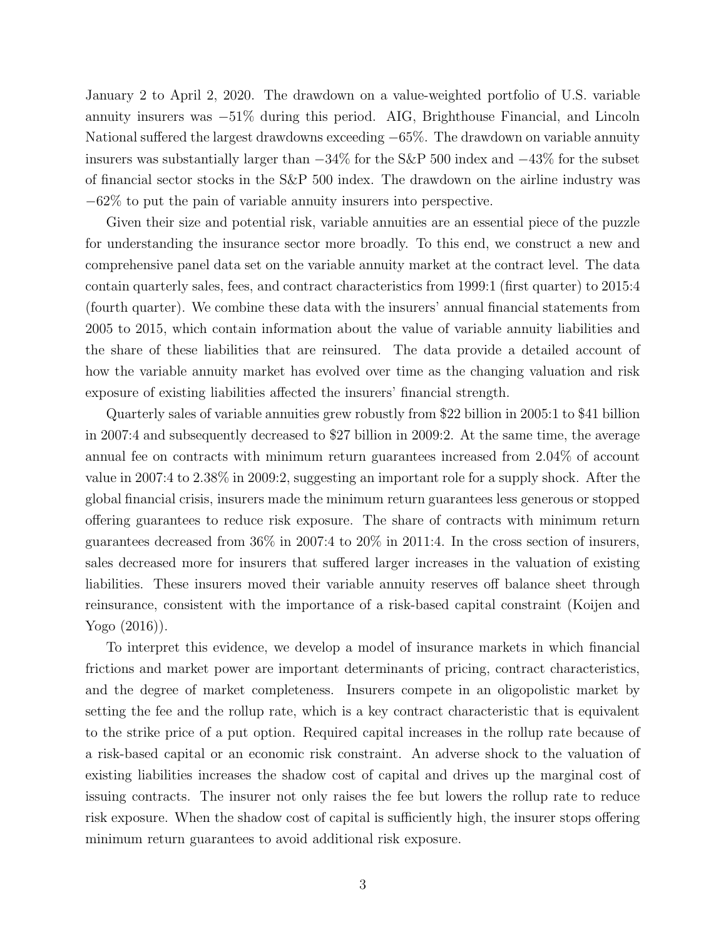January 2 to April 2, 2020. The drawdown on a value-weighted portfolio of U.S. variable annuity insurers was −51% during this period. AIG, Brighthouse Financial, and Lincoln National suffered the largest drawdowns exceeding −65%. The drawdown on variable annuity insurers was substantially larger than −34% for the S&P 500 index and −43% for the subset of financial sector stocks in the S&P 500 index. The drawdown on the airline industry was −62% to put the pain of variable annuity insurers into perspective.

Given their size and potential risk, variable annuities are an essential piece of the puzzle for understanding the insurance sector more broadly. To this end, we construct a new and comprehensive panel data set on the variable annuity market at the contract level. The data contain quarterly sales, fees, and contract characteristics from 1999:1 (first quarter) to 2015:4 (fourth quarter). We combine these data with the insurers' annual financial statements from 2005 to 2015, which contain information about the value of variable annuity liabilities and the share of these liabilities that are reinsured. The data provide a detailed account of how the variable annuity market has evolved over time as the changing valuation and risk exposure of existing liabilities affected the insurers' financial strength.

Quarterly sales of variable annuities grew robustly from \$22 billion in 2005:1 to \$41 billion in 2007:4 and subsequently decreased to \$27 billion in 2009:2. At the same time, the average annual fee on contracts with minimum return guarantees increased from 2.04% of account value in 2007:4 to 2.38% in 2009:2, suggesting an important role for a supply shock. After the global financial crisis, insurers made the minimum return guarantees less generous or stopped offering guarantees to reduce risk exposure. The share of contracts with minimum return guarantees decreased from  $36\%$  in  $2007.4$  to  $20\%$  in  $2011.4$ . In the cross section of insurers, sales decreased more for insurers that suffered larger increases in the valuation of existing liabilities. These insurers moved their variable annuity reserves off balance sheet through reinsurance, consistent with the importance of a risk-based capital constraint (Koijen and Yogo (2016)).

To interpret this evidence, we develop a model of insurance markets in which financial frictions and market power are important determinants of pricing, contract characteristics, and the degree of market completeness. Insurers compete in an oligopolistic market by setting the fee and the rollup rate, which is a key contract characteristic that is equivalent to the strike price of a put option. Required capital increases in the rollup rate because of a risk-based capital or an economic risk constraint. An adverse shock to the valuation of existing liabilities increases the shadow cost of capital and drives up the marginal cost of issuing contracts. The insurer not only raises the fee but lowers the rollup rate to reduce risk exposure. When the shadow cost of capital is sufficiently high, the insurer stops offering minimum return guarantees to avoid additional risk exposure.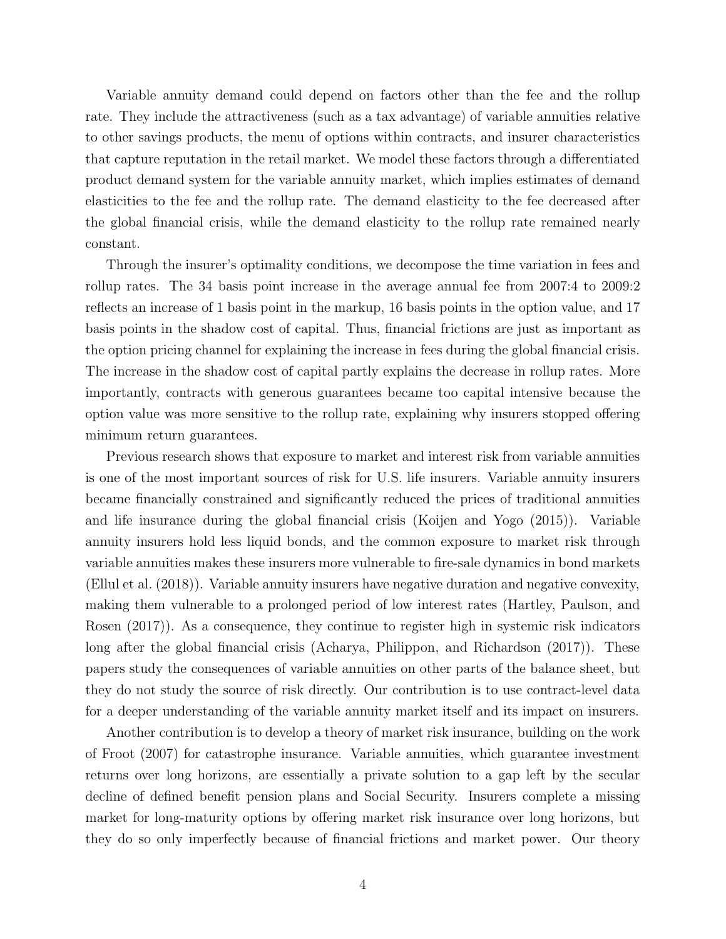Variable annuity demand could depend on factors other than the fee and the rollup rate. They include the attractiveness (such as a tax advantage) of variable annuities relative to other savings products, the menu of options within contracts, and insurer characteristics that capture reputation in the retail market. We model these factors through a differentiated product demand system for the variable annuity market, which implies estimates of demand elasticities to the fee and the rollup rate. The demand elasticity to the fee decreased after the global financial crisis, while the demand elasticity to the rollup rate remained nearly constant.

Through the insurer's optimality conditions, we decompose the time variation in fees and rollup rates. The 34 basis point increase in the average annual fee from 2007:4 to 2009:2 reflects an increase of 1 basis point in the markup, 16 basis points in the option value, and 17 basis points in the shadow cost of capital. Thus, financial frictions are just as important as the option pricing channel for explaining the increase in fees during the global financial crisis. The increase in the shadow cost of capital partly explains the decrease in rollup rates. More importantly, contracts with generous guarantees became too capital intensive because the option value was more sensitive to the rollup rate, explaining why insurers stopped offering minimum return guarantees.

Previous research shows that exposure to market and interest risk from variable annuities is one of the most important sources of risk for U.S. life insurers. Variable annuity insurers became financially constrained and significantly reduced the prices of traditional annuities and life insurance during the global financial crisis (Koijen and Yogo (2015)). Variable annuity insurers hold less liquid bonds, and the common exposure to market risk through variable annuities makes these insurers more vulnerable to fire-sale dynamics in bond markets (Ellul et al. (2018)). Variable annuity insurers have negative duration and negative convexity, making them vulnerable to a prolonged period of low interest rates (Hartley, Paulson, and Rosen (2017)). As a consequence, they continue to register high in systemic risk indicators long after the global financial crisis (Acharya, Philippon, and Richardson (2017)). These papers study the consequences of variable annuities on other parts of the balance sheet, but they do not study the source of risk directly. Our contribution is to use contract-level data for a deeper understanding of the variable annuity market itself and its impact on insurers.

Another contribution is to develop a theory of market risk insurance, building on the work of Froot (2007) for catastrophe insurance. Variable annuities, which guarantee investment returns over long horizons, are essentially a private solution to a gap left by the secular decline of defined benefit pension plans and Social Security. Insurers complete a missing market for long-maturity options by offering market risk insurance over long horizons, but they do so only imperfectly because of financial frictions and market power. Our theory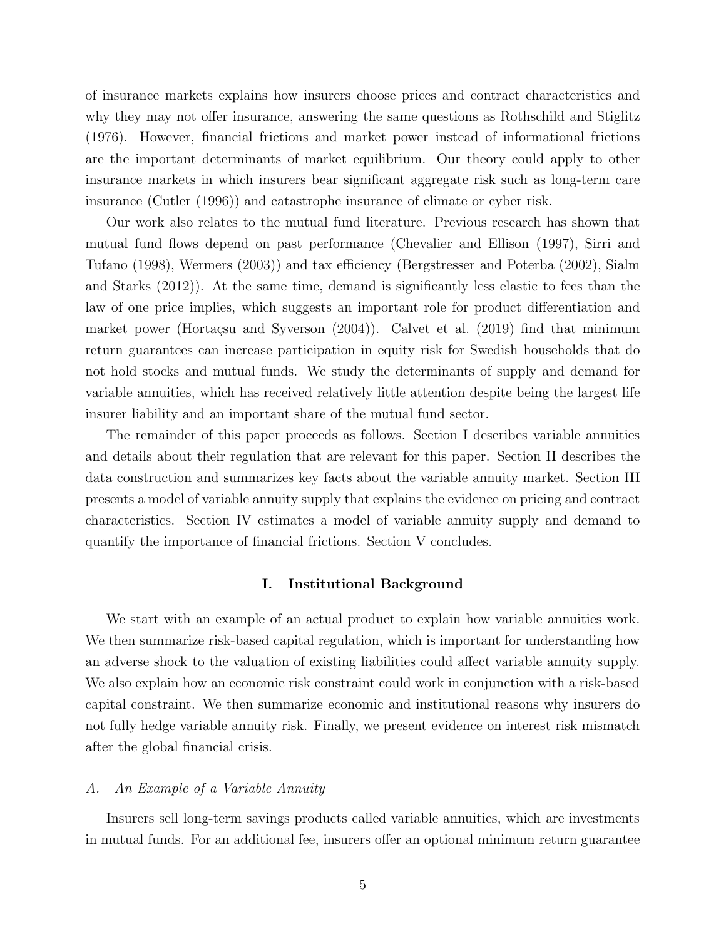of insurance markets explains how insurers choose prices and contract characteristics and why they may not offer insurance, answering the same questions as Rothschild and Stiglitz (1976). However, financial frictions and market power instead of informational frictions are the important determinants of market equilibrium. Our theory could apply to other insurance markets in which insurers bear significant aggregate risk such as long-term care insurance (Cutler (1996)) and catastrophe insurance of climate or cyber risk.

Our work also relates to the mutual fund literature. Previous research has shown that mutual fund flows depend on past performance (Chevalier and Ellison (1997), Sirri and Tufano (1998), Wermers (2003)) and tax efficiency (Bergstresser and Poterba (2002), Sialm and Starks (2012)). At the same time, demand is significantly less elastic to fees than the law of one price implies, which suggests an important role for product differentiation and market power (Hortaçsu and Syverson  $(2004)$ ). Calvet et al.  $(2019)$  find that minimum return guarantees can increase participation in equity risk for Swedish households that do not hold stocks and mutual funds. We study the determinants of supply and demand for variable annuities, which has received relatively little attention despite being the largest life insurer liability and an important share of the mutual fund sector.

The remainder of this paper proceeds as follows. Section I describes variable annuities and details about their regulation that are relevant for this paper. Section II describes the data construction and summarizes key facts about the variable annuity market. Section III presents a model of variable annuity supply that explains the evidence on pricing and contract characteristics. Section IV estimates a model of variable annuity supply and demand to quantify the importance of financial frictions. Section V concludes.

#### **I. Institutional Background**

We start with an example of an actual product to explain how variable annuities work. We then summarize risk-based capital regulation, which is important for understanding how an adverse shock to the valuation of existing liabilities could affect variable annuity supply. We also explain how an economic risk constraint could work in conjunction with a risk-based capital constraint. We then summarize economic and institutional reasons why insurers do not fully hedge variable annuity risk. Finally, we present evidence on interest risk mismatch after the global financial crisis.

#### *A. An Example of a Variable Annuity*

Insurers sell long-term savings products called variable annuities, which are investments in mutual funds. For an additional fee, insurers offer an optional minimum return guarantee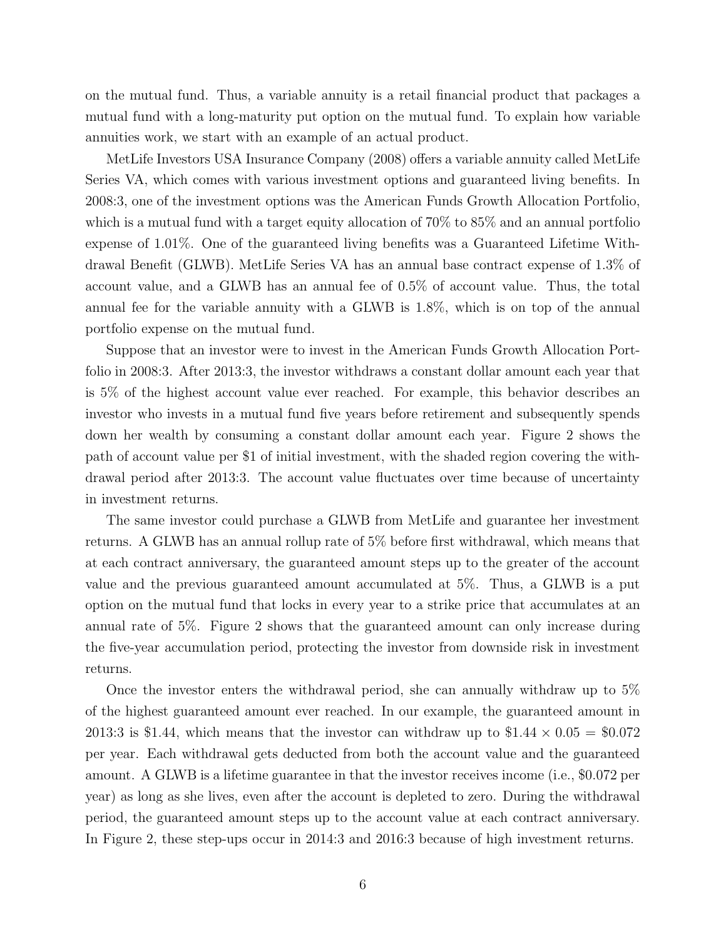on the mutual fund. Thus, a variable annuity is a retail financial product that packages a mutual fund with a long-maturity put option on the mutual fund. To explain how variable annuities work, we start with an example of an actual product.

MetLife Investors USA Insurance Company (2008) offers a variable annuity called MetLife Series VA, which comes with various investment options and guaranteed living benefits. In 2008:3, one of the investment options was the American Funds Growth Allocation Portfolio, which is a mutual fund with a target equity allocation of  $70\%$  to  $85\%$  and an annual portfolio expense of 1.01%. One of the guaranteed living benefits was a Guaranteed Lifetime Withdrawal Benefit (GLWB). MetLife Series VA has an annual base contract expense of 1.3% of account value, and a GLWB has an annual fee of 0.5% of account value. Thus, the total annual fee for the variable annuity with a GLWB is 1.8%, which is on top of the annual portfolio expense on the mutual fund.

Suppose that an investor were to invest in the American Funds Growth Allocation Portfolio in 2008:3. After 2013:3, the investor withdraws a constant dollar amount each year that is 5% of the highest account value ever reached. For example, this behavior describes an investor who invests in a mutual fund five years before retirement and subsequently spends down her wealth by consuming a constant dollar amount each year. Figure 2 shows the path of account value per \$1 of initial investment, with the shaded region covering the withdrawal period after 2013:3. The account value fluctuates over time because of uncertainty in investment returns.

The same investor could purchase a GLWB from MetLife and guarantee her investment returns. A GLWB has an annual rollup rate of 5% before first withdrawal, which means that at each contract anniversary, the guaranteed amount steps up to the greater of the account value and the previous guaranteed amount accumulated at 5%. Thus, a GLWB is a put option on the mutual fund that locks in every year to a strike price that accumulates at an annual rate of 5%. Figure 2 shows that the guaranteed amount can only increase during the five-year accumulation period, protecting the investor from downside risk in investment returns.

Once the investor enters the withdrawal period, she can annually withdraw up to 5% of the highest guaranteed amount ever reached. In our example, the guaranteed amount in 2013:3 is \$1.44, which means that the investor can withdraw up to  $$1.44 \times 0.05 = $0.072$ per year. Each withdrawal gets deducted from both the account value and the guaranteed amount. A GLWB is a lifetime guarantee in that the investor receives income (i.e., \$0.072 per year) as long as she lives, even after the account is depleted to zero. During the withdrawal period, the guaranteed amount steps up to the account value at each contract anniversary. In Figure 2, these step-ups occur in 2014:3 and 2016:3 because of high investment returns.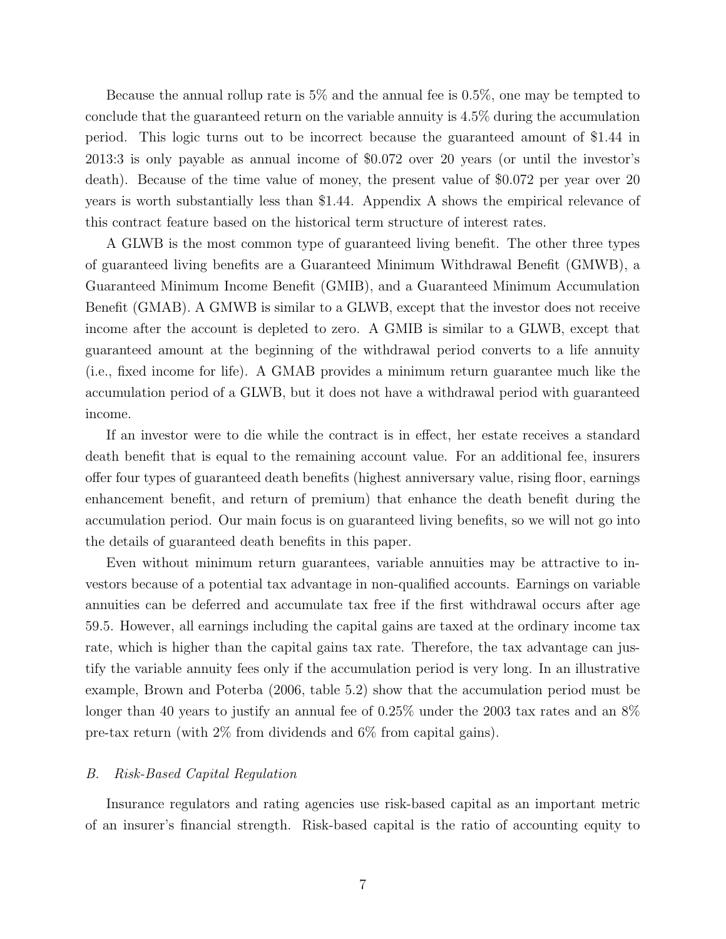Because the annual rollup rate is 5% and the annual fee is 0.5%, one may be tempted to conclude that the guaranteed return on the variable annuity is 4.5% during the accumulation period. This logic turns out to be incorrect because the guaranteed amount of \$1.44 in 2013:3 is only payable as annual income of \$0.072 over 20 years (or until the investor's death). Because of the time value of money, the present value of \$0.072 per year over 20 years is worth substantially less than \$1.44. Appendix A shows the empirical relevance of this contract feature based on the historical term structure of interest rates.

A GLWB is the most common type of guaranteed living benefit. The other three types of guaranteed living benefits are a Guaranteed Minimum Withdrawal Benefit (GMWB), a Guaranteed Minimum Income Benefit (GMIB), and a Guaranteed Minimum Accumulation Benefit (GMAB). A GMWB is similar to a GLWB, except that the investor does not receive income after the account is depleted to zero. A GMIB is similar to a GLWB, except that guaranteed amount at the beginning of the withdrawal period converts to a life annuity (i.e., fixed income for life). A GMAB provides a minimum return guarantee much like the accumulation period of a GLWB, but it does not have a withdrawal period with guaranteed income.

If an investor were to die while the contract is in effect, her estate receives a standard death benefit that is equal to the remaining account value. For an additional fee, insurers offer four types of guaranteed death benefits (highest anniversary value, rising floor, earnings enhancement benefit, and return of premium) that enhance the death benefit during the accumulation period. Our main focus is on guaranteed living benefits, so we will not go into the details of guaranteed death benefits in this paper.

Even without minimum return guarantees, variable annuities may be attractive to investors because of a potential tax advantage in non-qualified accounts. Earnings on variable annuities can be deferred and accumulate tax free if the first withdrawal occurs after age 59.5. However, all earnings including the capital gains are taxed at the ordinary income tax rate, which is higher than the capital gains tax rate. Therefore, the tax advantage can justify the variable annuity fees only if the accumulation period is very long. In an illustrative example, Brown and Poterba (2006, table 5.2) show that the accumulation period must be longer than 40 years to justify an annual fee of 0.25% under the 2003 tax rates and an 8% pre-tax return (with 2% from dividends and 6% from capital gains).

#### *B. Risk-Based Capital Regulation*

Insurance regulators and rating agencies use risk-based capital as an important metric of an insurer's financial strength. Risk-based capital is the ratio of accounting equity to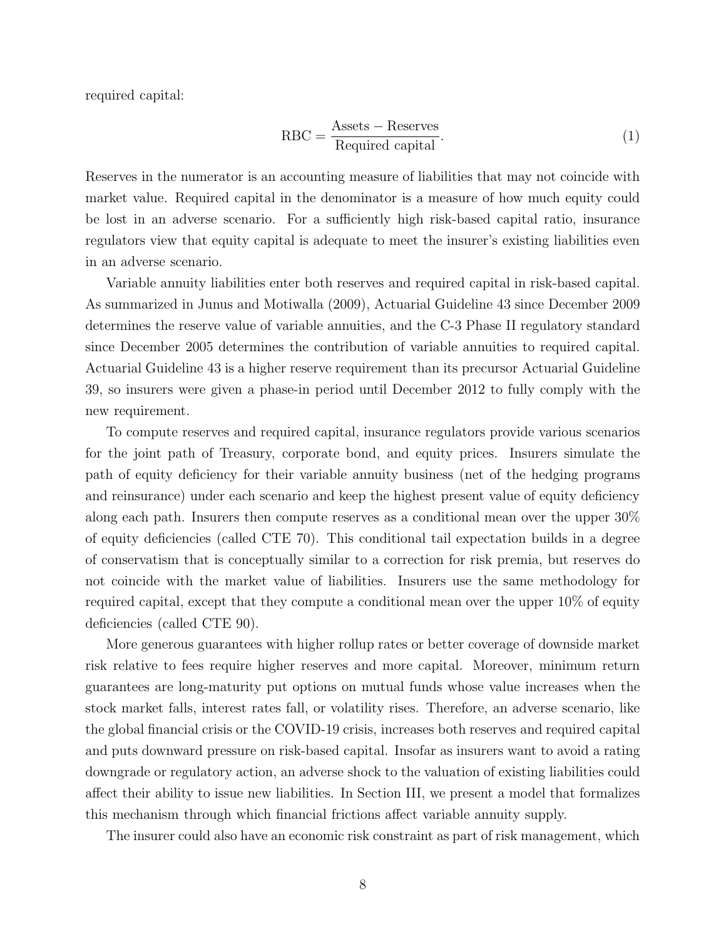required capital:

$$
RBC = \frac{Assets - Reserves}{Required capital}.
$$
\n(1)

Reserves in the numerator is an accounting measure of liabilities that may not coincide with market value. Required capital in the denominator is a measure of how much equity could be lost in an adverse scenario. For a sufficiently high risk-based capital ratio, insurance regulators view that equity capital is adequate to meet the insurer's existing liabilities even in an adverse scenario.

Variable annuity liabilities enter both reserves and required capital in risk-based capital. As summarized in Junus and Motiwalla (2009), Actuarial Guideline 43 since December 2009 determines the reserve value of variable annuities, and the C-3 Phase II regulatory standard since December 2005 determines the contribution of variable annuities to required capital. Actuarial Guideline 43 is a higher reserve requirement than its precursor Actuarial Guideline 39, so insurers were given a phase-in period until December 2012 to fully comply with the new requirement.

To compute reserves and required capital, insurance regulators provide various scenarios for the joint path of Treasury, corporate bond, and equity prices. Insurers simulate the path of equity deficiency for their variable annuity business (net of the hedging programs and reinsurance) under each scenario and keep the highest present value of equity deficiency along each path. Insurers then compute reserves as a conditional mean over the upper 30% of equity deficiencies (called CTE 70). This conditional tail expectation builds in a degree of conservatism that is conceptually similar to a correction for risk premia, but reserves do not coincide with the market value of liabilities. Insurers use the same methodology for required capital, except that they compute a conditional mean over the upper 10% of equity deficiencies (called CTE 90).

More generous guarantees with higher rollup rates or better coverage of downside market risk relative to fees require higher reserves and more capital. Moreover, minimum return guarantees are long-maturity put options on mutual funds whose value increases when the stock market falls, interest rates fall, or volatility rises. Therefore, an adverse scenario, like the global financial crisis or the COVID-19 crisis, increases both reserves and required capital and puts downward pressure on risk-based capital. Insofar as insurers want to avoid a rating downgrade or regulatory action, an adverse shock to the valuation of existing liabilities could affect their ability to issue new liabilities. In Section III, we present a model that formalizes this mechanism through which financial frictions affect variable annuity supply.

The insurer could also have an economic risk constraint as part of risk management, which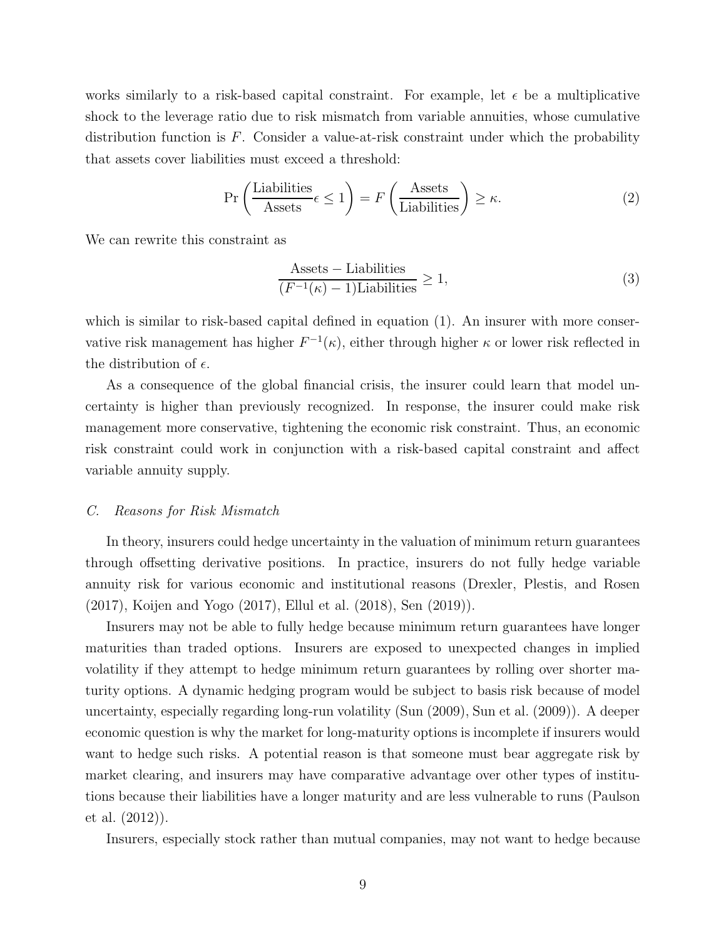works similarly to a risk-based capital constraint. For example, let  $\epsilon$  be a multiplicative shock to the leverage ratio due to risk mismatch from variable annuities, whose cumulative distribution function is  $F$ . Consider a value-at-risk constraint under which the probability that assets cover liabilities must exceed a threshold:

$$
\Pr\left(\frac{\text{Liabilities}}{\text{Assets}}\epsilon \le 1\right) = F\left(\frac{\text{Assets}}{\text{Liabilities}}\right) \ge \kappa. \tag{2}
$$

We can rewrite this constraint as

$$
\frac{\text{Assets} - \text{Liabilities}}{(F^{-1}(\kappa) - 1)\text{Liabilities}} \ge 1,\tag{3}
$$

which is similar to risk-based capital defined in equation (1). An insurer with more conservative risk management has higher  $F^{-1}(\kappa)$ , either through higher  $\kappa$  or lower risk reflected in the distribution of  $\epsilon$ .

As a consequence of the global financial crisis, the insurer could learn that model uncertainty is higher than previously recognized. In response, the insurer could make risk management more conservative, tightening the economic risk constraint. Thus, an economic risk constraint could work in conjunction with a risk-based capital constraint and affect variable annuity supply.

#### *C. Reasons for Risk Mismatch*

In theory, insurers could hedge uncertainty in the valuation of minimum return guarantees through offsetting derivative positions. In practice, insurers do not fully hedge variable annuity risk for various economic and institutional reasons (Drexler, Plestis, and Rosen (2017), Koijen and Yogo (2017), Ellul et al. (2018), Sen (2019)).

Insurers may not be able to fully hedge because minimum return guarantees have longer maturities than traded options. Insurers are exposed to unexpected changes in implied volatility if they attempt to hedge minimum return guarantees by rolling over shorter maturity options. A dynamic hedging program would be subject to basis risk because of model uncertainty, especially regarding long-run volatility (Sun (2009), Sun et al. (2009)). A deeper economic question is why the market for long-maturity options is incomplete if insurers would want to hedge such risks. A potential reason is that someone must bear aggregate risk by market clearing, and insurers may have comparative advantage over other types of institutions because their liabilities have a longer maturity and are less vulnerable to runs (Paulson et al. (2012)).

Insurers, especially stock rather than mutual companies, may not want to hedge because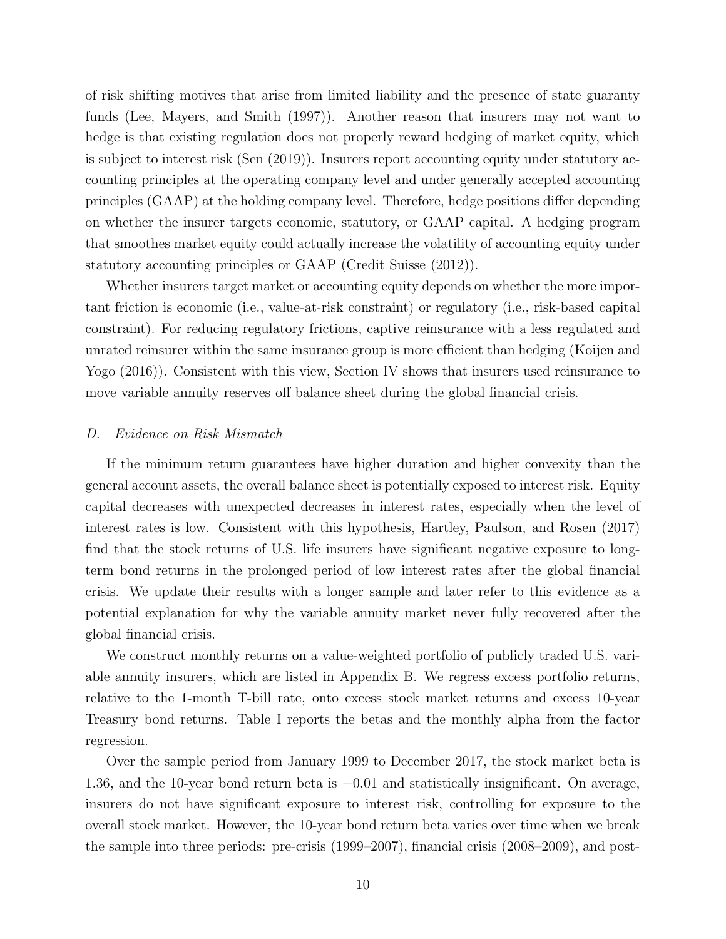of risk shifting motives that arise from limited liability and the presence of state guaranty funds (Lee, Mayers, and Smith (1997)). Another reason that insurers may not want to hedge is that existing regulation does not properly reward hedging of market equity, which is subject to interest risk (Sen (2019)). Insurers report accounting equity under statutory accounting principles at the operating company level and under generally accepted accounting principles (GAAP) at the holding company level. Therefore, hedge positions differ depending on whether the insurer targets economic, statutory, or GAAP capital. A hedging program that smoothes market equity could actually increase the volatility of accounting equity under statutory accounting principles or GAAP (Credit Suisse (2012)).

Whether insurers target market or accounting equity depends on whether the more important friction is economic (i.e., value-at-risk constraint) or regulatory (i.e., risk-based capital constraint). For reducing regulatory frictions, captive reinsurance with a less regulated and unrated reinsurer within the same insurance group is more efficient than hedging (Koijen and Yogo (2016)). Consistent with this view, Section IV shows that insurers used reinsurance to move variable annuity reserves off balance sheet during the global financial crisis.

#### *D. Evidence on Risk Mismatch*

If the minimum return guarantees have higher duration and higher convexity than the general account assets, the overall balance sheet is potentially exposed to interest risk. Equity capital decreases with unexpected decreases in interest rates, especially when the level of interest rates is low. Consistent with this hypothesis, Hartley, Paulson, and Rosen (2017) find that the stock returns of U.S. life insurers have significant negative exposure to longterm bond returns in the prolonged period of low interest rates after the global financial crisis. We update their results with a longer sample and later refer to this evidence as a potential explanation for why the variable annuity market never fully recovered after the global financial crisis.

We construct monthly returns on a value-weighted portfolio of publicly traded U.S. variable annuity insurers, which are listed in Appendix B. We regress excess portfolio returns, relative to the 1-month T-bill rate, onto excess stock market returns and excess 10-year Treasury bond returns. Table I reports the betas and the monthly alpha from the factor regression.

Over the sample period from January 1999 to December 2017, the stock market beta is 1.36, and the 10-year bond return beta is −0.01 and statistically insignificant. On average, insurers do not have significant exposure to interest risk, controlling for exposure to the overall stock market. However, the 10-year bond return beta varies over time when we break the sample into three periods: pre-crisis (1999–2007), financial crisis (2008–2009), and post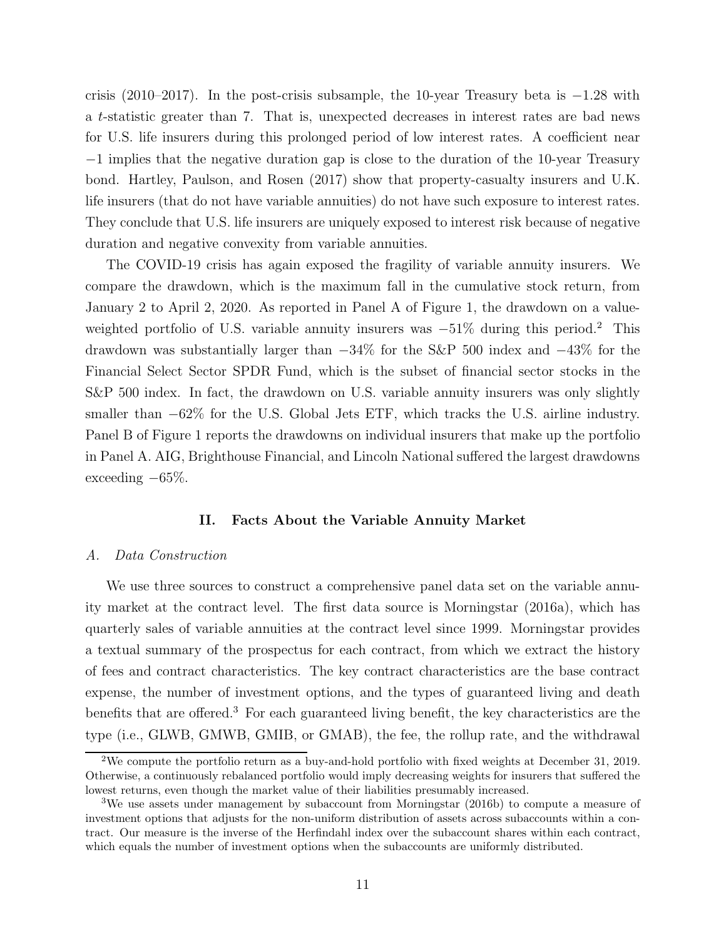crisis (2010–2017). In the post-crisis subsample, the 10-year Treasury beta is −1.28 with a t-statistic greater than 7. That is, unexpected decreases in interest rates are bad news for U.S. life insurers during this prolonged period of low interest rates. A coefficient near −1 implies that the negative duration gap is close to the duration of the 10-year Treasury bond. Hartley, Paulson, and Rosen (2017) show that property-casualty insurers and U.K. life insurers (that do not have variable annuities) do not have such exposure to interest rates. They conclude that U.S. life insurers are uniquely exposed to interest risk because of negative duration and negative convexity from variable annuities.

The COVID-19 crisis has again exposed the fragility of variable annuity insurers. We compare the drawdown, which is the maximum fall in the cumulative stock return, from January 2 to April 2, 2020. As reported in Panel A of Figure 1, the drawdown on a valueweighted portfolio of U.S. variable annuity insurers was  $-51\%$  during this period.<sup>2</sup> This drawdown was substantially larger than −34% for the S&P 500 index and −43% for the Financial Select Sector SPDR Fund, which is the subset of financial sector stocks in the S&P 500 index. In fact, the drawdown on U.S. variable annuity insurers was only slightly smaller than  $-62\%$  for the U.S. Global Jets ETF, which tracks the U.S. airline industry. Panel B of Figure 1 reports the drawdowns on individual insurers that make up the portfolio in Panel A. AIG, Brighthouse Financial, and Lincoln National suffered the largest drawdowns exceeding  $-65\%$ .

#### **II. Facts About the Variable Annuity Market**

#### *A. Data Construction*

We use three sources to construct a comprehensive panel data set on the variable annuity market at the contract level. The first data source is Morningstar (2016a), which has quarterly sales of variable annuities at the contract level since 1999. Morningstar provides a textual summary of the prospectus for each contract, from which we extract the history of fees and contract characteristics. The key contract characteristics are the base contract expense, the number of investment options, and the types of guaranteed living and death benefits that are offered.<sup>3</sup> For each guaranteed living benefit, the key characteristics are the type (i.e., GLWB, GMWB, GMIB, or GMAB), the fee, the rollup rate, and the withdrawal

<sup>2</sup>We compute the portfolio return as a buy-and-hold portfolio with fixed weights at December 31, 2019. Otherwise, a continuously rebalanced portfolio would imply decreasing weights for insurers that suffered the lowest returns, even though the market value of their liabilities presumably increased.

<sup>3</sup>We use assets under management by subaccount from Morningstar (2016b) to compute a measure of investment options that adjusts for the non-uniform distribution of assets across subaccounts within a contract. Our measure is the inverse of the Herfindahl index over the subaccount shares within each contract, which equals the number of investment options when the subaccounts are uniformly distributed.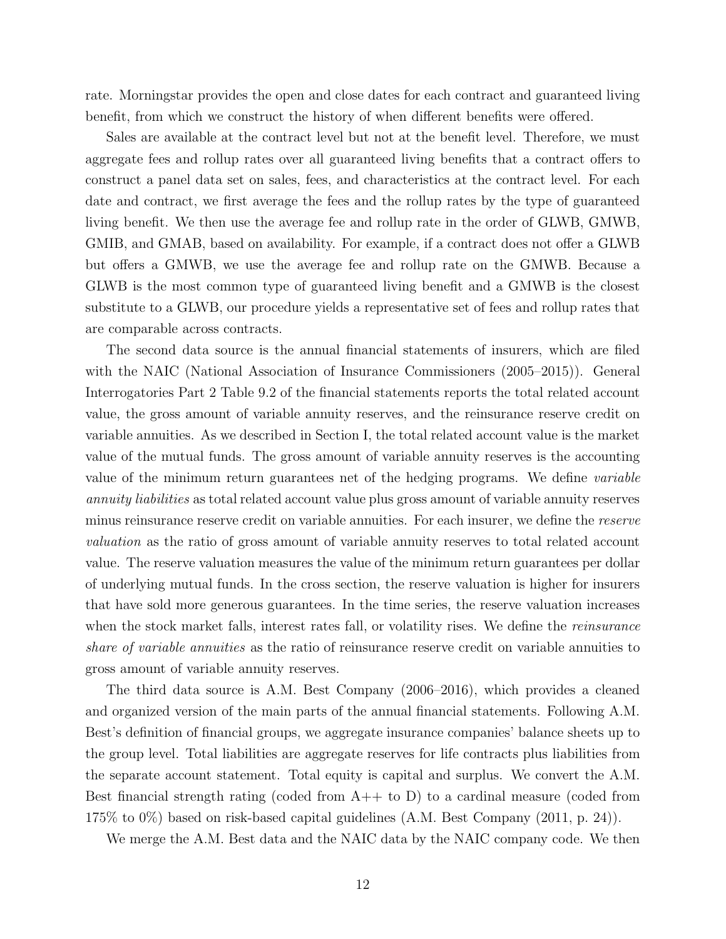rate. Morningstar provides the open and close dates for each contract and guaranteed living benefit, from which we construct the history of when different benefits were offered.

Sales are available at the contract level but not at the benefit level. Therefore, we must aggregate fees and rollup rates over all guaranteed living benefits that a contract offers to construct a panel data set on sales, fees, and characteristics at the contract level. For each date and contract, we first average the fees and the rollup rates by the type of guaranteed living benefit. We then use the average fee and rollup rate in the order of GLWB, GMWB, GMIB, and GMAB, based on availability. For example, if a contract does not offer a GLWB but offers a GMWB, we use the average fee and rollup rate on the GMWB. Because a GLWB is the most common type of guaranteed living benefit and a GMWB is the closest substitute to a GLWB, our procedure yields a representative set of fees and rollup rates that are comparable across contracts.

The second data source is the annual financial statements of insurers, which are filed with the NAIC (National Association of Insurance Commissioners (2005–2015)). General Interrogatories Part 2 Table 9.2 of the financial statements reports the total related account value, the gross amount of variable annuity reserves, and the reinsurance reserve credit on variable annuities. As we described in Section I, the total related account value is the market value of the mutual funds. The gross amount of variable annuity reserves is the accounting value of the minimum return guarantees net of the hedging programs. We define *variable annuity liabilities* as total related account value plus gross amount of variable annuity reserves minus reinsurance reserve credit on variable annuities. For each insurer, we define the *reserve valuation* as the ratio of gross amount of variable annuity reserves to total related account value. The reserve valuation measures the value of the minimum return guarantees per dollar of underlying mutual funds. In the cross section, the reserve valuation is higher for insurers that have sold more generous guarantees. In the time series, the reserve valuation increases when the stock market falls, interest rates fall, or volatility rises. We define the *reinsurance share of variable annuities* as the ratio of reinsurance reserve credit on variable annuities to gross amount of variable annuity reserves.

The third data source is A.M. Best Company (2006–2016), which provides a cleaned and organized version of the main parts of the annual financial statements. Following A.M. Best's definition of financial groups, we aggregate insurance companies' balance sheets up to the group level. Total liabilities are aggregate reserves for life contracts plus liabilities from the separate account statement. Total equity is capital and surplus. We convert the A.M. Best financial strength rating (coded from  $A++$  to D) to a cardinal measure (coded from 175% to 0%) based on risk-based capital guidelines (A.M. Best Company (2011, p. 24)).

We merge the A.M. Best data and the NAIC data by the NAIC company code. We then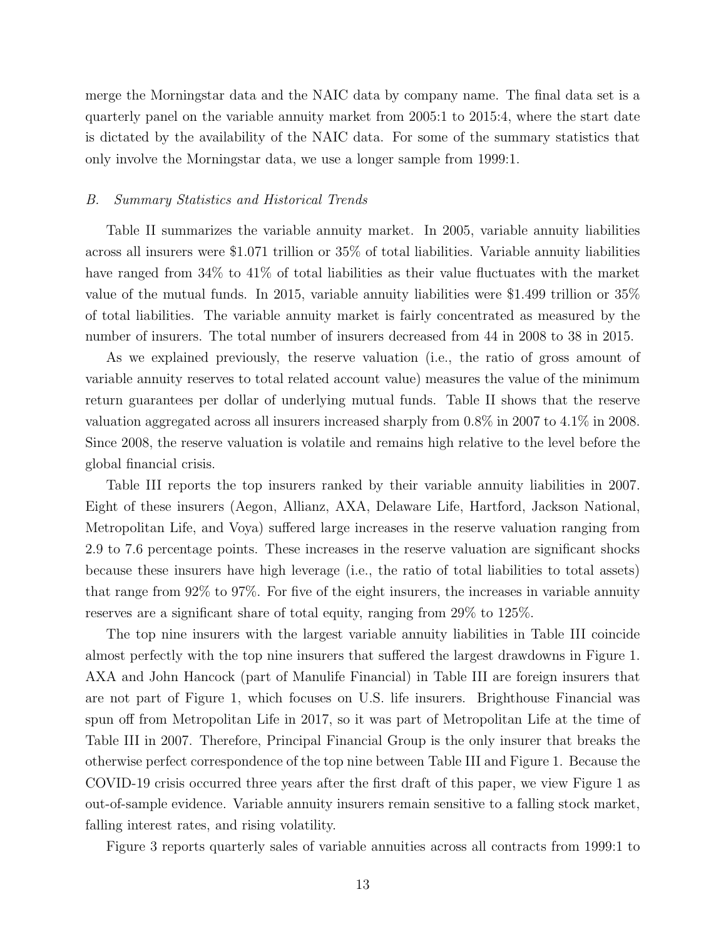merge the Morningstar data and the NAIC data by company name. The final data set is a quarterly panel on the variable annuity market from 2005:1 to 2015:4, where the start date is dictated by the availability of the NAIC data. For some of the summary statistics that only involve the Morningstar data, we use a longer sample from 1999:1.

#### *B. Summary Statistics and Historical Trends*

Table II summarizes the variable annuity market. In 2005, variable annuity liabilities across all insurers were \$1.071 trillion or 35% of total liabilities. Variable annuity liabilities have ranged from 34% to 41% of total liabilities as their value fluctuates with the market value of the mutual funds. In 2015, variable annuity liabilities were \$1.499 trillion or 35% of total liabilities. The variable annuity market is fairly concentrated as measured by the number of insurers. The total number of insurers decreased from 44 in 2008 to 38 in 2015.

As we explained previously, the reserve valuation (i.e., the ratio of gross amount of variable annuity reserves to total related account value) measures the value of the minimum return guarantees per dollar of underlying mutual funds. Table II shows that the reserve valuation aggregated across all insurers increased sharply from 0.8% in 2007 to 4.1% in 2008. Since 2008, the reserve valuation is volatile and remains high relative to the level before the global financial crisis.

Table III reports the top insurers ranked by their variable annuity liabilities in 2007. Eight of these insurers (Aegon, Allianz, AXA, Delaware Life, Hartford, Jackson National, Metropolitan Life, and Voya) suffered large increases in the reserve valuation ranging from 2.9 to 7.6 percentage points. These increases in the reserve valuation are significant shocks because these insurers have high leverage (i.e., the ratio of total liabilities to total assets) that range from 92% to 97%. For five of the eight insurers, the increases in variable annuity reserves are a significant share of total equity, ranging from 29% to 125%.

The top nine insurers with the largest variable annuity liabilities in Table III coincide almost perfectly with the top nine insurers that suffered the largest drawdowns in Figure 1. AXA and John Hancock (part of Manulife Financial) in Table III are foreign insurers that are not part of Figure 1, which focuses on U.S. life insurers. Brighthouse Financial was spun off from Metropolitan Life in 2017, so it was part of Metropolitan Life at the time of Table III in 2007. Therefore, Principal Financial Group is the only insurer that breaks the otherwise perfect correspondence of the top nine between Table III and Figure 1. Because the COVID-19 crisis occurred three years after the first draft of this paper, we view Figure 1 as out-of-sample evidence. Variable annuity insurers remain sensitive to a falling stock market, falling interest rates, and rising volatility.

Figure 3 reports quarterly sales of variable annuities across all contracts from 1999:1 to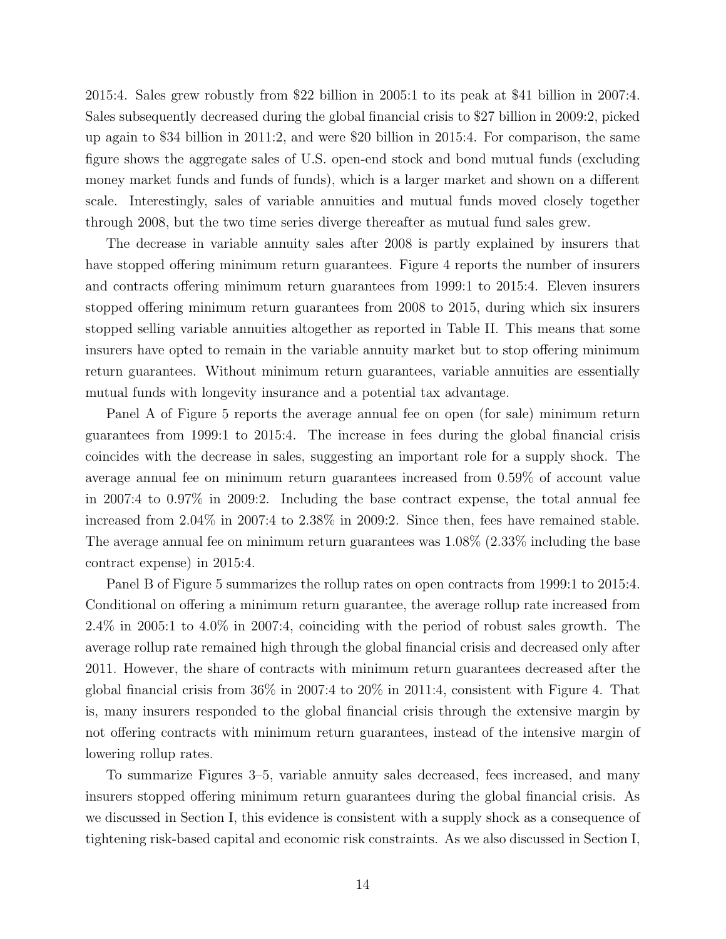2015:4. Sales grew robustly from \$22 billion in 2005:1 to its peak at \$41 billion in 2007:4. Sales subsequently decreased during the global financial crisis to \$27 billion in 2009:2, picked up again to \$34 billion in 2011:2, and were \$20 billion in 2015:4. For comparison, the same figure shows the aggregate sales of U.S. open-end stock and bond mutual funds (excluding money market funds and funds of funds), which is a larger market and shown on a different scale. Interestingly, sales of variable annuities and mutual funds moved closely together through 2008, but the two time series diverge thereafter as mutual fund sales grew.

The decrease in variable annuity sales after 2008 is partly explained by insurers that have stopped offering minimum return guarantees. Figure 4 reports the number of insurers and contracts offering minimum return guarantees from 1999:1 to 2015:4. Eleven insurers stopped offering minimum return guarantees from 2008 to 2015, during which six insurers stopped selling variable annuities altogether as reported in Table II. This means that some insurers have opted to remain in the variable annuity market but to stop offering minimum return guarantees. Without minimum return guarantees, variable annuities are essentially mutual funds with longevity insurance and a potential tax advantage.

Panel A of Figure 5 reports the average annual fee on open (for sale) minimum return guarantees from 1999:1 to 2015:4. The increase in fees during the global financial crisis coincides with the decrease in sales, suggesting an important role for a supply shock. The average annual fee on minimum return guarantees increased from 0.59% of account value in 2007:4 to 0.97% in 2009:2. Including the base contract expense, the total annual fee increased from 2.04% in 2007:4 to 2.38% in 2009:2. Since then, fees have remained stable. The average annual fee on minimum return guarantees was  $1.08\%$  (2.33% including the base contract expense) in 2015:4.

Panel B of Figure 5 summarizes the rollup rates on open contracts from 1999:1 to 2015:4. Conditional on offering a minimum return guarantee, the average rollup rate increased from 2.4% in 2005:1 to 4.0% in 2007:4, coinciding with the period of robust sales growth. The average rollup rate remained high through the global financial crisis and decreased only after 2011. However, the share of contracts with minimum return guarantees decreased after the global financial crisis from 36% in 2007:4 to 20% in 2011:4, consistent with Figure 4. That is, many insurers responded to the global financial crisis through the extensive margin by not offering contracts with minimum return guarantees, instead of the intensive margin of lowering rollup rates.

To summarize Figures 3–5, variable annuity sales decreased, fees increased, and many insurers stopped offering minimum return guarantees during the global financial crisis. As we discussed in Section I, this evidence is consistent with a supply shock as a consequence of tightening risk-based capital and economic risk constraints. As we also discussed in Section I,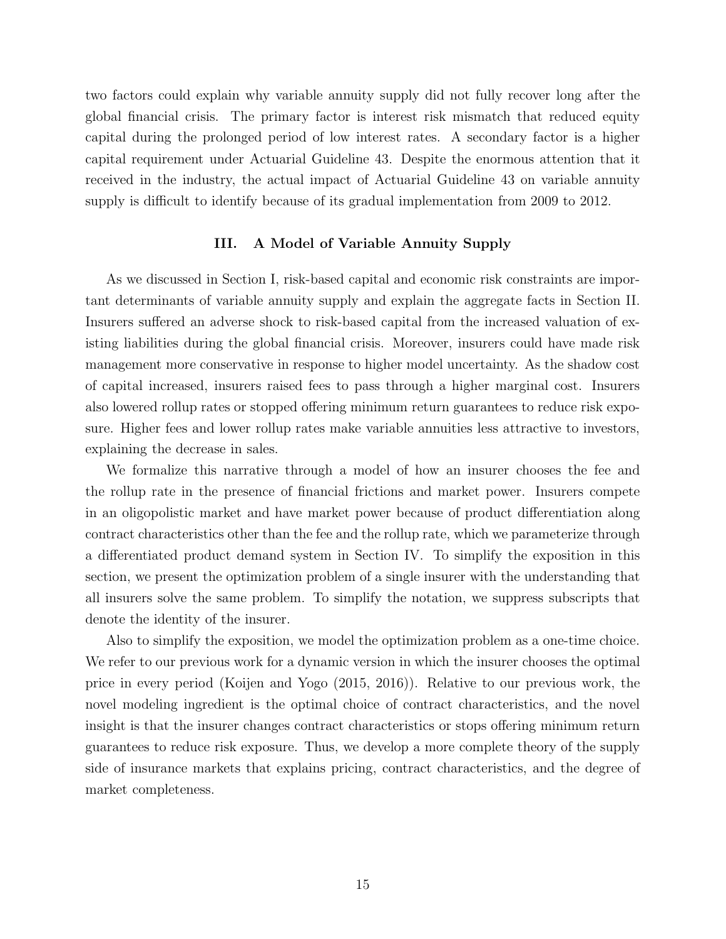two factors could explain why variable annuity supply did not fully recover long after the global financial crisis. The primary factor is interest risk mismatch that reduced equity capital during the prolonged period of low interest rates. A secondary factor is a higher capital requirement under Actuarial Guideline 43. Despite the enormous attention that it received in the industry, the actual impact of Actuarial Guideline 43 on variable annuity supply is difficult to identify because of its gradual implementation from 2009 to 2012.

#### **III. A Model of Variable Annuity Supply**

As we discussed in Section I, risk-based capital and economic risk constraints are important determinants of variable annuity supply and explain the aggregate facts in Section II. Insurers suffered an adverse shock to risk-based capital from the increased valuation of existing liabilities during the global financial crisis. Moreover, insurers could have made risk management more conservative in response to higher model uncertainty. As the shadow cost of capital increased, insurers raised fees to pass through a higher marginal cost. Insurers also lowered rollup rates or stopped offering minimum return guarantees to reduce risk exposure. Higher fees and lower rollup rates make variable annuities less attractive to investors, explaining the decrease in sales.

We formalize this narrative through a model of how an insurer chooses the fee and the rollup rate in the presence of financial frictions and market power. Insurers compete in an oligopolistic market and have market power because of product differentiation along contract characteristics other than the fee and the rollup rate, which we parameterize through a differentiated product demand system in Section IV. To simplify the exposition in this section, we present the optimization problem of a single insurer with the understanding that all insurers solve the same problem. To simplify the notation, we suppress subscripts that denote the identity of the insurer.

Also to simplify the exposition, we model the optimization problem as a one-time choice. We refer to our previous work for a dynamic version in which the insurer chooses the optimal price in every period (Koijen and Yogo (2015, 2016)). Relative to our previous work, the novel modeling ingredient is the optimal choice of contract characteristics, and the novel insight is that the insurer changes contract characteristics or stops offering minimum return guarantees to reduce risk exposure. Thus, we develop a more complete theory of the supply side of insurance markets that explains pricing, contract characteristics, and the degree of market completeness.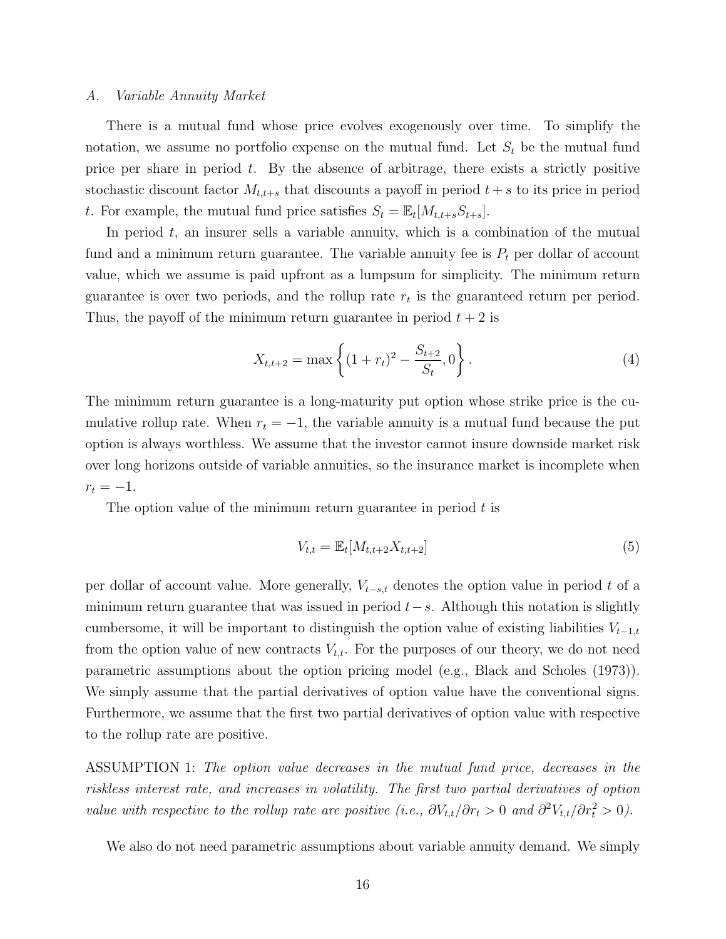#### *A. Variable Annuity Market*

There is a mutual fund whose price evolves exogenously over time. To simplify the notation, we assume no portfolio expense on the mutual fund. Let  $S_t$  be the mutual fund price per share in period  $t$ . By the absence of arbitrage, there exists a strictly positive stochastic discount factor  $M_{t,t+s}$  that discounts a payoff in period  $t+s$  to its price in period t. For example, the mutual fund price satisfies  $S_t = \mathbb{E}_t[M_{t,t+s}S_{t+s}].$ 

In period  $t$ , an insurer sells a variable annuity, which is a combination of the mutual fund and a minimum return guarantee. The variable annuity fee is  $P_t$  per dollar of account value, which we assume is paid upfront as a lumpsum for simplicity. The minimum return guarantee is over two periods, and the rollup rate  $r_t$  is the guaranteed return per period. Thus, the payoff of the minimum return guarantee in period  $t + 2$  is

$$
X_{t,t+2} = \max\left\{ (1+r_t)^2 - \frac{S_{t+2}}{S_t}, 0 \right\}.
$$
 (4)

The minimum return guarantee is a long-maturity put option whose strike price is the cumulative rollup rate. When  $r_t = -1$ , the variable annuity is a mutual fund because the put option is always worthless. We assume that the investor cannot insure downside market risk over long horizons outside of variable annuities, so the insurance market is incomplete when  $r_t = -1.$ 

The option value of the minimum return guarantee in period  $t$  is

$$
V_{t,t} = \mathbb{E}_t[M_{t,t+2}X_{t,t+2}]
$$
\n(5)

per dollar of account value. More generally,  $V_{t-s,t}$  denotes the option value in period t of a minimum return guarantee that was issued in period  $t-s$ . Although this notation is slightly cumbersome, it will be important to distinguish the option value of existing liabilities  $V_{t-1,t}$ from the option value of new contracts  $V_{t,t}$ . For the purposes of our theory, we do not need parametric assumptions about the option pricing model (e.g., Black and Scholes (1973)). We simply assume that the partial derivatives of option value have the conventional signs. Furthermore, we assume that the first two partial derivatives of option value with respective to the rollup rate are positive.

ASSUMPTION 1: *The option value decreases in the mutual fund price, decreases in the riskless interest rate, and increases in volatility. The first two partial derivatives of option value with respective to the rollup rate are positive (i.e.,*  $\partial V_{t,t}/\partial r_t > 0$  *and*  $\partial^2 V_{t,t}/\partial r_t^2 > 0$ ).

We also do not need parametric assumptions about variable annuity demand. We simply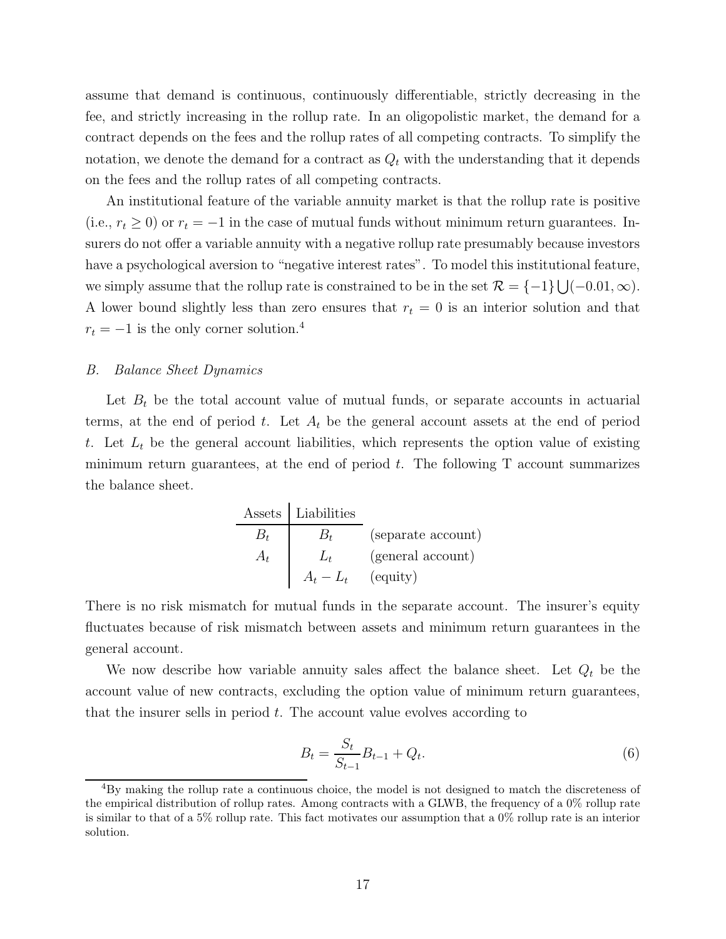assume that demand is continuous, continuously differentiable, strictly decreasing in the fee, and strictly increasing in the rollup rate. In an oligopolistic market, the demand for a contract depends on the fees and the rollup rates of all competing contracts. To simplify the notation, we denote the demand for a contract as  $Q_t$  with the understanding that it depends on the fees and the rollup rates of all competing contracts.

An institutional feature of the variable annuity market is that the rollup rate is positive (i.e.,  $r_t \geq 0$ ) or  $r_t = -1$  in the case of mutual funds without minimum return guarantees. Insurers do not offer a variable annuity with a negative rollup rate presumably because investors have a psychological aversion to "negative interest rates". To model this institutional feature, we simply assume that the rollup rate is constrained to be in the set  $\mathcal{R} = \{-1\} \bigcup (-0.01, \infty)$ . A lower bound slightly less than zero ensures that  $r_t = 0$  is an interior solution and that  $r_t = -1$  is the only corner solution.<sup>4</sup>

#### *B. Balance Sheet Dynamics*

Let  $B_t$  be the total account value of mutual funds, or separate accounts in actuarial terms, at the end of period t. Let  $A_t$  be the general account assets at the end of period t. Let  $L_t$  be the general account liabilities, which represents the option value of existing minimum return guarantees, at the end of period  $t$ . The following T account summarizes the balance sheet.

|       | Assets   Liabilities |                    |
|-------|----------------------|--------------------|
|       |                      | (separate account) |
| $A_t$ |                      | (general account)  |
|       | $A_t - L_t$          | (equity)           |

There is no risk mismatch for mutual funds in the separate account. The insurer's equity fluctuates because of risk mismatch between assets and minimum return guarantees in the general account.

We now describe how variable annuity sales affect the balance sheet. Let  $Q_t$  be the account value of new contracts, excluding the option value of minimum return guarantees, that the insurer sells in period  $t$ . The account value evolves according to

$$
B_t = \frac{S_t}{S_{t-1}} B_{t-1} + Q_t.
$$
\n(6)

<sup>4</sup>By making the rollup rate a continuous choice, the model is not designed to match the discreteness of the empirical distribution of rollup rates. Among contracts with a GLWB, the frequency of a 0% rollup rate is similar to that of a 5% rollup rate. This fact motivates our assumption that a 0% rollup rate is an interior solution.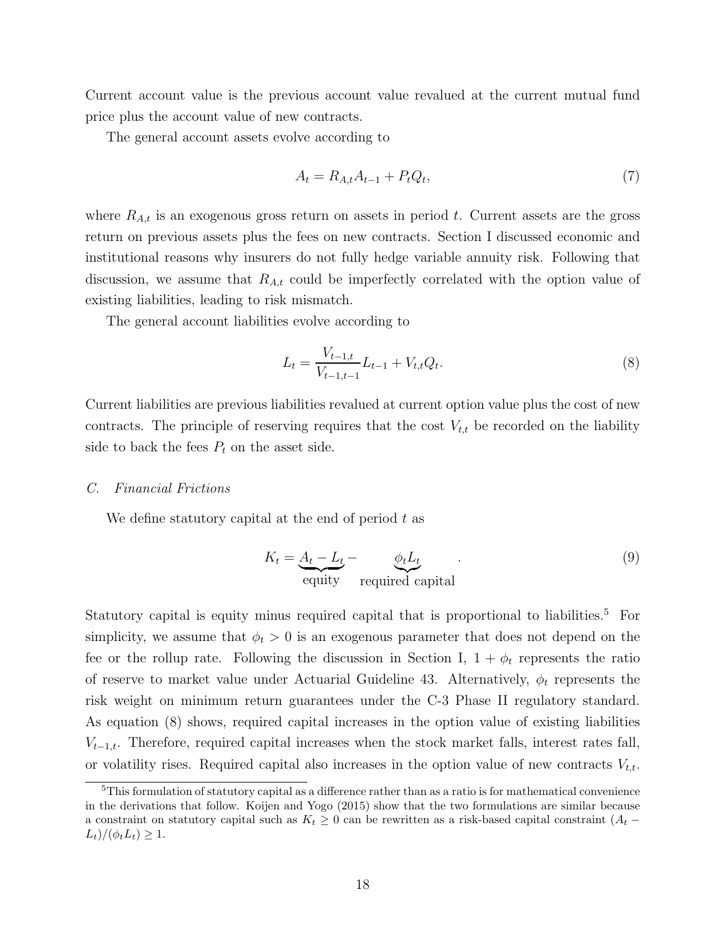Current account value is the previous account value revalued at the current mutual fund price plus the account value of new contracts.

The general account assets evolve according to

$$
A_t = R_{A,t}A_{t-1} + P_t Q_t, \t\t(7)
$$

where  $R_{A,t}$  is an exogenous gross return on assets in period t. Current assets are the gross return on previous assets plus the fees on new contracts. Section I discussed economic and institutional reasons why insurers do not fully hedge variable annuity risk. Following that discussion, we assume that  $R_{A,t}$  could be imperfectly correlated with the option value of existing liabilities, leading to risk mismatch.

The general account liabilities evolve according to

$$
L_t = \frac{V_{t-1,t}}{V_{t-1,t-1}} L_{t-1} + V_{t,t} Q_t.
$$
\n
$$
(8)
$$

Current liabilities are previous liabilities revalued at current option value plus the cost of new contracts. The principle of reserving requires that the cost  $V_{t,t}$  be recorded on the liability side to back the fees  $P_t$  on the asset side.

#### *C. Financial Frictions*

We define statutory capital at the end of period  $t$  as

$$
K_t = \underbrace{A_t - L_t}_{\text{equity}} - \underbrace{\phi_t L_t}_{\text{required capital}}.
$$
\n(9)

Statutory capital is equity minus required capital that is proportional to liabilities.<sup>5</sup> For simplicity, we assume that  $\phi_t > 0$  is an exogenous parameter that does not depend on the fee or the rollup rate. Following the discussion in Section I,  $1 + \phi_t$  represents the ratio of reserve to market value under Actuarial Guideline 43. Alternatively,  $\phi_t$  represents the risk weight on minimum return guarantees under the C-3 Phase II regulatory standard. As equation (8) shows, required capital increases in the option value of existing liabilities  $V_{t-1,t}$ . Therefore, required capital increases when the stock market falls, interest rates fall, or volatility rises. Required capital also increases in the option value of new contracts  $V_{t,t}$ .

<sup>&</sup>lt;sup>5</sup>This formulation of statutory capital as a difference rather than as a ratio is for mathematical convenience in the derivations that follow. Koijen and Yogo (2015) show that the two formulations are similar because a constraint on statutory capital such as  $K_t \geq 0$  can be rewritten as a risk-based capital constraint  $(A_t (L_t)/(\phi_t L_t) \geq 1.$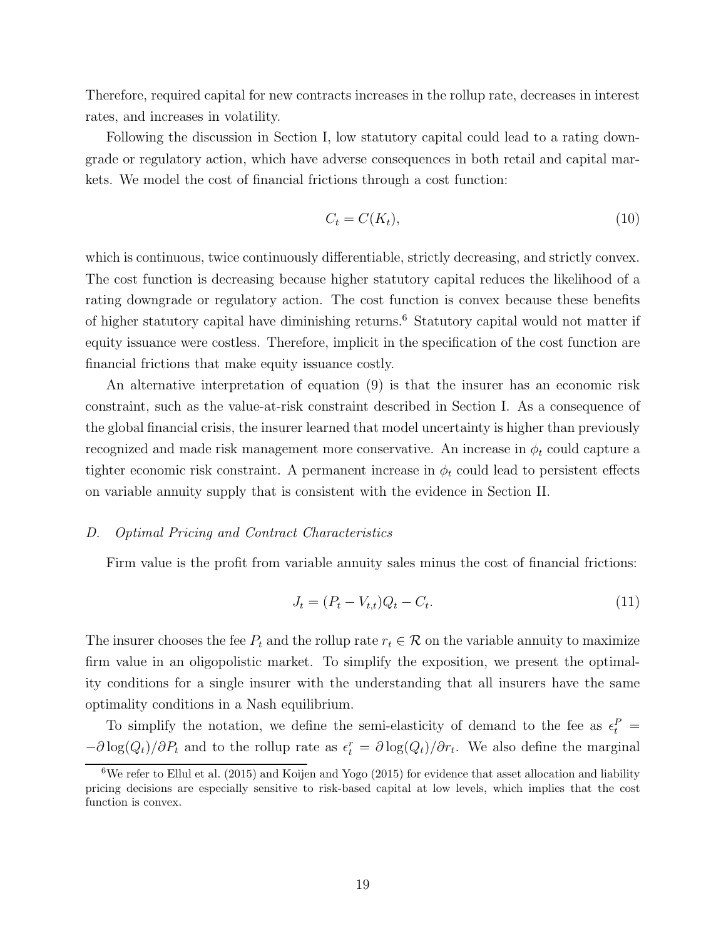Therefore, required capital for new contracts increases in the rollup rate, decreases in interest rates, and increases in volatility.

Following the discussion in Section I, low statutory capital could lead to a rating downgrade or regulatory action, which have adverse consequences in both retail and capital markets. We model the cost of financial frictions through a cost function:

$$
C_t = C(K_t),\tag{10}
$$

which is continuous, twice continuously differentiable, strictly decreasing, and strictly convex. The cost function is decreasing because higher statutory capital reduces the likelihood of a rating downgrade or regulatory action. The cost function is convex because these benefits of higher statutory capital have diminishing returns.<sup>6</sup> Statutory capital would not matter if equity issuance were costless. Therefore, implicit in the specification of the cost function are financial frictions that make equity issuance costly.

An alternative interpretation of equation (9) is that the insurer has an economic risk constraint, such as the value-at-risk constraint described in Section I. As a consequence of the global financial crisis, the insurer learned that model uncertainty is higher than previously recognized and made risk management more conservative. An increase in  $\phi_t$  could capture a tighter economic risk constraint. A permanent increase in  $\phi_t$  could lead to persistent effects on variable annuity supply that is consistent with the evidence in Section II.

#### *D. Optimal Pricing and Contract Characteristics*

Firm value is the profit from variable annuity sales minus the cost of financial frictions:

$$
J_t = (P_t - V_{t,t})Q_t - C_t.
$$
\n(11)

The insurer chooses the fee  $P_t$  and the rollup rate  $r_t \in \mathcal{R}$  on the variable annuity to maximize firm value in an oligopolistic market. To simplify the exposition, we present the optimality conditions for a single insurer with the understanding that all insurers have the same optimality conditions in a Nash equilibrium.

To simplify the notation, we define the semi-elasticity of demand to the fee as  $\epsilon_t^P$  =  $-\partial \log(Q_t)/\partial P_t$  and to the rollup rate as  $\epsilon_t^r = \partial \log(Q_t)/\partial r_t$ . We also define the marginal

 $6$ We refer to Ellul et al. (2015) and Koijen and Yogo (2015) for evidence that asset allocation and liability pricing decisions are especially sensitive to risk-based capital at low levels, which implies that the cost function is convex.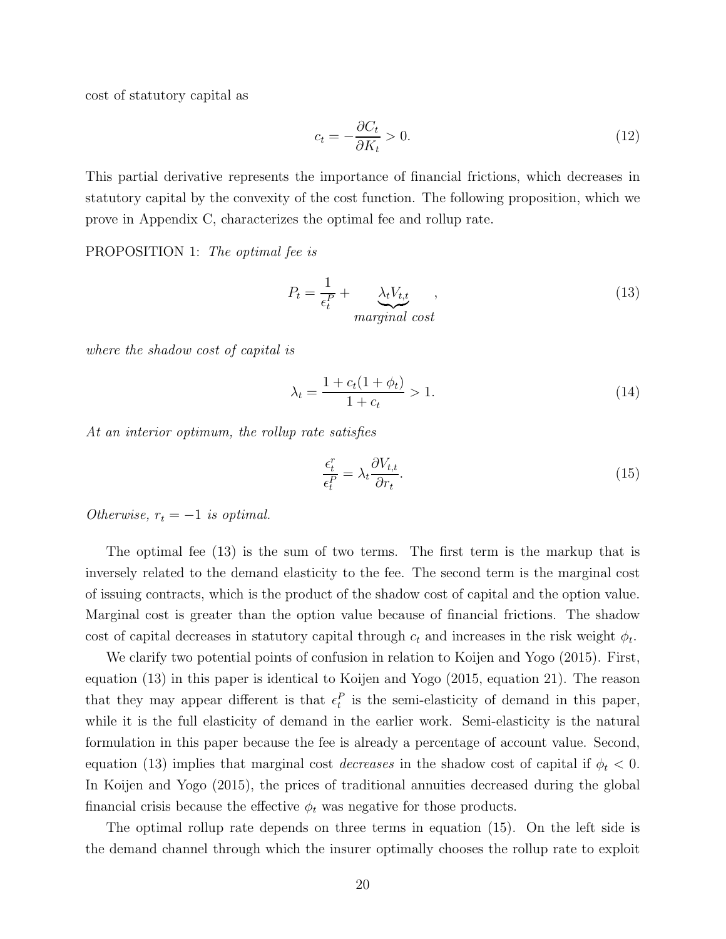cost of statutory capital as

$$
c_t = -\frac{\partial C_t}{\partial K_t} > 0. \tag{12}
$$

This partial derivative represents the importance of financial frictions, which decreases in statutory capital by the convexity of the cost function. The following proposition, which we prove in Appendix C, characterizes the optimal fee and rollup rate.

PROPOSITION 1: *The optimal fee is*

$$
P_t = \frac{1}{\epsilon_t^P} + \underbrace{\lambda_t V_{t,t}}_{marginal\ cost},
$$
\n(13)

*where the shadow cost of capital is*

$$
\lambda_t = \frac{1 + c_t(1 + \phi_t)}{1 + c_t} > 1.
$$
\n(14)

*At an interior optimum, the rollup rate satisfies*

$$
\frac{\epsilon_t^r}{\epsilon_t^P} = \lambda_t \frac{\partial V_{t,t}}{\partial r_t}.
$$
\n(15)

*Otherwise,*  $r_t = -1$  *is optimal.* 

The optimal fee (13) is the sum of two terms. The first term is the markup that is inversely related to the demand elasticity to the fee. The second term is the marginal cost of issuing contracts, which is the product of the shadow cost of capital and the option value. Marginal cost is greater than the option value because of financial frictions. The shadow cost of capital decreases in statutory capital through  $c_t$  and increases in the risk weight  $\phi_t$ .

We clarify two potential points of confusion in relation to Koijen and Yogo (2015). First, equation (13) in this paper is identical to Koijen and Yogo (2015, equation 21). The reason that they may appear different is that  $\epsilon_t^P$  is the semi-elasticity of demand in this paper, while it is the full elasticity of demand in the earlier work. Semi-elasticity is the natural formulation in this paper because the fee is already a percentage of account value. Second, equation (13) implies that marginal cost *decreases* in the shadow cost of capital if  $\phi_t < 0$ . In Koijen and Yogo (2015), the prices of traditional annuities decreased during the global financial crisis because the effective  $\phi_t$  was negative for those products.

The optimal rollup rate depends on three terms in equation (15). On the left side is the demand channel through which the insurer optimally chooses the rollup rate to exploit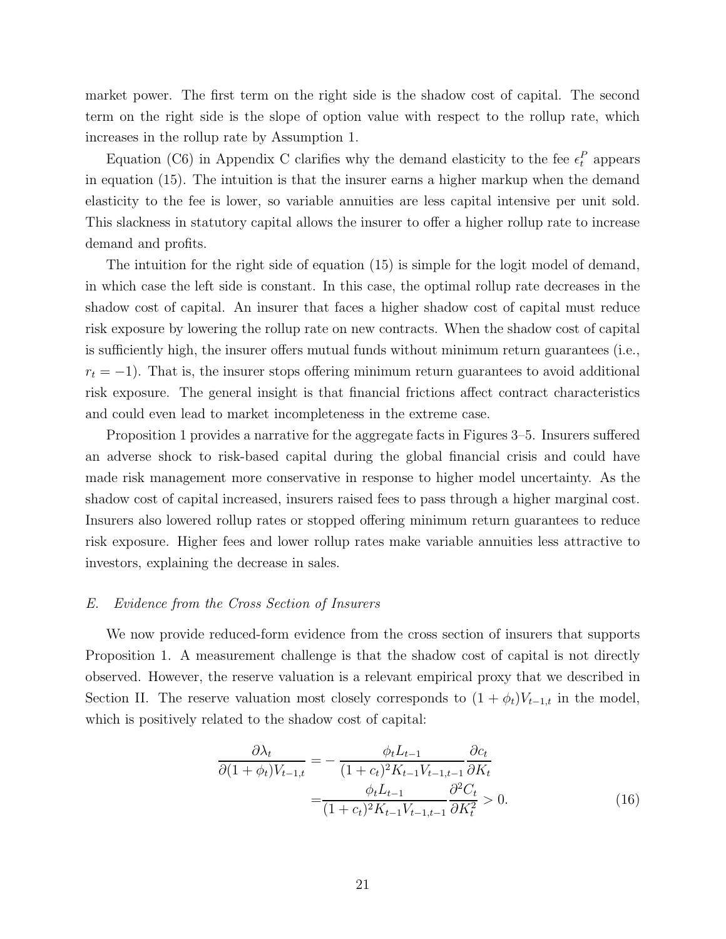market power. The first term on the right side is the shadow cost of capital. The second term on the right side is the slope of option value with respect to the rollup rate, which increases in the rollup rate by Assumption 1.

Equation (C6) in Appendix C clarifies why the demand elasticity to the fee  $\epsilon_t^P$  appears in equation (15). The intuition is that the insurer earns a higher markup when the demand elasticity to the fee is lower, so variable annuities are less capital intensive per unit sold. This slackness in statutory capital allows the insurer to offer a higher rollup rate to increase demand and profits.

The intuition for the right side of equation (15) is simple for the logit model of demand, in which case the left side is constant. In this case, the optimal rollup rate decreases in the shadow cost of capital. An insurer that faces a higher shadow cost of capital must reduce risk exposure by lowering the rollup rate on new contracts. When the shadow cost of capital is sufficiently high, the insurer offers mutual funds without minimum return guarantees (i.e.,  $r_t = -1$ ). That is, the insurer stops offering minimum return guarantees to avoid additional risk exposure. The general insight is that financial frictions affect contract characteristics and could even lead to market incompleteness in the extreme case.

Proposition 1 provides a narrative for the aggregate facts in Figures 3–5. Insurers suffered an adverse shock to risk-based capital during the global financial crisis and could have made risk management more conservative in response to higher model uncertainty. As the shadow cost of capital increased, insurers raised fees to pass through a higher marginal cost. Insurers also lowered rollup rates or stopped offering minimum return guarantees to reduce risk exposure. Higher fees and lower rollup rates make variable annuities less attractive to investors, explaining the decrease in sales.

#### *E. Evidence from the Cross Section of Insurers*

We now provide reduced-form evidence from the cross section of insurers that supports Proposition 1. A measurement challenge is that the shadow cost of capital is not directly observed. However, the reserve valuation is a relevant empirical proxy that we described in Section II. The reserve valuation most closely corresponds to  $(1 + \phi_t)V_{t-1,t}$  in the model, which is positively related to the shadow cost of capital:

$$
\frac{\partial \lambda_t}{\partial (1 + \phi_t)V_{t-1,t}} = -\frac{\phi_t L_{t-1}}{(1 + c_t)^2 K_{t-1} V_{t-1,t-1}} \frac{\partial c_t}{\partial K_t}
$$

$$
= \frac{\phi_t L_{t-1}}{(1 + c_t)^2 K_{t-1} V_{t-1,t-1}} \frac{\partial^2 C_t}{\partial K_t^2} > 0.
$$
(16)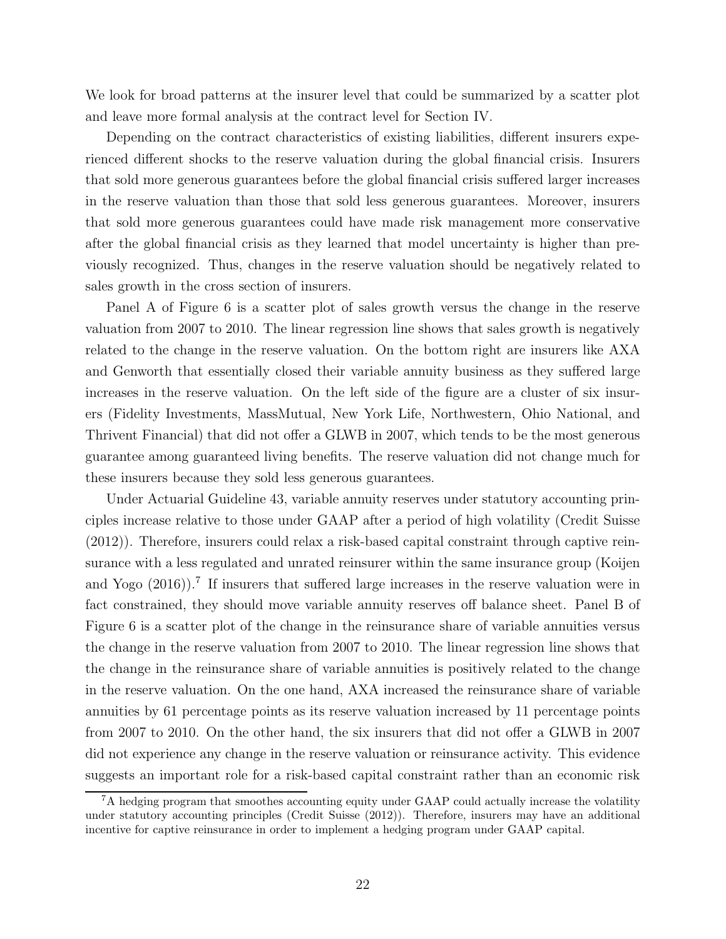We look for broad patterns at the insurer level that could be summarized by a scatter plot and leave more formal analysis at the contract level for Section IV.

Depending on the contract characteristics of existing liabilities, different insurers experienced different shocks to the reserve valuation during the global financial crisis. Insurers that sold more generous guarantees before the global financial crisis suffered larger increases in the reserve valuation than those that sold less generous guarantees. Moreover, insurers that sold more generous guarantees could have made risk management more conservative after the global financial crisis as they learned that model uncertainty is higher than previously recognized. Thus, changes in the reserve valuation should be negatively related to sales growth in the cross section of insurers.

Panel A of Figure 6 is a scatter plot of sales growth versus the change in the reserve valuation from 2007 to 2010. The linear regression line shows that sales growth is negatively related to the change in the reserve valuation. On the bottom right are insurers like AXA and Genworth that essentially closed their variable annuity business as they suffered large increases in the reserve valuation. On the left side of the figure are a cluster of six insurers (Fidelity Investments, MassMutual, New York Life, Northwestern, Ohio National, and Thrivent Financial) that did not offer a GLWB in 2007, which tends to be the most generous guarantee among guaranteed living benefits. The reserve valuation did not change much for these insurers because they sold less generous guarantees.

Under Actuarial Guideline 43, variable annuity reserves under statutory accounting principles increase relative to those under GAAP after a period of high volatility (Credit Suisse (2012)). Therefore, insurers could relax a risk-based capital constraint through captive reinsurance with a less regulated and unrated reinsurer within the same insurance group (Koijen and Yogo  $(2016)$ .<sup>7</sup> If insurers that suffered large increases in the reserve valuation were in fact constrained, they should move variable annuity reserves off balance sheet. Panel B of Figure 6 is a scatter plot of the change in the reinsurance share of variable annuities versus the change in the reserve valuation from 2007 to 2010. The linear regression line shows that the change in the reinsurance share of variable annuities is positively related to the change in the reserve valuation. On the one hand, AXA increased the reinsurance share of variable annuities by 61 percentage points as its reserve valuation increased by 11 percentage points from 2007 to 2010. On the other hand, the six insurers that did not offer a GLWB in 2007 did not experience any change in the reserve valuation or reinsurance activity. This evidence suggests an important role for a risk-based capital constraint rather than an economic risk

<sup>&</sup>lt;sup>7</sup>A hedging program that smoothes accounting equity under GAAP could actually increase the volatility under statutory accounting principles (Credit Suisse (2012)). Therefore, insurers may have an additional incentive for captive reinsurance in order to implement a hedging program under GAAP capital.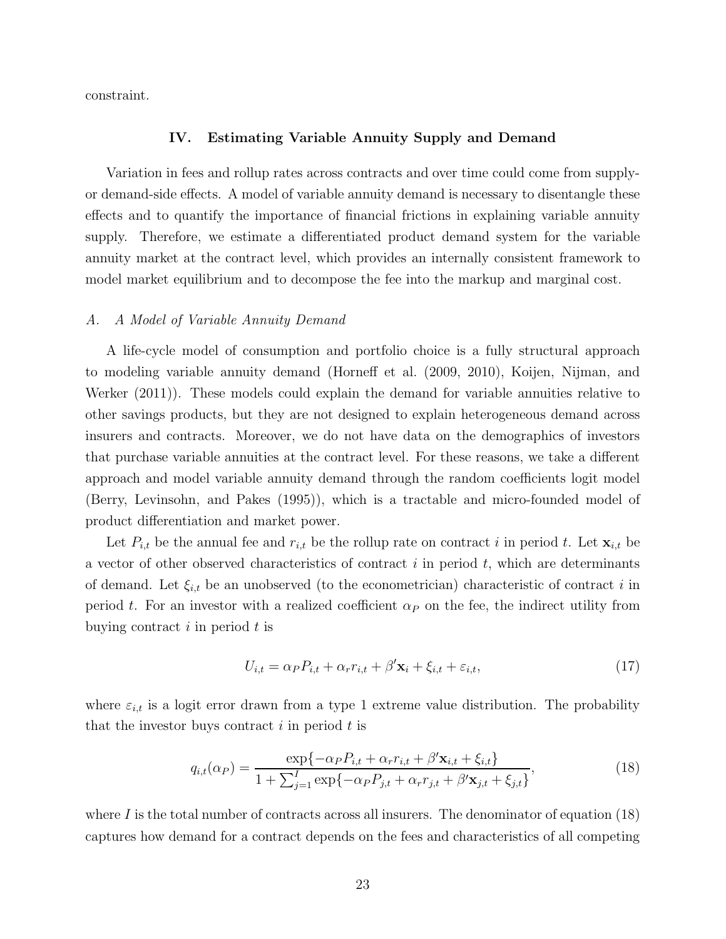constraint.

#### **IV. Estimating Variable Annuity Supply and Demand**

Variation in fees and rollup rates across contracts and over time could come from supplyor demand-side effects. A model of variable annuity demand is necessary to disentangle these effects and to quantify the importance of financial frictions in explaining variable annuity supply. Therefore, we estimate a differentiated product demand system for the variable annuity market at the contract level, which provides an internally consistent framework to model market equilibrium and to decompose the fee into the markup and marginal cost.

#### *A. A Model of Variable Annuity Demand*

A life-cycle model of consumption and portfolio choice is a fully structural approach to modeling variable annuity demand (Horneff et al. (2009, 2010), Koijen, Nijman, and Werker (2011)). These models could explain the demand for variable annuities relative to other savings products, but they are not designed to explain heterogeneous demand across insurers and contracts. Moreover, we do not have data on the demographics of investors that purchase variable annuities at the contract level. For these reasons, we take a different approach and model variable annuity demand through the random coefficients logit model (Berry, Levinsohn, and Pakes (1995)), which is a tractable and micro-founded model of product differentiation and market power.

Let  $P_{i,t}$  be the annual fee and  $r_{i,t}$  be the rollup rate on contract i in period t. Let  $\mathbf{x}_{i,t}$  be a vector of other observed characteristics of contract  $i$  in period  $t$ , which are determinants of demand. Let  $\xi_{i,t}$  be an unobserved (to the econometrician) characteristic of contract i in period t. For an investor with a realized coefficient  $\alpha_P$  on the fee, the indirect utility from buying contract  $i$  in period  $t$  is

$$
U_{i,t} = \alpha_P P_{i,t} + \alpha_r r_{i,t} + \beta' \mathbf{x}_i + \xi_{i,t} + \varepsilon_{i,t},\tag{17}
$$

where  $\varepsilon_{i,t}$  is a logit error drawn from a type 1 extreme value distribution. The probability that the investor buys contract  $i$  in period  $t$  is

$$
q_{i,t}(\alpha_P) = \frac{\exp\{-\alpha_P P_{i,t} + \alpha_r r_{i,t} + \beta' \mathbf{x}_{i,t} + \xi_{i,t}\}}{1 + \sum_{j=1}^I \exp\{-\alpha_P P_{j,t} + \alpha_r r_{j,t} + \beta' \mathbf{x}_{j,t} + \xi_{j,t}\}},
$$
(18)

where  $I$  is the total number of contracts across all insurers. The denominator of equation (18) captures how demand for a contract depends on the fees and characteristics of all competing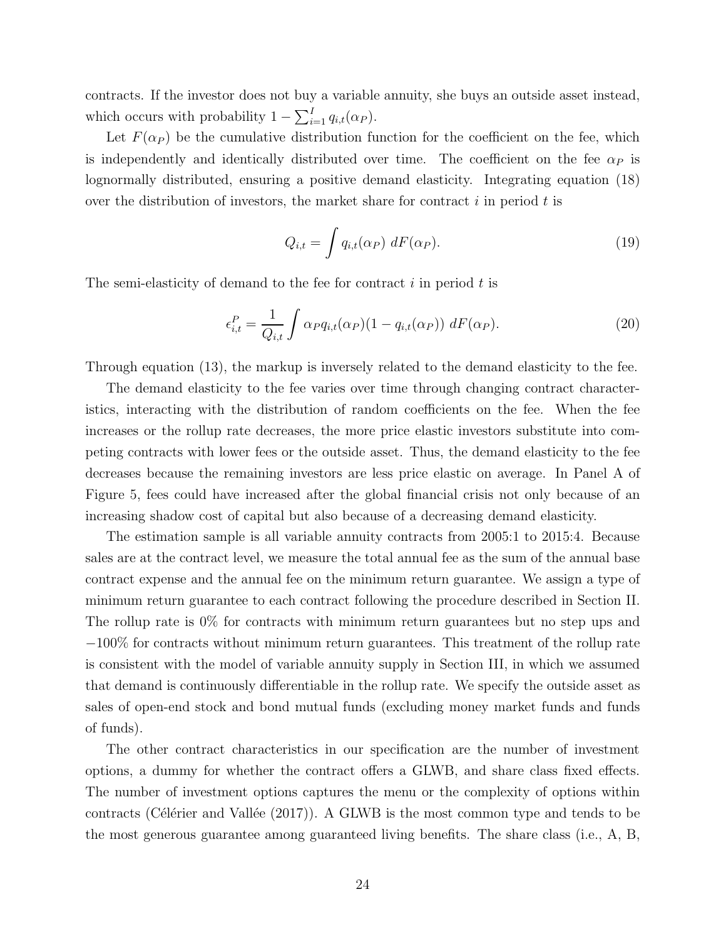contracts. If the investor does not buy a variable annuity, she buys an outside asset instead, which occurs with probability  $1 - \sum_{i=1}^{I} q_{i,t}(\alpha_P)$ .

Let  $F(\alpha_P)$  be the cumulative distribution function for the coefficient on the fee, which is independently and identically distributed over time. The coefficient on the fee  $\alpha_P$  is lognormally distributed, ensuring a positive demand elasticity. Integrating equation (18) over the distribution of investors, the market share for contract  $i$  in period  $t$  is

$$
Q_{i,t} = \int q_{i,t}(\alpha_P) \, dF(\alpha_P). \tag{19}
$$

The semi-elasticity of demand to the fee for contract  $i$  in period  $t$  is

$$
\epsilon_{i,t}^P = \frac{1}{Q_{i,t}} \int \alpha_P q_{i,t}(\alpha_P)(1 - q_{i,t}(\alpha_P)) \, dF(\alpha_P). \tag{20}
$$

Through equation (13), the markup is inversely related to the demand elasticity to the fee.

The demand elasticity to the fee varies over time through changing contract characteristics, interacting with the distribution of random coefficients on the fee. When the fee increases or the rollup rate decreases, the more price elastic investors substitute into competing contracts with lower fees or the outside asset. Thus, the demand elasticity to the fee decreases because the remaining investors are less price elastic on average. In Panel A of Figure 5, fees could have increased after the global financial crisis not only because of an increasing shadow cost of capital but also because of a decreasing demand elasticity.

The estimation sample is all variable annuity contracts from 2005:1 to 2015:4. Because sales are at the contract level, we measure the total annual fee as the sum of the annual base contract expense and the annual fee on the minimum return guarantee. We assign a type of minimum return guarantee to each contract following the procedure described in Section II. The rollup rate is 0% for contracts with minimum return guarantees but no step ups and −100% for contracts without minimum return guarantees. This treatment of the rollup rate is consistent with the model of variable annuity supply in Section III, in which we assumed that demand is continuously differentiable in the rollup rate. We specify the outside asset as sales of open-end stock and bond mutual funds (excluding money market funds and funds of funds).

The other contract characteristics in our specification are the number of investment options, a dummy for whether the contract offers a GLWB, and share class fixed effects. The number of investment options captures the menu or the complexity of options within contracts (Célérier and Vallée  $(2017)$ ). A GLWB is the most common type and tends to be the most generous guarantee among guaranteed living benefits. The share class (i.e., A, B,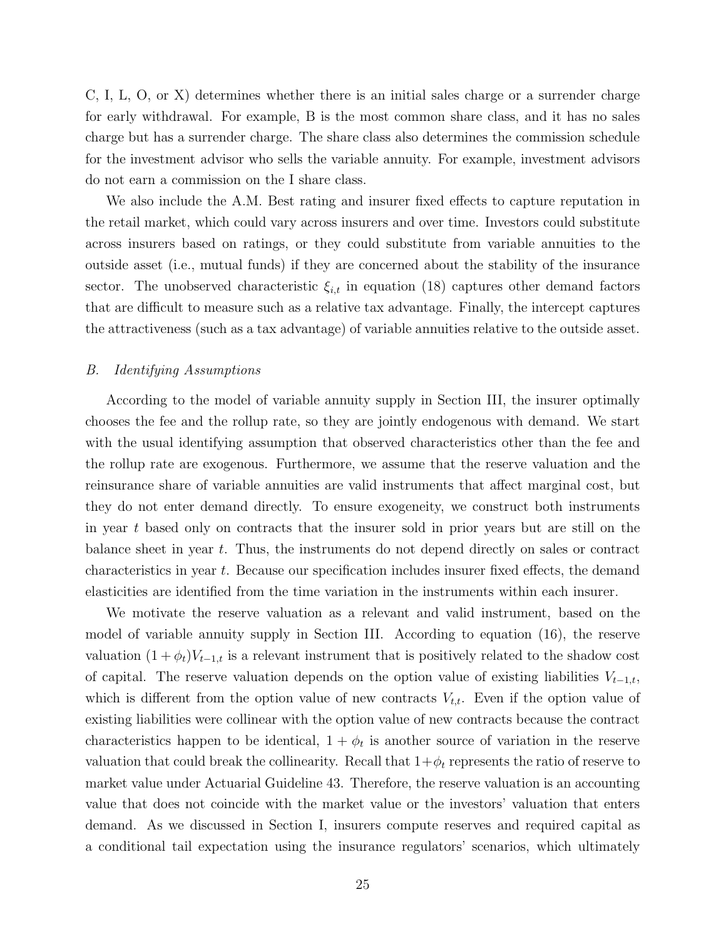C, I, L, O, or X) determines whether there is an initial sales charge or a surrender charge for early withdrawal. For example, B is the most common share class, and it has no sales charge but has a surrender charge. The share class also determines the commission schedule for the investment advisor who sells the variable annuity. For example, investment advisors do not earn a commission on the I share class.

We also include the A.M. Best rating and insurer fixed effects to capture reputation in the retail market, which could vary across insurers and over time. Investors could substitute across insurers based on ratings, or they could substitute from variable annuities to the outside asset (i.e., mutual funds) if they are concerned about the stability of the insurance sector. The unobserved characteristic  $\xi_{i,t}$  in equation (18) captures other demand factors that are difficult to measure such as a relative tax advantage. Finally, the intercept captures the attractiveness (such as a tax advantage) of variable annuities relative to the outside asset.

#### *B. Identifying Assumptions*

According to the model of variable annuity supply in Section III, the insurer optimally chooses the fee and the rollup rate, so they are jointly endogenous with demand. We start with the usual identifying assumption that observed characteristics other than the fee and the rollup rate are exogenous. Furthermore, we assume that the reserve valuation and the reinsurance share of variable annuities are valid instruments that affect marginal cost, but they do not enter demand directly. To ensure exogeneity, we construct both instruments in year t based only on contracts that the insurer sold in prior years but are still on the balance sheet in year t. Thus, the instruments do not depend directly on sales or contract characteristics in year t. Because our specification includes insurer fixed effects, the demand elasticities are identified from the time variation in the instruments within each insurer.

We motivate the reserve valuation as a relevant and valid instrument, based on the model of variable annuity supply in Section III. According to equation (16), the reserve valuation  $(1 + \phi_t)V_{t-1,t}$  is a relevant instrument that is positively related to the shadow cost of capital. The reserve valuation depends on the option value of existing liabilities  $V_{t-1,t}$ , which is different from the option value of new contracts  $V_{t,t}$ . Even if the option value of existing liabilities were collinear with the option value of new contracts because the contract characteristics happen to be identical,  $1 + \phi_t$  is another source of variation in the reserve valuation that could break the collinearity. Recall that  $1+\phi_t$  represents the ratio of reserve to market value under Actuarial Guideline 43. Therefore, the reserve valuation is an accounting value that does not coincide with the market value or the investors' valuation that enters demand. As we discussed in Section I, insurers compute reserves and required capital as a conditional tail expectation using the insurance regulators' scenarios, which ultimately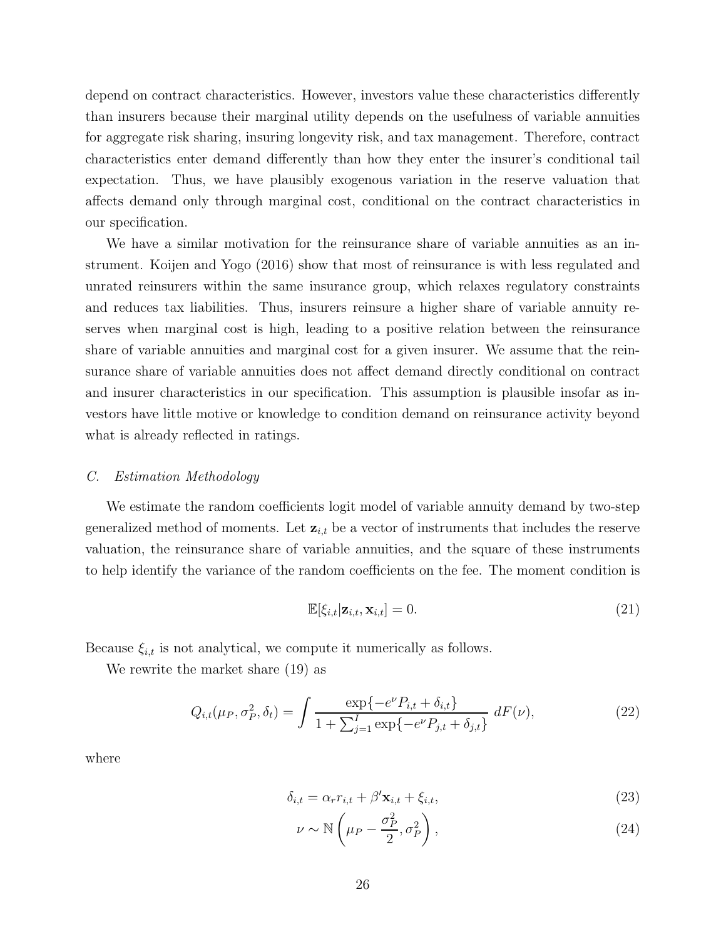depend on contract characteristics. However, investors value these characteristics differently than insurers because their marginal utility depends on the usefulness of variable annuities for aggregate risk sharing, insuring longevity risk, and tax management. Therefore, contract characteristics enter demand differently than how they enter the insurer's conditional tail expectation. Thus, we have plausibly exogenous variation in the reserve valuation that affects demand only through marginal cost, conditional on the contract characteristics in our specification.

We have a similar motivation for the reinsurance share of variable annuities as an instrument. Koijen and Yogo (2016) show that most of reinsurance is with less regulated and unrated reinsurers within the same insurance group, which relaxes regulatory constraints and reduces tax liabilities. Thus, insurers reinsure a higher share of variable annuity reserves when marginal cost is high, leading to a positive relation between the reinsurance share of variable annuities and marginal cost for a given insurer. We assume that the reinsurance share of variable annuities does not affect demand directly conditional on contract and insurer characteristics in our specification. This assumption is plausible insofar as investors have little motive or knowledge to condition demand on reinsurance activity beyond what is already reflected in ratings.

#### *C. Estimation Methodology*

We estimate the random coefficients logit model of variable annuity demand by two-step generalized method of moments. Let  $\mathbf{z}_{i,t}$  be a vector of instruments that includes the reserve valuation, the reinsurance share of variable annuities, and the square of these instruments to help identify the variance of the random coefficients on the fee. The moment condition is

$$
\mathbb{E}[\xi_{i,t}|\mathbf{z}_{i,t},\mathbf{x}_{i,t}] = 0. \tag{21}
$$

Because  $\xi_{i,t}$  is not analytical, we compute it numerically as follows.

We rewrite the market share (19) as

$$
Q_{i,t}(\mu_P, \sigma_P^2, \delta_t) = \int \frac{\exp\{-e^{\nu} P_{i,t} + \delta_{i,t}\}}{1 + \sum_{j=1}^I \exp\{-e^{\nu} P_{j,t} + \delta_{j,t}\}} \, dF(\nu), \tag{22}
$$

where

$$
\delta_{i,t} = \alpha_r r_{i,t} + \beta' \mathbf{x}_{i,t} + \xi_{i,t},\tag{23}
$$

$$
\nu \sim \mathbb{N}\left(\mu - \frac{\sigma_P^2}{2}, \sigma_P^2\right),\tag{24}
$$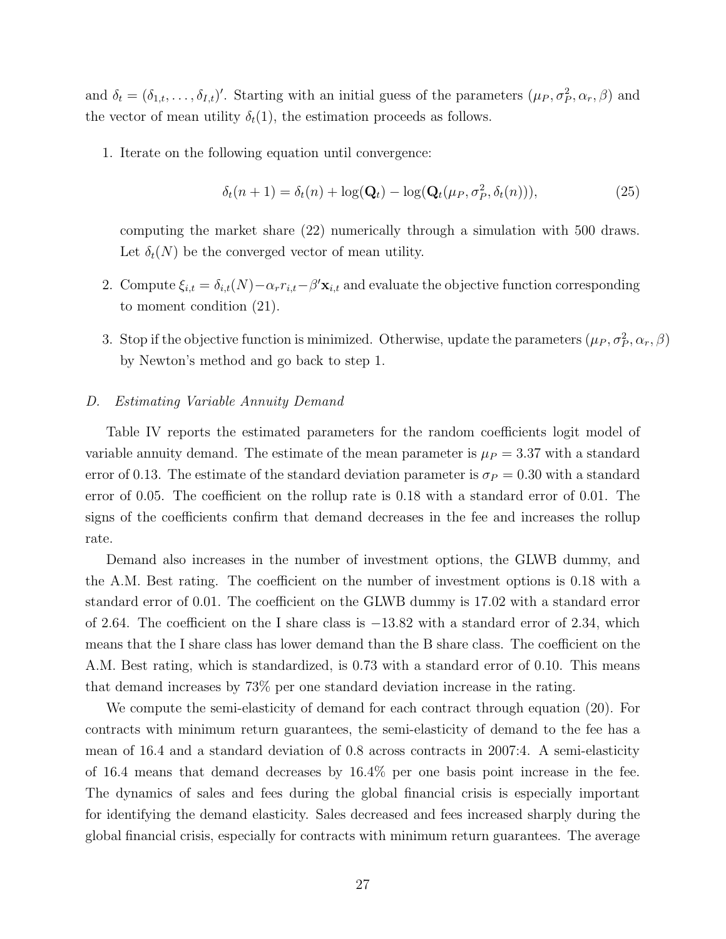and  $\delta_t = (\delta_{1,t}, \ldots, \delta_{I,t})'$ . Starting with an initial guess of the parameters  $(\mu_P, \sigma_P^2, \alpha_r, \beta)$  and the vector of mean utility  $\delta_t(1)$ , the estimation proceeds as follows.

1. Iterate on the following equation until convergence:

$$
\delta_t(n+1) = \delta_t(n) + \log(\mathbf{Q}_t) - \log(\mathbf{Q}_t(\mu_P, \sigma_P^2, \delta_t(n))),
$$
\n(25)

computing the market share (22) numerically through a simulation with 500 draws. Let  $\delta_t(N)$  be the converged vector of mean utility.

- 2. Compute  $\xi_{i,t} = \delta_{i,t}(N) \alpha_r r_{i,t} \beta' \mathbf{x}_{i,t}$  and evaluate the objective function corresponding to moment condition (21).
- 3. Stop if the objective function is minimized. Otherwise, update the parameters  $(\mu_P, \sigma_P^2, \alpha_r, \beta)$ by Newton's method and go back to step 1.

#### *D. Estimating Variable Annuity Demand*

Table IV reports the estimated parameters for the random coefficients logit model of variable annuity demand. The estimate of the mean parameter is  $\mu_P = 3.37$  with a standard error of 0.13. The estimate of the standard deviation parameter is  $\sigma_P = 0.30$  with a standard error of 0.05. The coefficient on the rollup rate is 0.18 with a standard error of 0.01. The signs of the coefficients confirm that demand decreases in the fee and increases the rollup rate.

Demand also increases in the number of investment options, the GLWB dummy, and the A.M. Best rating. The coefficient on the number of investment options is 0.18 with a standard error of 0.01. The coefficient on the GLWB dummy is 17.02 with a standard error of 2.64. The coefficient on the I share class is −13.82 with a standard error of 2.34, which means that the I share class has lower demand than the B share class. The coefficient on the A.M. Best rating, which is standardized, is 0.73 with a standard error of 0.10. This means that demand increases by 73% per one standard deviation increase in the rating.

We compute the semi-elasticity of demand for each contract through equation (20). For contracts with minimum return guarantees, the semi-elasticity of demand to the fee has a mean of 16.4 and a standard deviation of 0.8 across contracts in 2007:4. A semi-elasticity of 16.4 means that demand decreases by 16.4% per one basis point increase in the fee. The dynamics of sales and fees during the global financial crisis is especially important for identifying the demand elasticity. Sales decreased and fees increased sharply during the global financial crisis, especially for contracts with minimum return guarantees. The average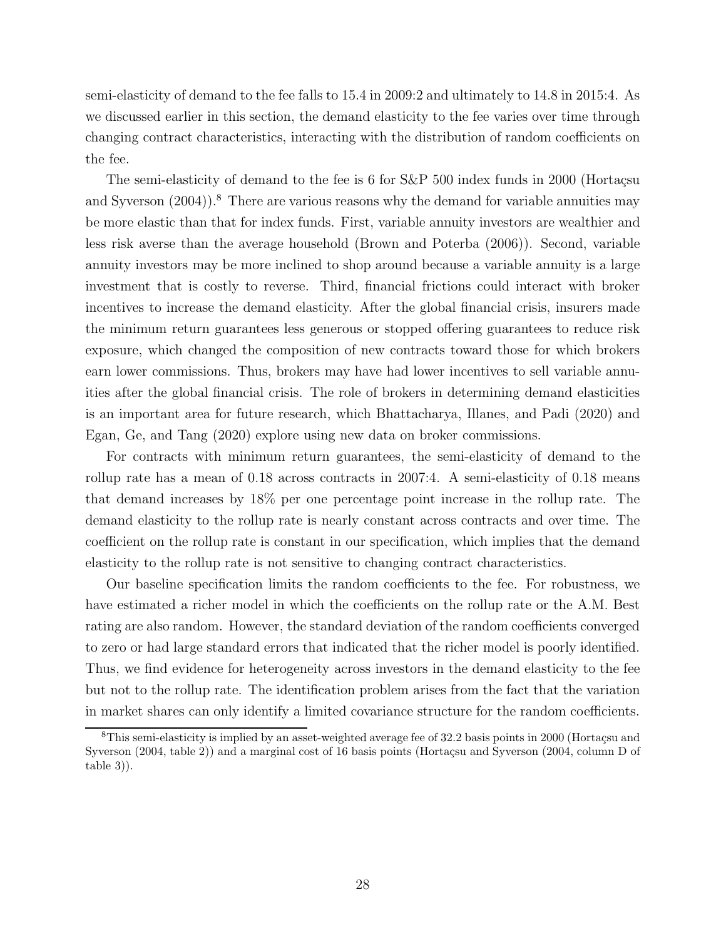semi-elasticity of demand to the fee falls to 15.4 in 2009:2 and ultimately to 14.8 in 2015:4. As we discussed earlier in this section, the demand elasticity to the fee varies over time through changing contract characteristics, interacting with the distribution of random coefficients on the fee.

The semi-elasticity of demand to the fee is 6 for  $S\&P$  500 index funds in 2000 (Hortaçsu and Syverson  $(2004)$ .<sup>8</sup> There are various reasons why the demand for variable annuities may be more elastic than that for index funds. First, variable annuity investors are wealthier and less risk averse than the average household (Brown and Poterba (2006)). Second, variable annuity investors may be more inclined to shop around because a variable annuity is a large investment that is costly to reverse. Third, financial frictions could interact with broker incentives to increase the demand elasticity. After the global financial crisis, insurers made the minimum return guarantees less generous or stopped offering guarantees to reduce risk exposure, which changed the composition of new contracts toward those for which brokers earn lower commissions. Thus, brokers may have had lower incentives to sell variable annuities after the global financial crisis. The role of brokers in determining demand elasticities is an important area for future research, which Bhattacharya, Illanes, and Padi (2020) and Egan, Ge, and Tang (2020) explore using new data on broker commissions.

For contracts with minimum return guarantees, the semi-elasticity of demand to the rollup rate has a mean of 0.18 across contracts in 2007:4. A semi-elasticity of 0.18 means that demand increases by 18% per one percentage point increase in the rollup rate. The demand elasticity to the rollup rate is nearly constant across contracts and over time. The coefficient on the rollup rate is constant in our specification, which implies that the demand elasticity to the rollup rate is not sensitive to changing contract characteristics.

Our baseline specification limits the random coefficients to the fee. For robustness, we have estimated a richer model in which the coefficients on the rollup rate or the A.M. Best rating are also random. However, the standard deviation of the random coefficients converged to zero or had large standard errors that indicated that the richer model is poorly identified. Thus, we find evidence for heterogeneity across investors in the demand elasticity to the fee but not to the rollup rate. The identification problem arises from the fact that the variation in market shares can only identify a limited covariance structure for the random coefficients.

 $8$ This semi-elasticity is implied by an asset-weighted average fee of 32.2 basis points in 2000 (Hortaçsu and Syverson (2004, table 2)) and a marginal cost of 16 basis points (Hortaçsu and Syverson (2004, column D of table 3)).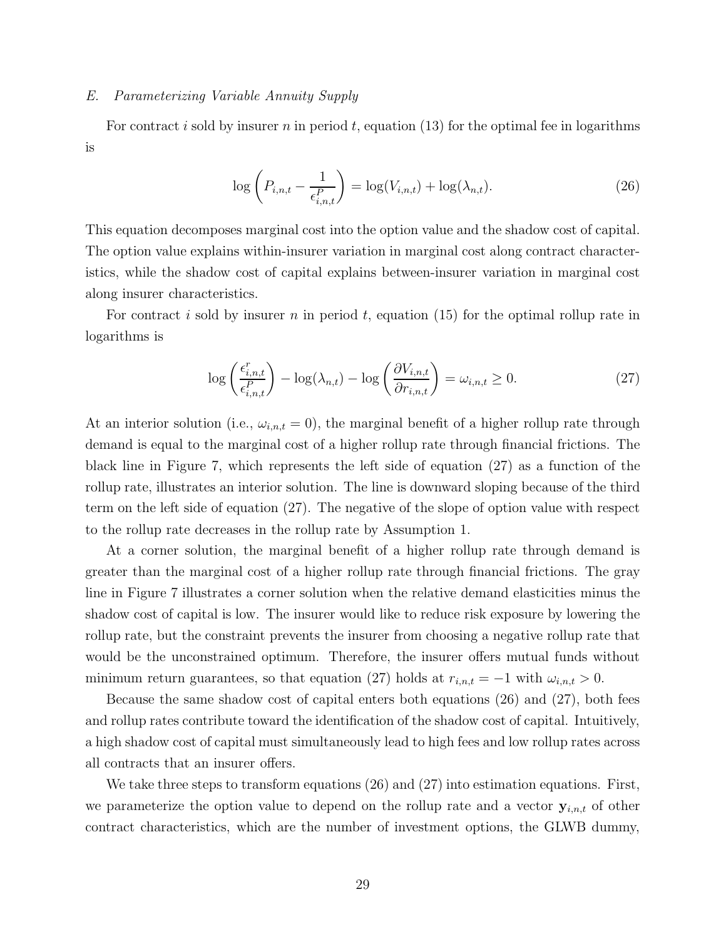#### *E. Parameterizing Variable Annuity Supply*

For contract i sold by insurer n in period t, equation (13) for the optimal fee in logarithms is

$$
\log\left(P_{i,n,t} - \frac{1}{\epsilon_{i,n,t}^P}\right) = \log(V_{i,n,t}) + \log(\lambda_{n,t}).\tag{26}
$$

This equation decomposes marginal cost into the option value and the shadow cost of capital. The option value explains within-insurer variation in marginal cost along contract characteristics, while the shadow cost of capital explains between-insurer variation in marginal cost along insurer characteristics.

For contract i sold by insurer n in period t, equation (15) for the optimal rollup rate in logarithms is

$$
\log\left(\frac{\epsilon_{i,n,t}^r}{\epsilon_{i,n,t}^P}\right) - \log(\lambda_{n,t}) - \log\left(\frac{\partial V_{i,n,t}}{\partial r_{i,n,t}}\right) = \omega_{i,n,t} \ge 0. \tag{27}
$$

At an interior solution (i.e.,  $\omega_{i,n,t} = 0$ ), the marginal benefit of a higher rollup rate through demand is equal to the marginal cost of a higher rollup rate through financial frictions. The black line in Figure 7, which represents the left side of equation (27) as a function of the rollup rate, illustrates an interior solution. The line is downward sloping because of the third term on the left side of equation (27). The negative of the slope of option value with respect to the rollup rate decreases in the rollup rate by Assumption 1.

At a corner solution, the marginal benefit of a higher rollup rate through demand is greater than the marginal cost of a higher rollup rate through financial frictions. The gray line in Figure 7 illustrates a corner solution when the relative demand elasticities minus the shadow cost of capital is low. The insurer would like to reduce risk exposure by lowering the rollup rate, but the constraint prevents the insurer from choosing a negative rollup rate that would be the unconstrained optimum. Therefore, the insurer offers mutual funds without minimum return guarantees, so that equation (27) holds at  $r_{i,n,t} = -1$  with  $\omega_{i,n,t} > 0$ .

Because the same shadow cost of capital enters both equations (26) and (27), both fees and rollup rates contribute toward the identification of the shadow cost of capital. Intuitively, a high shadow cost of capital must simultaneously lead to high fees and low rollup rates across all contracts that an insurer offers.

We take three steps to transform equations (26) and (27) into estimation equations. First, we parameterize the option value to depend on the rollup rate and a vector  $y_{i,n,t}$  of other contract characteristics, which are the number of investment options, the GLWB dummy,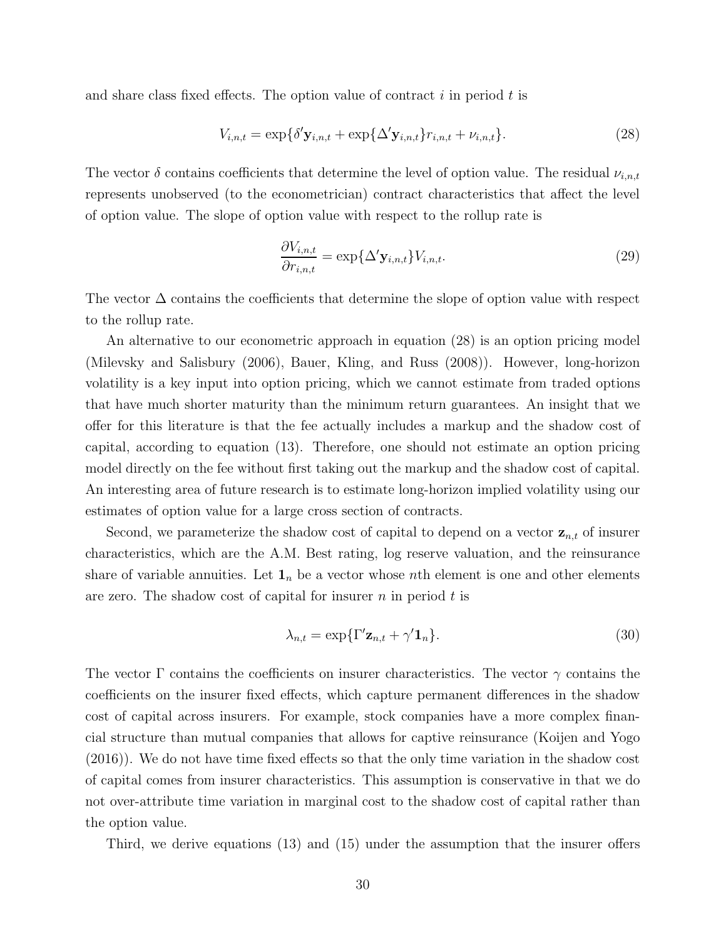and share class fixed effects. The option value of contract  $i$  in period  $t$  is

$$
V_{i,n,t} = \exp\{\delta' \mathbf{y}_{i,n,t} + \exp\{\Delta' \mathbf{y}_{i,n,t}\} r_{i,n,t} + \nu_{i,n,t}\}.
$$
\n(28)

The vector  $\delta$  contains coefficients that determine the level of option value. The residual  $\nu_{i,n,t}$ represents unobserved (to the econometrician) contract characteristics that affect the level of option value. The slope of option value with respect to the rollup rate is

$$
\frac{\partial V_{i,n,t}}{\partial r_{i,n,t}} = \exp\{\Delta' \mathbf{y}_{i,n,t}\} V_{i,n,t}.
$$
\n(29)

The vector  $\Delta$  contains the coefficients that determine the slope of option value with respect to the rollup rate.

An alternative to our econometric approach in equation (28) is an option pricing model (Milevsky and Salisbury (2006), Bauer, Kling, and Russ (2008)). However, long-horizon volatility is a key input into option pricing, which we cannot estimate from traded options that have much shorter maturity than the minimum return guarantees. An insight that we offer for this literature is that the fee actually includes a markup and the shadow cost of capital, according to equation (13). Therefore, one should not estimate an option pricing model directly on the fee without first taking out the markup and the shadow cost of capital. An interesting area of future research is to estimate long-horizon implied volatility using our estimates of option value for a large cross section of contracts.

Second, we parameterize the shadow cost of capital to depend on a vector  $z_{n,t}$  of insurer characteristics, which are the A.M. Best rating, log reserve valuation, and the reinsurance share of variable annuities. Let  $\mathbf{1}_n$  be a vector whose nth element is one and other elements are zero. The shadow cost of capital for insurer  $n$  in period  $t$  is

$$
\lambda_{n,t} = \exp\{\Gamma' \mathbf{z}_{n,t} + \gamma' \mathbf{1}_n\}.
$$
\n(30)

The vector  $\Gamma$  contains the coefficients on insurer characteristics. The vector  $\gamma$  contains the coefficients on the insurer fixed effects, which capture permanent differences in the shadow cost of capital across insurers. For example, stock companies have a more complex financial structure than mutual companies that allows for captive reinsurance (Koijen and Yogo (2016)). We do not have time fixed effects so that the only time variation in the shadow cost of capital comes from insurer characteristics. This assumption is conservative in that we do not over-attribute time variation in marginal cost to the shadow cost of capital rather than the option value.

Third, we derive equations (13) and (15) under the assumption that the insurer offers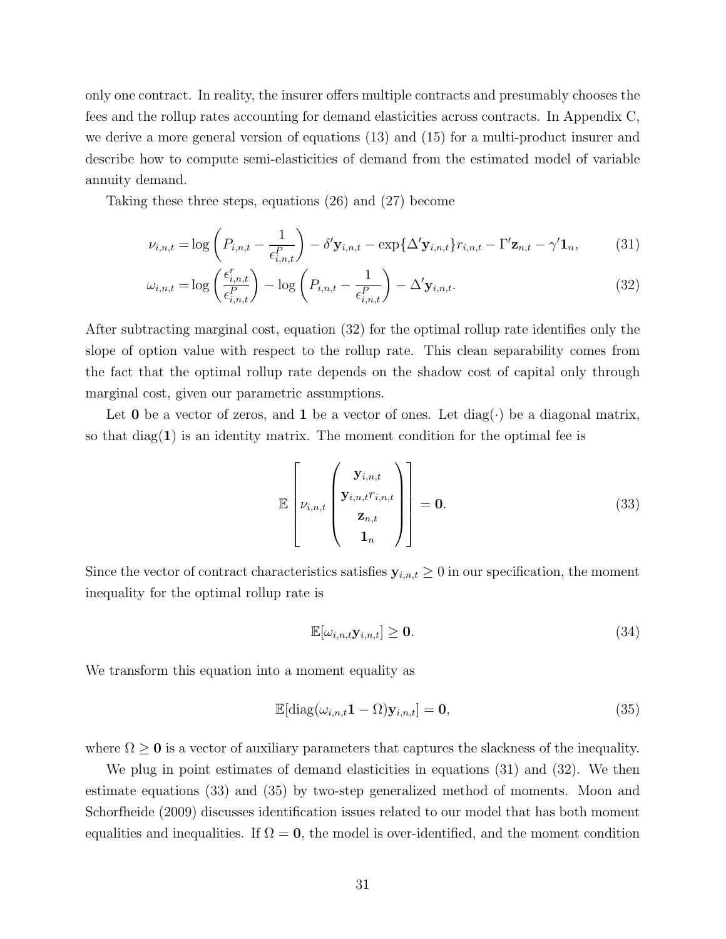only one contract. In reality, the insurer offers multiple contracts and presumably chooses the fees and the rollup rates accounting for demand elasticities across contracts. In Appendix C, we derive a more general version of equations (13) and (15) for a multi-product insurer and describe how to compute semi-elasticities of demand from the estimated model of variable annuity demand.

Taking these three steps, equations (26) and (27) become

$$
\nu_{i,n,t} = \log \left( P_{i,n,t} - \frac{1}{\epsilon_{i,n,t}^P} \right) - \delta' \mathbf{y}_{i,n,t} - \exp \{ \Delta' \mathbf{y}_{i,n,t} \} r_{i,n,t} - \Gamma' \mathbf{z}_{n,t} - \gamma' \mathbf{1}_n, \tag{31}
$$

$$
\omega_{i,n,t} = \log\left(\frac{\epsilon_{i,n,t}^r}{\epsilon_{i,n,t}^P}\right) - \log\left(P_{i,n,t} - \frac{1}{\epsilon_{i,n,t}^P}\right) - \Delta' \mathbf{y}_{i,n,t}.
$$
\n(32)

After subtracting marginal cost, equation (32) for the optimal rollup rate identifies only the slope of option value with respect to the rollup rate. This clean separability comes from the fact that the optimal rollup rate depends on the shadow cost of capital only through marginal cost, given our parametric assumptions.

Let **0** be a vector of zeros, and **1** be a vector of ones. Let  $diag(\cdot)$  be a diagonal matrix, so that  $\text{diag}(1)$  is an identity matrix. The moment condition for the optimal fee is

$$
\mathbb{E}\left[\nu_{i,n,t}\begin{pmatrix} \mathbf{y}_{i,n,t} \\ \mathbf{y}_{i,n,t}r_{i,n,t} \\ \mathbf{z}_{n,t} \\ \mathbf{1}_n \end{pmatrix}\right] = \mathbf{0}.
$$
\n(33)

Since the vector of contract characteristics satisfies  $y_{i,n,t} \geq 0$  in our specification, the moment inequality for the optimal rollup rate is

$$
\mathbb{E}[\omega_{i,n,t} \mathbf{y}_{i,n,t}] \ge \mathbf{0}.\tag{34}
$$

We transform this equation into a moment equality as

$$
\mathbb{E}[\text{diag}(\omega_{i,n,t}\mathbf{1}-\Omega)\mathbf{y}_{i,n,t}]=\mathbf{0},\tag{35}
$$

where  $\Omega \geq 0$  is a vector of auxiliary parameters that captures the slackness of the inequality.

We plug in point estimates of demand elasticities in equations (31) and (32). We then estimate equations (33) and (35) by two-step generalized method of moments. Moon and Schorfheide (2009) discusses identification issues related to our model that has both moment equalities and inequalities. If  $\Omega = 0$ , the model is over-identified, and the moment condition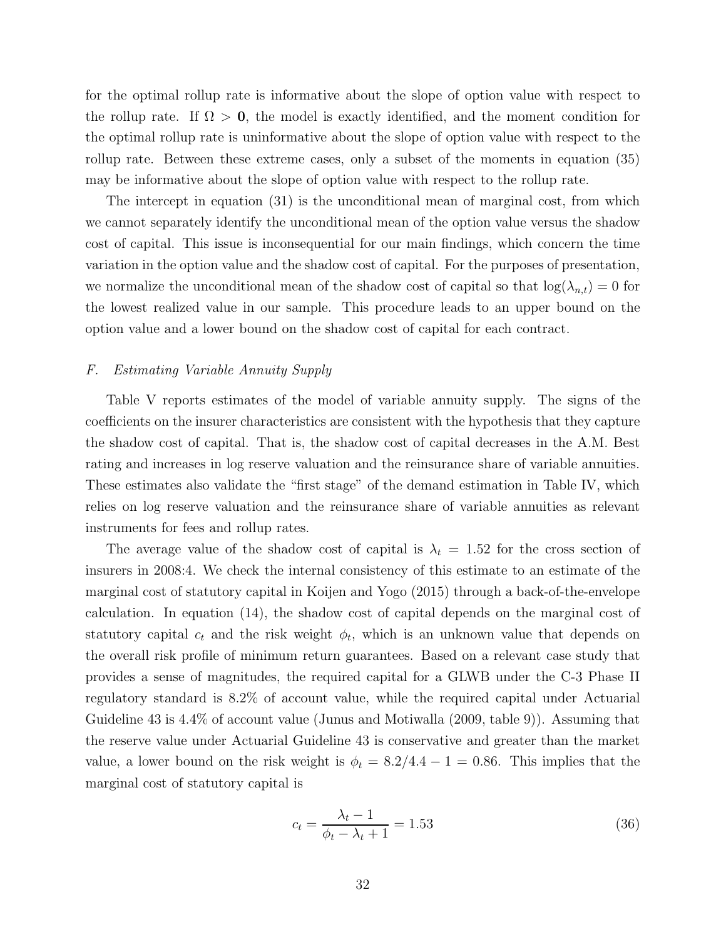for the optimal rollup rate is informative about the slope of option value with respect to the rollup rate. If  $\Omega > 0$ , the model is exactly identified, and the moment condition for the optimal rollup rate is uninformative about the slope of option value with respect to the rollup rate. Between these extreme cases, only a subset of the moments in equation (35) may be informative about the slope of option value with respect to the rollup rate.

The intercept in equation (31) is the unconditional mean of marginal cost, from which we cannot separately identify the unconditional mean of the option value versus the shadow cost of capital. This issue is inconsequential for our main findings, which concern the time variation in the option value and the shadow cost of capital. For the purposes of presentation, we normalize the unconditional mean of the shadow cost of capital so that  $log(\lambda_{n,t}) = 0$  for the lowest realized value in our sample. This procedure leads to an upper bound on the option value and a lower bound on the shadow cost of capital for each contract.

#### *F. Estimating Variable Annuity Supply*

Table V reports estimates of the model of variable annuity supply. The signs of the coefficients on the insurer characteristics are consistent with the hypothesis that they capture the shadow cost of capital. That is, the shadow cost of capital decreases in the A.M. Best rating and increases in log reserve valuation and the reinsurance share of variable annuities. These estimates also validate the "first stage" of the demand estimation in Table IV, which relies on log reserve valuation and the reinsurance share of variable annuities as relevant instruments for fees and rollup rates.

The average value of the shadow cost of capital is  $\lambda_t = 1.52$  for the cross section of insurers in 2008:4. We check the internal consistency of this estimate to an estimate of the marginal cost of statutory capital in Koijen and Yogo (2015) through a back-of-the-envelope calculation. In equation (14), the shadow cost of capital depends on the marginal cost of statutory capital  $c_t$  and the risk weight  $\phi_t$ , which is an unknown value that depends on the overall risk profile of minimum return guarantees. Based on a relevant case study that provides a sense of magnitudes, the required capital for a GLWB under the C-3 Phase II regulatory standard is 8.2% of account value, while the required capital under Actuarial Guideline 43 is 4.4% of account value (Junus and Motiwalla (2009, table 9)). Assuming that the reserve value under Actuarial Guideline 43 is conservative and greater than the market value, a lower bound on the risk weight is  $\phi_t = 8.2/4.4 - 1 = 0.86$ . This implies that the marginal cost of statutory capital is

$$
c_t = \frac{\lambda_t - 1}{\phi_t - \lambda_t + 1} = 1.53
$$
\n(36)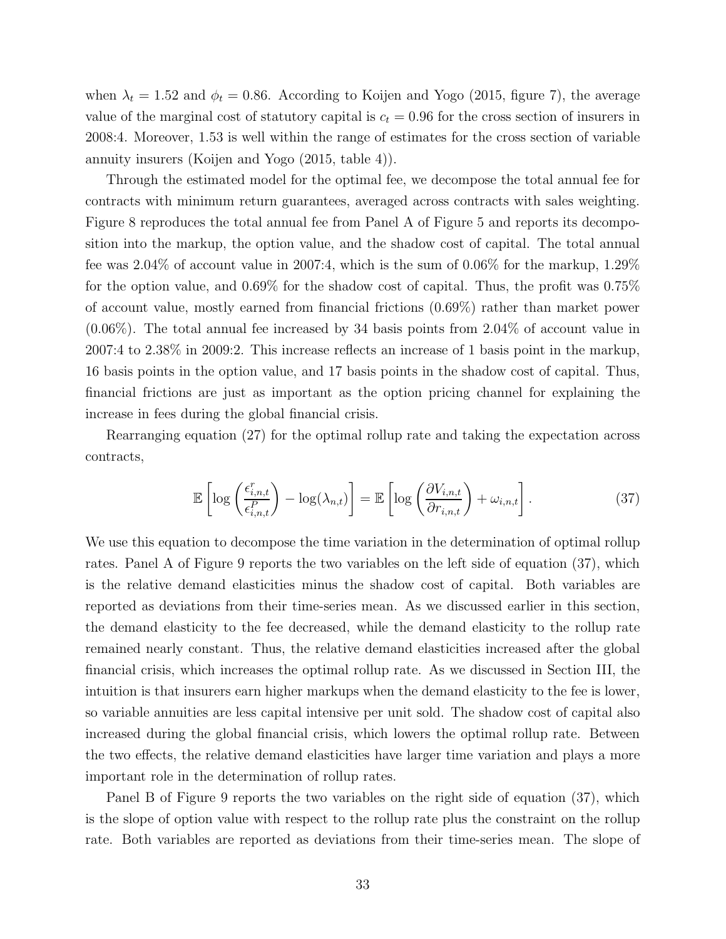when  $\lambda_t = 1.52$  and  $\phi_t = 0.86$ . According to Koijen and Yogo (2015, figure 7), the average value of the marginal cost of statutory capital is  $c_t = 0.96$  for the cross section of insurers in 2008:4. Moreover, 1.53 is well within the range of estimates for the cross section of variable annuity insurers (Koijen and Yogo (2015, table 4)).

Through the estimated model for the optimal fee, we decompose the total annual fee for contracts with minimum return guarantees, averaged across contracts with sales weighting. Figure 8 reproduces the total annual fee from Panel A of Figure 5 and reports its decomposition into the markup, the option value, and the shadow cost of capital. The total annual fee was 2.04% of account value in 2007:4, which is the sum of 0.06% for the markup, 1.29% for the option value, and 0.69% for the shadow cost of capital. Thus, the profit was 0.75% of account value, mostly earned from financial frictions (0.69%) rather than market power (0.06%). The total annual fee increased by 34 basis points from 2.04% of account value in 2007:4 to 2.38% in 2009:2. This increase reflects an increase of 1 basis point in the markup, 16 basis points in the option value, and 17 basis points in the shadow cost of capital. Thus, financial frictions are just as important as the option pricing channel for explaining the increase in fees during the global financial crisis.

Rearranging equation (27) for the optimal rollup rate and taking the expectation across contracts,

$$
\mathbb{E}\left[\log\left(\frac{\epsilon_{i,n,t}^r}{\epsilon_{i,n,t}^P}\right) - \log(\lambda_{n,t})\right] = \mathbb{E}\left[\log\left(\frac{\partial V_{i,n,t}}{\partial r_{i,n,t}}\right) + \omega_{i,n,t}\right].
$$
\n(37)

We use this equation to decompose the time variation in the determination of optimal rollup rates. Panel A of Figure 9 reports the two variables on the left side of equation (37), which is the relative demand elasticities minus the shadow cost of capital. Both variables are reported as deviations from their time-series mean. As we discussed earlier in this section, the demand elasticity to the fee decreased, while the demand elasticity to the rollup rate remained nearly constant. Thus, the relative demand elasticities increased after the global financial crisis, which increases the optimal rollup rate. As we discussed in Section III, the intuition is that insurers earn higher markups when the demand elasticity to the fee is lower, so variable annuities are less capital intensive per unit sold. The shadow cost of capital also increased during the global financial crisis, which lowers the optimal rollup rate. Between the two effects, the relative demand elasticities have larger time variation and plays a more important role in the determination of rollup rates.

Panel B of Figure 9 reports the two variables on the right side of equation (37), which is the slope of option value with respect to the rollup rate plus the constraint on the rollup rate. Both variables are reported as deviations from their time-series mean. The slope of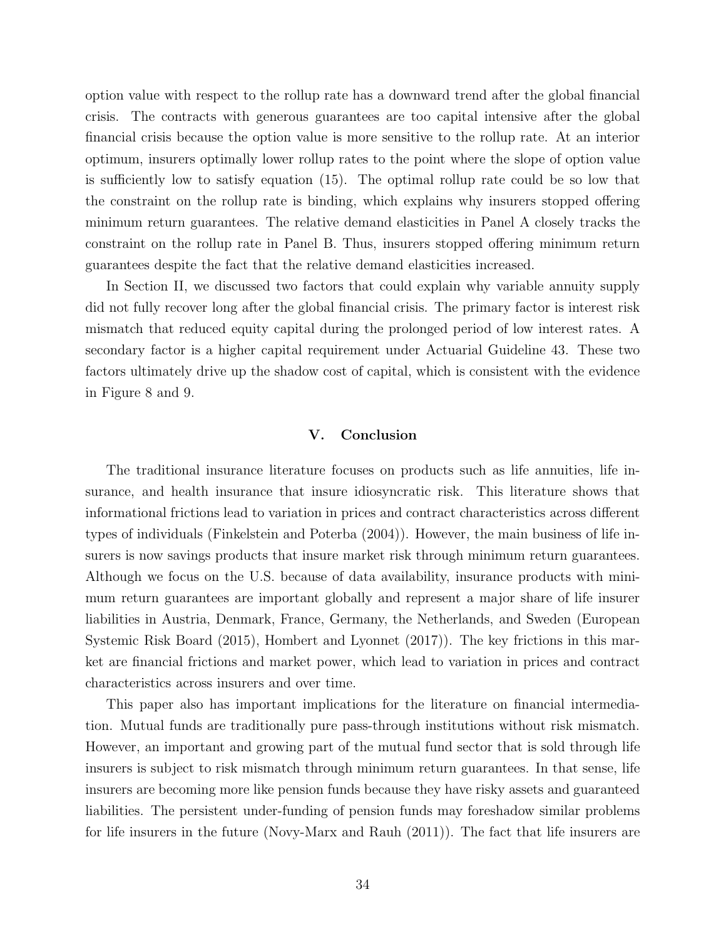option value with respect to the rollup rate has a downward trend after the global financial crisis. The contracts with generous guarantees are too capital intensive after the global financial crisis because the option value is more sensitive to the rollup rate. At an interior optimum, insurers optimally lower rollup rates to the point where the slope of option value is sufficiently low to satisfy equation (15). The optimal rollup rate could be so low that the constraint on the rollup rate is binding, which explains why insurers stopped offering minimum return guarantees. The relative demand elasticities in Panel A closely tracks the constraint on the rollup rate in Panel B. Thus, insurers stopped offering minimum return guarantees despite the fact that the relative demand elasticities increased.

In Section II, we discussed two factors that could explain why variable annuity supply did not fully recover long after the global financial crisis. The primary factor is interest risk mismatch that reduced equity capital during the prolonged period of low interest rates. A secondary factor is a higher capital requirement under Actuarial Guideline 43. These two factors ultimately drive up the shadow cost of capital, which is consistent with the evidence in Figure 8 and 9.

#### **V. Conclusion**

The traditional insurance literature focuses on products such as life annuities, life insurance, and health insurance that insure idiosyncratic risk. This literature shows that informational frictions lead to variation in prices and contract characteristics across different types of individuals (Finkelstein and Poterba (2004)). However, the main business of life insurers is now savings products that insure market risk through minimum return guarantees. Although we focus on the U.S. because of data availability, insurance products with minimum return guarantees are important globally and represent a major share of life insurer liabilities in Austria, Denmark, France, Germany, the Netherlands, and Sweden (European Systemic Risk Board (2015), Hombert and Lyonnet (2017)). The key frictions in this market are financial frictions and market power, which lead to variation in prices and contract characteristics across insurers and over time.

This paper also has important implications for the literature on financial intermediation. Mutual funds are traditionally pure pass-through institutions without risk mismatch. However, an important and growing part of the mutual fund sector that is sold through life insurers is subject to risk mismatch through minimum return guarantees. In that sense, life insurers are becoming more like pension funds because they have risky assets and guaranteed liabilities. The persistent under-funding of pension funds may foreshadow similar problems for life insurers in the future (Novy-Marx and Rauh (2011)). The fact that life insurers are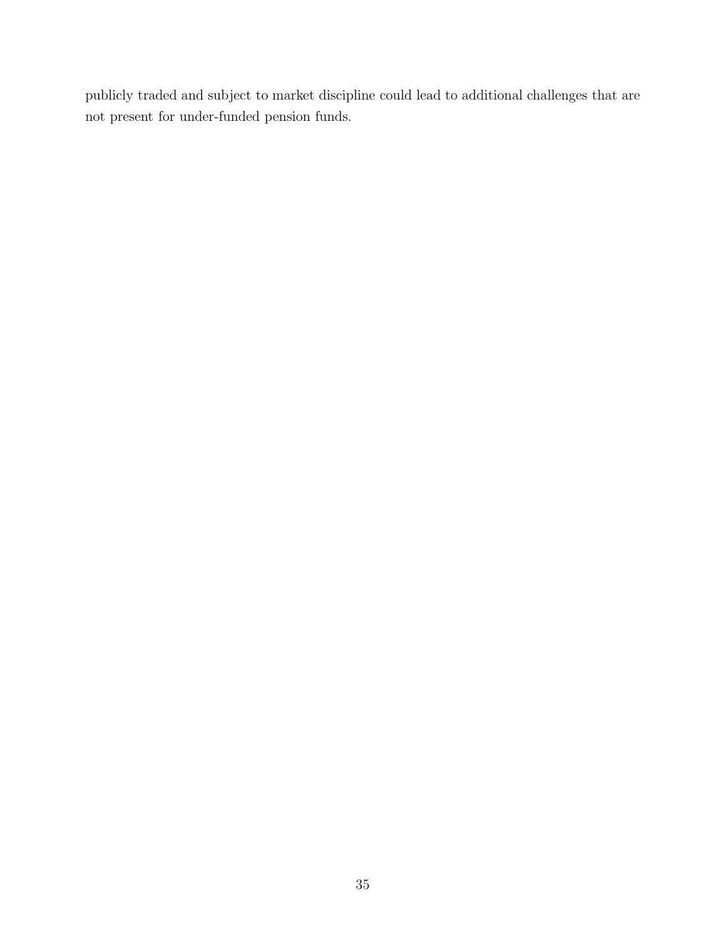publicly traded and subject to market discipline could lead to additional challenges that are not present for under-funded pension funds.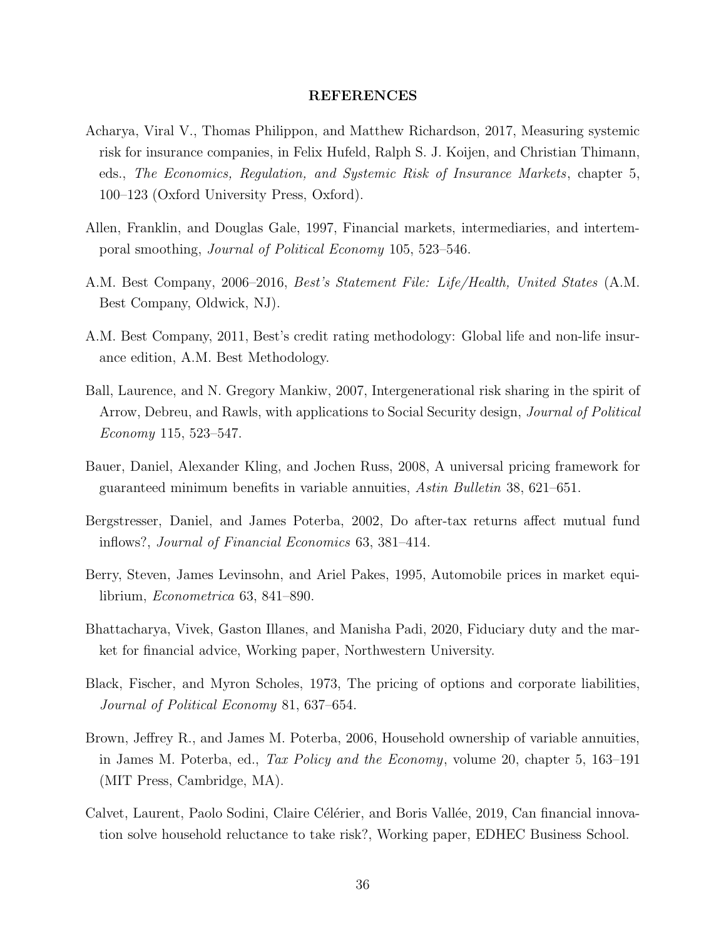#### **REFERENCES**

- Acharya, Viral V., Thomas Philippon, and Matthew Richardson, 2017, Measuring systemic risk for insurance companies, in Felix Hufeld, Ralph S. J. Koijen, and Christian Thimann, eds., *The Economics, Regulation, and Systemic Risk of Insurance Markets*, chapter 5, 100–123 (Oxford University Press, Oxford).
- Allen, Franklin, and Douglas Gale, 1997, Financial markets, intermediaries, and intertemporal smoothing, *Journal of Political Economy* 105, 523–546.
- A.M. Best Company, 2006–2016, *Best's Statement File: Life/Health, United States* (A.M. Best Company, Oldwick, NJ).
- A.M. Best Company, 2011, Best's credit rating methodology: Global life and non-life insurance edition, A.M. Best Methodology.
- Ball, Laurence, and N. Gregory Mankiw, 2007, Intergenerational risk sharing in the spirit of Arrow, Debreu, and Rawls, with applications to Social Security design, *Journal of Political Economy* 115, 523–547.
- Bauer, Daniel, Alexander Kling, and Jochen Russ, 2008, A universal pricing framework for guaranteed minimum benefits in variable annuities, *Astin Bulletin* 38, 621–651.
- Bergstresser, Daniel, and James Poterba, 2002, Do after-tax returns affect mutual fund inflows?, *Journal of Financial Economics* 63, 381–414.
- Berry, Steven, James Levinsohn, and Ariel Pakes, 1995, Automobile prices in market equilibrium, *Econometrica* 63, 841–890.
- Bhattacharya, Vivek, Gaston Illanes, and Manisha Padi, 2020, Fiduciary duty and the market for financial advice, Working paper, Northwestern University.
- Black, Fischer, and Myron Scholes, 1973, The pricing of options and corporate liabilities, *Journal of Political Economy* 81, 637–654.
- Brown, Jeffrey R., and James M. Poterba, 2006, Household ownership of variable annuities, in James M. Poterba, ed., *Tax Policy and the Economy*, volume 20, chapter 5, 163–191 (MIT Press, Cambridge, MA).
- Calvet, Laurent, Paolo Sodini, Claire Célérier, and Boris Vallée, 2019, Can financial innovation solve household reluctance to take risk?, Working paper, EDHEC Business School.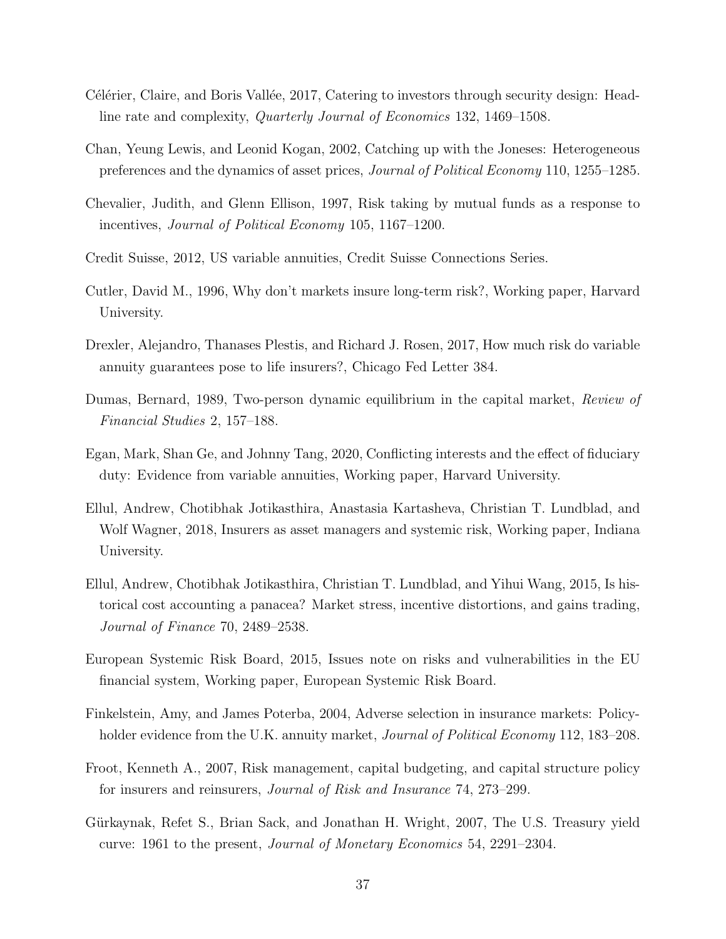- C'el'erier, Claire, and Boris Vallée, 2017, Catering to investors through security design: Headline rate and complexity, *Quarterly Journal of Economics* 132, 1469–1508.
- Chan, Yeung Lewis, and Leonid Kogan, 2002, Catching up with the Joneses: Heterogeneous preferences and the dynamics of asset prices, *Journal of Political Economy* 110, 1255–1285.
- Chevalier, Judith, and Glenn Ellison, 1997, Risk taking by mutual funds as a response to incentives, *Journal of Political Economy* 105, 1167–1200.
- Credit Suisse, 2012, US variable annuities, Credit Suisse Connections Series.
- Cutler, David M., 1996, Why don't markets insure long-term risk?, Working paper, Harvard University.
- Drexler, Alejandro, Thanases Plestis, and Richard J. Rosen, 2017, How much risk do variable annuity guarantees pose to life insurers?, Chicago Fed Letter 384.
- Dumas, Bernard, 1989, Two-person dynamic equilibrium in the capital market, *Review of Financial Studies* 2, 157–188.
- Egan, Mark, Shan Ge, and Johnny Tang, 2020, Conflicting interests and the effect of fiduciary duty: Evidence from variable annuities, Working paper, Harvard University.
- Ellul, Andrew, Chotibhak Jotikasthira, Anastasia Kartasheva, Christian T. Lundblad, and Wolf Wagner, 2018, Insurers as asset managers and systemic risk, Working paper, Indiana University.
- Ellul, Andrew, Chotibhak Jotikasthira, Christian T. Lundblad, and Yihui Wang, 2015, Is historical cost accounting a panacea? Market stress, incentive distortions, and gains trading, *Journal of Finance* 70, 2489–2538.
- European Systemic Risk Board, 2015, Issues note on risks and vulnerabilities in the EU financial system, Working paper, European Systemic Risk Board.
- Finkelstein, Amy, and James Poterba, 2004, Adverse selection in insurance markets: Policyholder evidence from the U.K. annuity market, *Journal of Political Economy* 112, 183–208.
- Froot, Kenneth A., 2007, Risk management, capital budgeting, and capital structure policy for insurers and reinsurers, *Journal of Risk and Insurance* 74, 273–299.
- Gürkaynak, Refet S., Brian Sack, and Jonathan H. Wright, 2007, The U.S. Treasury yield curve: 1961 to the present, *Journal of Monetary Economics* 54, 2291–2304.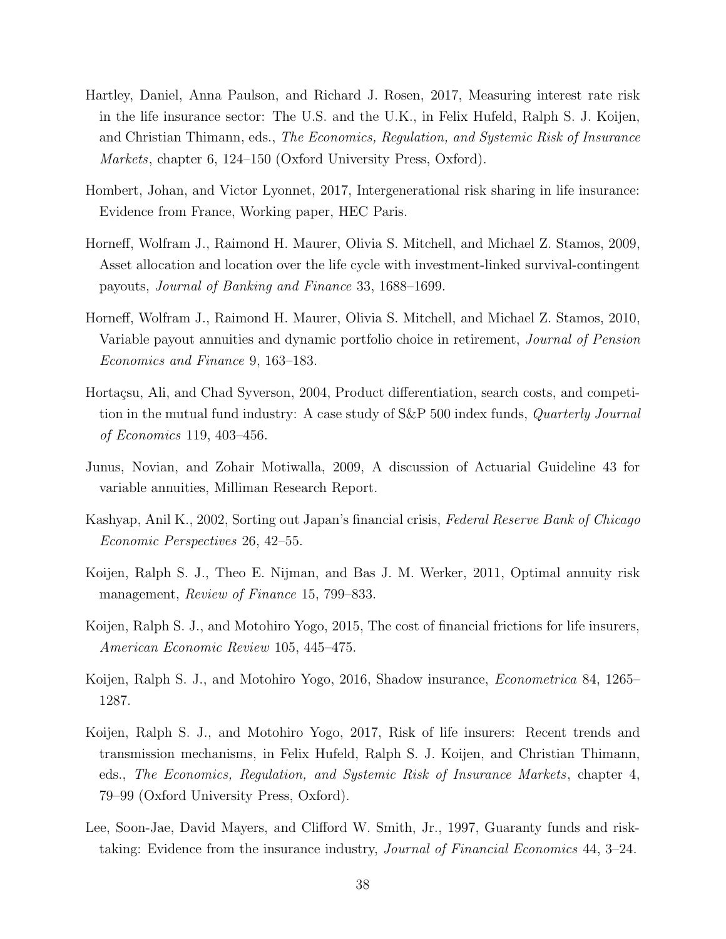- Hartley, Daniel, Anna Paulson, and Richard J. Rosen, 2017, Measuring interest rate risk in the life insurance sector: The U.S. and the U.K., in Felix Hufeld, Ralph S. J. Koijen, and Christian Thimann, eds., *The Economics, Regulation, and Systemic Risk of Insurance Markets*, chapter 6, 124–150 (Oxford University Press, Oxford).
- Hombert, Johan, and Victor Lyonnet, 2017, Intergenerational risk sharing in life insurance: Evidence from France, Working paper, HEC Paris.
- Horneff, Wolfram J., Raimond H. Maurer, Olivia S. Mitchell, and Michael Z. Stamos, 2009, Asset allocation and location over the life cycle with investment-linked survival-contingent payouts, *Journal of Banking and Finance* 33, 1688–1699.
- Horneff, Wolfram J., Raimond H. Maurer, Olivia S. Mitchell, and Michael Z. Stamos, 2010, Variable payout annuities and dynamic portfolio choice in retirement, *Journal of Pension Economics and Finance* 9, 163–183.
- Hortaçsu, Ali, and Chad Syverson, 2004, Product differentiation, search costs, and competition in the mutual fund industry: A case study of S&P 500 index funds, *Quarterly Journal of Economics* 119, 403–456.
- Junus, Novian, and Zohair Motiwalla, 2009, A discussion of Actuarial Guideline 43 for variable annuities, Milliman Research Report.
- Kashyap, Anil K., 2002, Sorting out Japan's financial crisis, *Federal Reserve Bank of Chicago Economic Perspectives* 26, 42–55.
- Koijen, Ralph S. J., Theo E. Nijman, and Bas J. M. Werker, 2011, Optimal annuity risk management, *Review of Finance* 15, 799–833.
- Koijen, Ralph S. J., and Motohiro Yogo, 2015, The cost of financial frictions for life insurers, *American Economic Review* 105, 445–475.
- Koijen, Ralph S. J., and Motohiro Yogo, 2016, Shadow insurance, *Econometrica* 84, 1265– 1287.
- Koijen, Ralph S. J., and Motohiro Yogo, 2017, Risk of life insurers: Recent trends and transmission mechanisms, in Felix Hufeld, Ralph S. J. Koijen, and Christian Thimann, eds., *The Economics, Regulation, and Systemic Risk of Insurance Markets*, chapter 4, 79–99 (Oxford University Press, Oxford).
- Lee, Soon-Jae, David Mayers, and Clifford W. Smith, Jr., 1997, Guaranty funds and risktaking: Evidence from the insurance industry, *Journal of Financial Economics* 44, 3–24.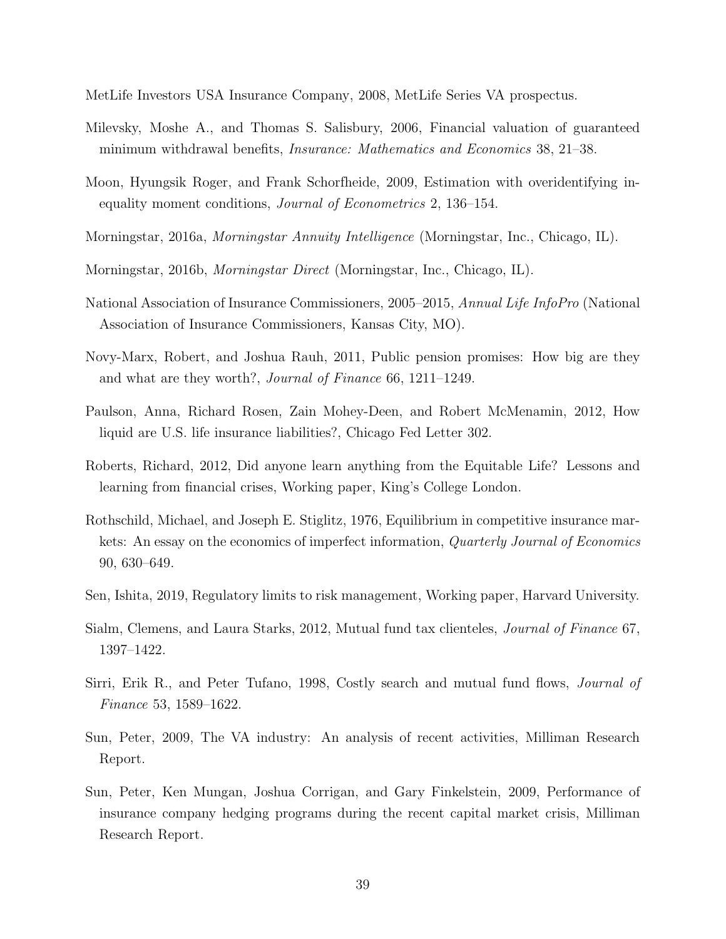MetLife Investors USA Insurance Company, 2008, MetLife Series VA prospectus.

- Milevsky, Moshe A., and Thomas S. Salisbury, 2006, Financial valuation of guaranteed minimum withdrawal benefits, *Insurance: Mathematics and Economics* 38, 21–38.
- Moon, Hyungsik Roger, and Frank Schorfheide, 2009, Estimation with overidentifying inequality moment conditions, *Journal of Econometrics* 2, 136–154.
- Morningstar, 2016a, *Morningstar Annuity Intelligence* (Morningstar, Inc., Chicago, IL).
- Morningstar, 2016b, *Morningstar Direct* (Morningstar, Inc., Chicago, IL).
- National Association of Insurance Commissioners, 2005–2015, *Annual Life InfoPro* (National Association of Insurance Commissioners, Kansas City, MO).
- Novy-Marx, Robert, and Joshua Rauh, 2011, Public pension promises: How big are they and what are they worth?, *Journal of Finance* 66, 1211–1249.
- Paulson, Anna, Richard Rosen, Zain Mohey-Deen, and Robert McMenamin, 2012, How liquid are U.S. life insurance liabilities?, Chicago Fed Letter 302.
- Roberts, Richard, 2012, Did anyone learn anything from the Equitable Life? Lessons and learning from financial crises, Working paper, King's College London.
- Rothschild, Michael, and Joseph E. Stiglitz, 1976, Equilibrium in competitive insurance markets: An essay on the economics of imperfect information, *Quarterly Journal of Economics* 90, 630–649.
- Sen, Ishita, 2019, Regulatory limits to risk management, Working paper, Harvard University.
- Sialm, Clemens, and Laura Starks, 2012, Mutual fund tax clienteles, *Journal of Finance* 67, 1397–1422.
- Sirri, Erik R., and Peter Tufano, 1998, Costly search and mutual fund flows, *Journal of Finance* 53, 1589–1622.
- Sun, Peter, 2009, The VA industry: An analysis of recent activities, Milliman Research Report.
- Sun, Peter, Ken Mungan, Joshua Corrigan, and Gary Finkelstein, 2009, Performance of insurance company hedging programs during the recent capital market crisis, Milliman Research Report.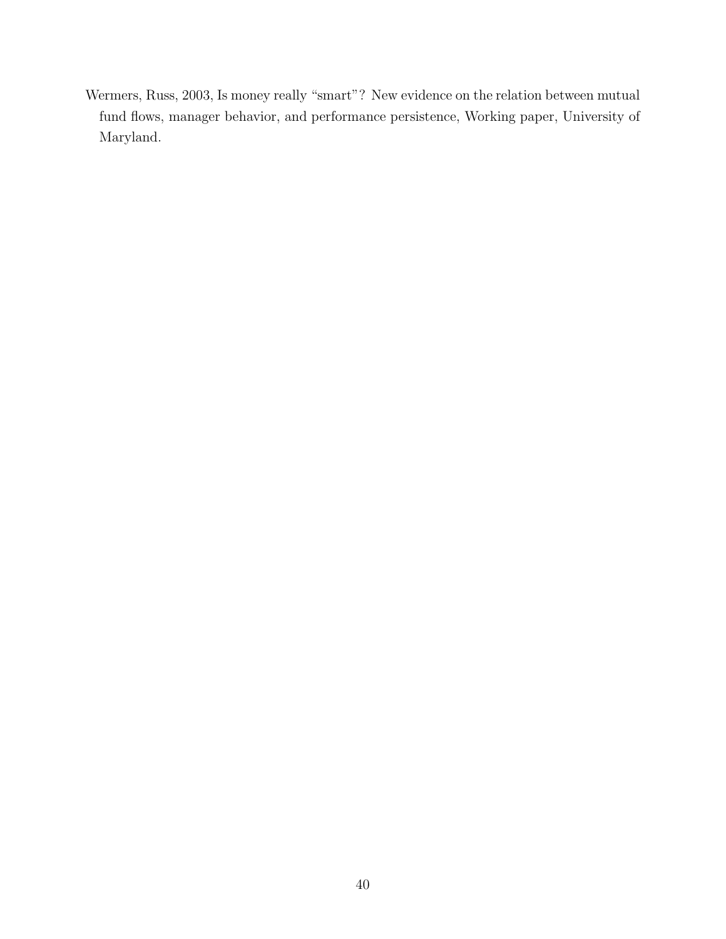Wermers, Russ, 2003, Is money really "smart"? New evidence on the relation between mutual fund flows, manager behavior, and performance persistence, Working paper, University of Maryland.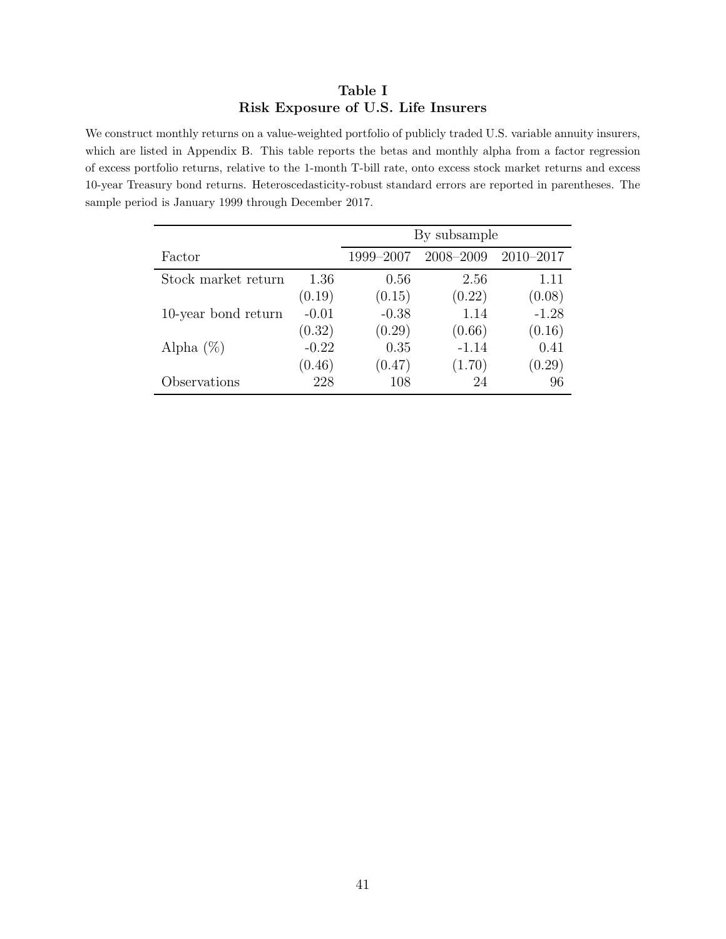## **Table I Risk Exposure of U.S. Life Insurers**

We construct monthly returns on a value-weighted portfolio of publicly traded U.S. variable annuity insurers, which are listed in Appendix B. This table reports the betas and monthly alpha from a factor regression of excess portfolio returns, relative to the 1-month T-bill rate, onto excess stock market returns and excess 10-year Treasury bond returns. Heteroscedasticity-robust standard errors are reported in parentheses. The sample period is January 1999 through December 2017.

|                     |         | By subsample |           |               |
|---------------------|---------|--------------|-----------|---------------|
| Factor              |         | 1999-2007    | 2008-2009 | $2010 - 2017$ |
| Stock market return | 1.36    | 0.56         | 2.56      | 1.11          |
|                     | (0.19)  | (0.15)       | (0.22)    | (0.08)        |
| 10-year bond return | $-0.01$ | $-0.38$      | 1.14      | $-1.28$       |
|                     | (0.32)  | (0.29)       | (0.66)    | (0.16)        |
| Alpha $(\%)$        | $-0.22$ | 0.35         | $-1.14$   | 0.41          |
|                     | (0.46)  | (0.47)       | (1.70)    | (0.29)        |
| Observations        | 228     | 108          | 24        | 96            |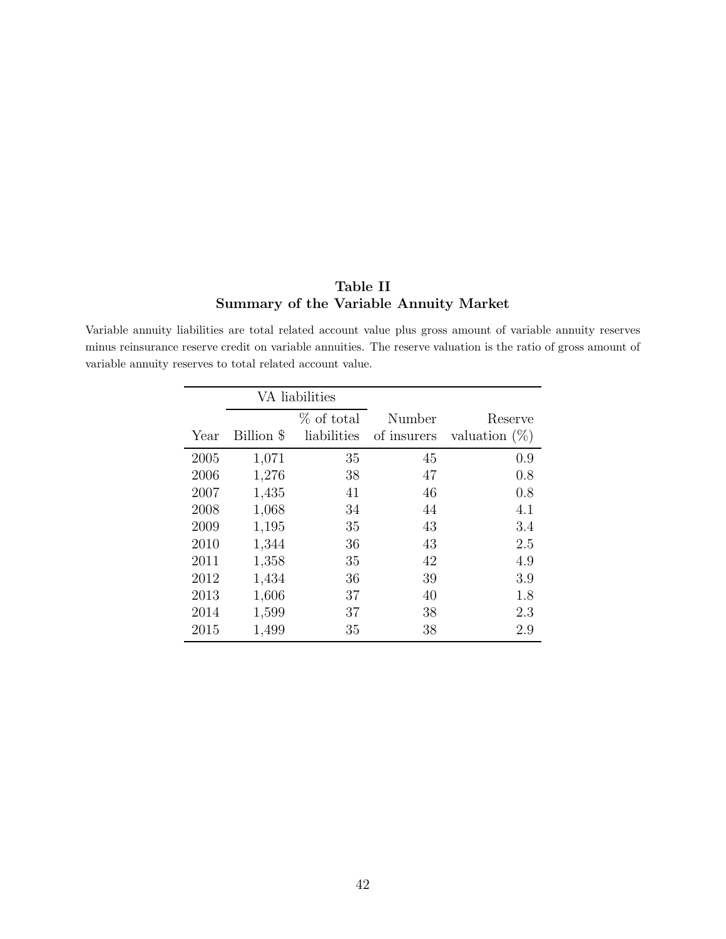# **Table II Summary of the Variable Annuity Market**

Variable annuity liabilities are total related account value plus gross amount of variable annuity reserves minus reinsurance reserve credit on variable annuities. The reserve valuation is the ratio of gross amount of variable annuity reserves to total related account value.

| VA liabilities |            |             |             |                  |
|----------------|------------|-------------|-------------|------------------|
|                |            | % of total  | Number      | Reserve          |
| Year           | Billion \$ | liabilities | of insurers | valuation $(\%)$ |
| 2005           | 1,071      | 35          | 45          | 0.9              |
| 2006           | 1,276      | 38          | 47          | 0.8              |
| 2007           | 1,435      | 41          | 46          | 0.8              |
| 2008           | 1,068      | 34          | 44          | 4.1              |
| 2009           | 1,195      | 35          | 43          | 3.4              |
| 2010           | 1,344      | 36          | 43          | 2.5              |
| 2011           | 1,358      | 35          | 42          | 4.9              |
| 2012           | 1,434      | 36          | 39          | 3.9              |
| 2013           | 1,606      | 37          | 40          | 1.8              |
| 2014           | 1,599      | 37          | 38          | 2.3              |
| 2015           | 1,499      | 35          | 38          | 2.9              |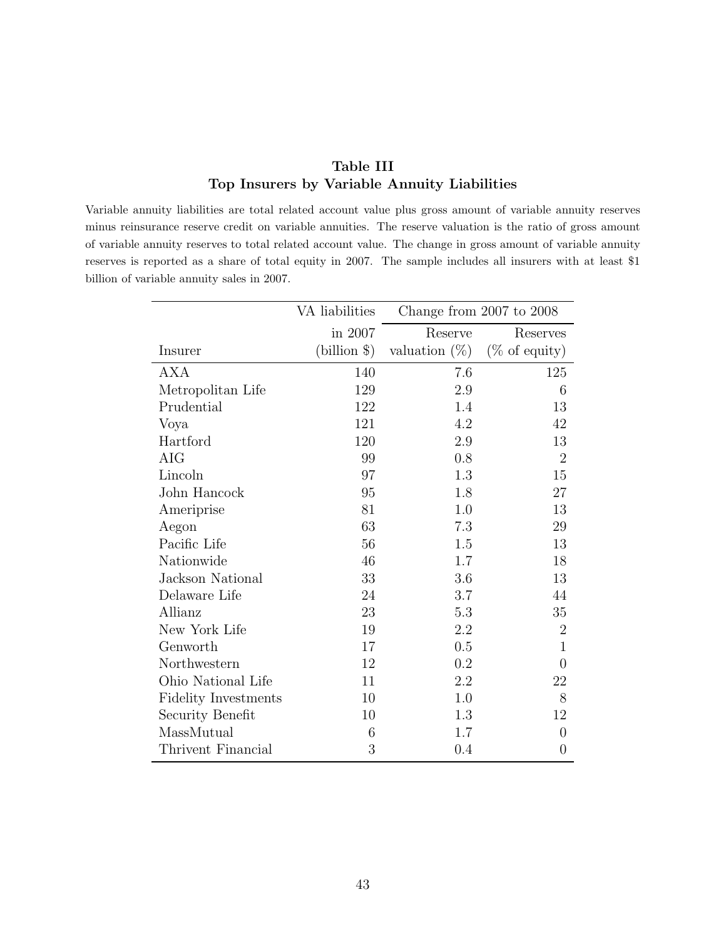## **Table III Top Insurers by Variable Annuity Liabilities**

Variable annuity liabilities are total related account value plus gross amount of variable annuity reserves minus reinsurance reserve credit on variable annuities. The reserve valuation is the ratio of gross amount of variable annuity reserves to total related account value. The change in gross amount of variable annuity reserves is reported as a share of total equity in 2007. The sample includes all insurers with at least \$1 billion of variable annuity sales in 2007.

|                             | VA liabilities | Change from $2007$ to $2008$ |                          |
|-----------------------------|----------------|------------------------------|--------------------------|
|                             | in 2007        | Reserve                      | Reserves                 |
| Insurer                     | $(blion \$     | valuation $(\%)$             | $(\% \text{ of equity})$ |
| <b>AXA</b>                  | 140            | 7.6                          | 125                      |
| Metropolitan Life           | 129            | 2.9                          | 6                        |
| Prudential                  | 122            | 1.4                          | 13                       |
| Voya                        | 121            | 4.2                          | 42                       |
| Hartford                    | 120            | 2.9                          | 13                       |
| AIG                         | 99             | 0.8                          | $\overline{2}$           |
| Lincoln                     | 97             | 1.3                          | 15                       |
| John Hancock                | 95             | 1.8                          | 27                       |
| Ameriprise                  | 81             | 1.0                          | 13                       |
| Aegon                       | 63             | 7.3                          | 29                       |
| Pacific Life                | 56             | 1.5                          | 13                       |
| Nationwide                  | 46             | 1.7                          | 18                       |
| Jackson National            | 33             | 3.6                          | 13                       |
| Delaware Life               | 24             | 3.7                          | 44                       |
| Allianz                     | 23             | 5.3                          | 35                       |
| New York Life               | 19             | 2.2                          | $\sqrt{2}$               |
| Genworth                    | 17             | 0.5                          | $\mathbf{1}$             |
| Northwestern                | 12             | 0.2                          | $\theta$                 |
| Ohio National Life          | 11             | 2.2                          | 22                       |
| <b>Fidelity Investments</b> | 10             | 1.0                          | 8                        |
| Security Benefit            | 10             | 1.3                          | 12                       |
| MassMutual                  | 6              | 1.7                          | $\overline{0}$           |
| Thrivent Financial          | 3              | 0.4                          | $\overline{0}$           |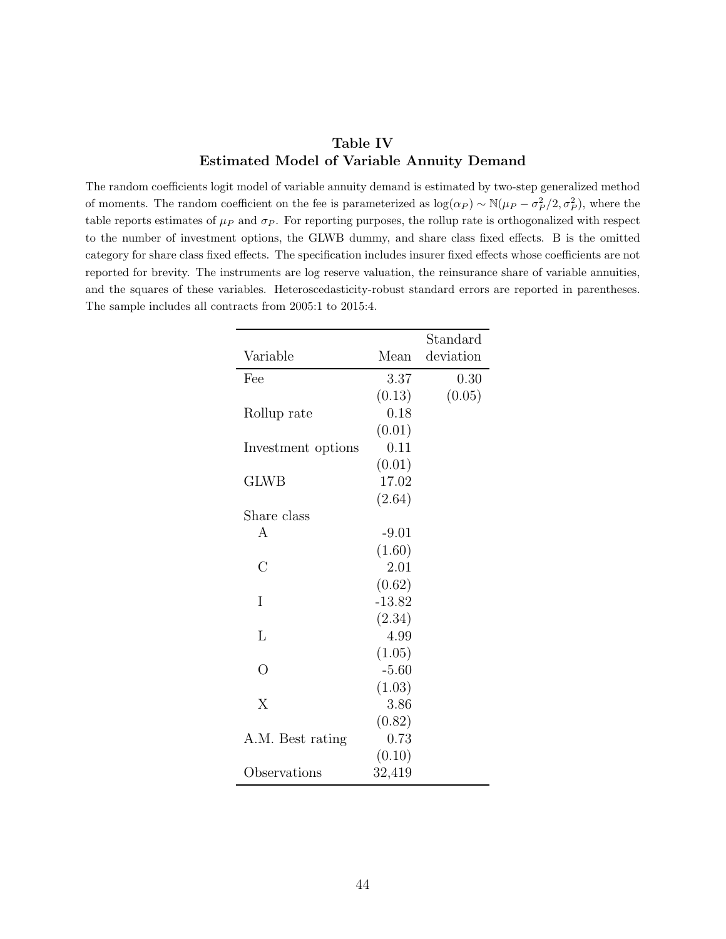## **Table IV Estimated Model of Variable Annuity Demand**

The random coefficients logit model of variable annuity demand is estimated by two-step generalized method of moments. The random coefficient on the fee is parameterized as  $\log(\alpha_P) \sim \mathbb{N}(\mu_P - \sigma_P^2/2, \sigma_P^2)$ , where the table reports estimates of  $\mu_P$  and  $\sigma_P$ . For reporting purposes, the rollup rate is orthogonalized with respect to the number of investment options, the GLWB dummy, and share class fixed effects. B is the omitted category for share class fixed effects. The specification includes insurer fixed effects whose coefficients are not reported for brevity. The instruments are log reserve valuation, the reinsurance share of variable annuities, and the squares of these variables. Heteroscedasticity-robust standard errors are reported in parentheses. The sample includes all contracts from 2005:1 to 2015:4.

|                    |          | Standard  |
|--------------------|----------|-----------|
| Variable           | Mean     | deviation |
| Fee                | 3.37     | 0.30      |
|                    | (0.13)   | (0.05)    |
| Rollup rate        | 0.18     |           |
|                    | (0.01)   |           |
| Investment options | 0.11     |           |
|                    | (0.01)   |           |
| <b>GLWB</b>        | 17.02    |           |
|                    | (2.64)   |           |
| Share class        |          |           |
| A                  | $-9.01$  |           |
|                    | (1.60)   |           |
| С                  | 2.01     |           |
|                    | (0.62)   |           |
| I                  | $-13.82$ |           |
|                    | (2.34)   |           |
| L                  | 4.99     |           |
|                    | (1.05)   |           |
| $\Omega$           | $-5.60$  |           |
|                    | (1.03)   |           |
| X                  | 3.86     |           |
|                    | (0.82)   |           |
| A.M. Best rating   | 0.73     |           |
|                    | (0.10)   |           |
| Observations       | 32,419   |           |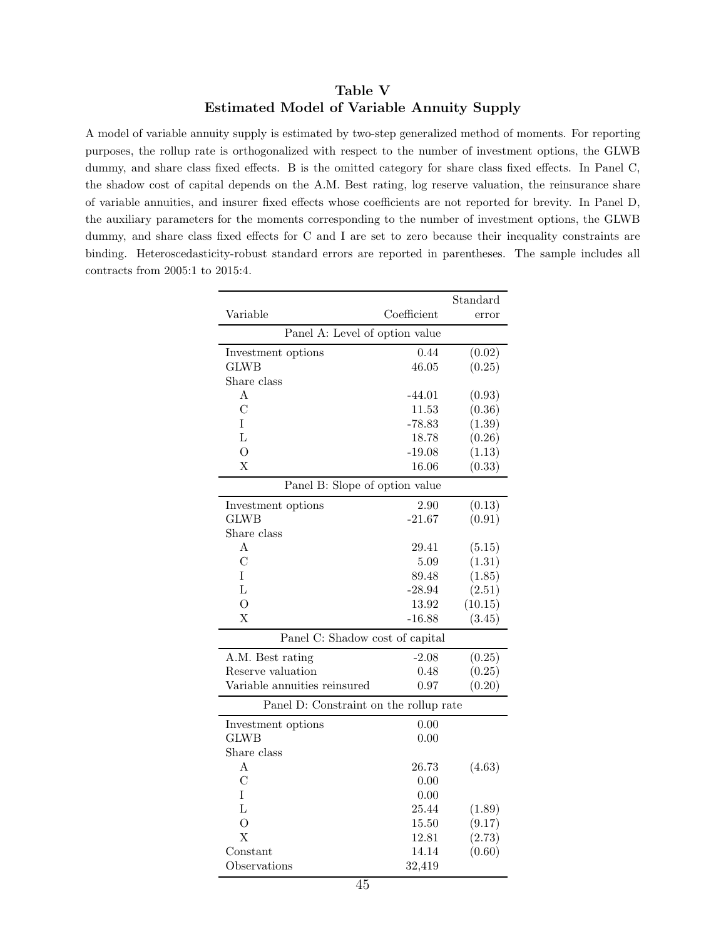## **Table V Estimated Model of Variable Annuity Supply**

A model of variable annuity supply is estimated by two-step generalized method of moments. For reporting purposes, the rollup rate is orthogonalized with respect to the number of investment options, the GLWB dummy, and share class fixed effects. B is the omitted category for share class fixed effects. In Panel C, the shadow cost of capital depends on the A.M. Best rating, log reserve valuation, the reinsurance share of variable annuities, and insurer fixed effects whose coefficients are not reported for brevity. In Panel D, the auxiliary parameters for the moments corresponding to the number of investment options, the GLWB dummy, and share class fixed effects for C and I are set to zero because their inequality constraints are binding. Heteroscedasticity-robust standard errors are reported in parentheses. The sample includes all contracts from 2005:1 to 2015:4.

|                                        |             | Standard |  |  |
|----------------------------------------|-------------|----------|--|--|
| Variable                               | Coefficient | error    |  |  |
| Panel A: Level of option value         |             |          |  |  |
| Investment options                     | 0.44        | (0.02)   |  |  |
| <b>GLWB</b>                            | 46.05       | (0.25)   |  |  |
| Share class                            |             |          |  |  |
| А                                      | $-44.01$    | (0.93)   |  |  |
| $\overline{C}$                         | 11.53       | (0.36)   |  |  |
| T                                      | $-78.83$    | (1.39)   |  |  |
| $\Gamma$                               | 18.78       | (0.26)   |  |  |
| $\overline{O}$                         | $-19.08$    | (1.13)   |  |  |
| $\overline{X}$                         | 16.06       | (0.33)   |  |  |
| Panel B: Slope of option value         |             |          |  |  |
| Investment options                     | 2.90        | (0.13)   |  |  |
| <b>GLWB</b>                            | $-21.67$    | (0.91)   |  |  |
| Share class                            |             |          |  |  |
| A                                      | 29.41       | (5.15)   |  |  |
| $\overline{C}$                         | 5.09        | (1.31)   |  |  |
| Ι                                      | 89.48       | (1.85)   |  |  |
| $\overline{L}$                         | $-28.94$    | (2.51)   |  |  |
| $\overline{O}$                         | 13.92       | (10.15)  |  |  |
| X                                      | $-16.88$    | (3.45)   |  |  |
| Panel C: Shadow cost of capital        |             |          |  |  |
| A.M. Best rating                       | $-2.08$     | (0.25)   |  |  |
| Reserve valuation                      | 0.48        | (0.25)   |  |  |
| Variable annuities reinsured           | 0.97        | (0.20)   |  |  |
| Panel D: Constraint on the rollup rate |             |          |  |  |
| Investment options                     | 0.00        |          |  |  |
| <b>GLWB</b>                            | 0.00        |          |  |  |
| Share class                            |             |          |  |  |
| Α                                      | 26.73       | (4.63)   |  |  |
| C                                      | 0.00        |          |  |  |
| T                                      | 0.00        |          |  |  |
| $\mathbf{L}$                           | 25.44       | (1.89)   |  |  |
| О                                      | 15.50       | (9.17)   |  |  |
| $\overline{X}$                         | 12.81       | (2.73)   |  |  |
| $\text{Constant}$                      | 14.14       | (0.60)   |  |  |
| Observations                           | 32,419      |          |  |  |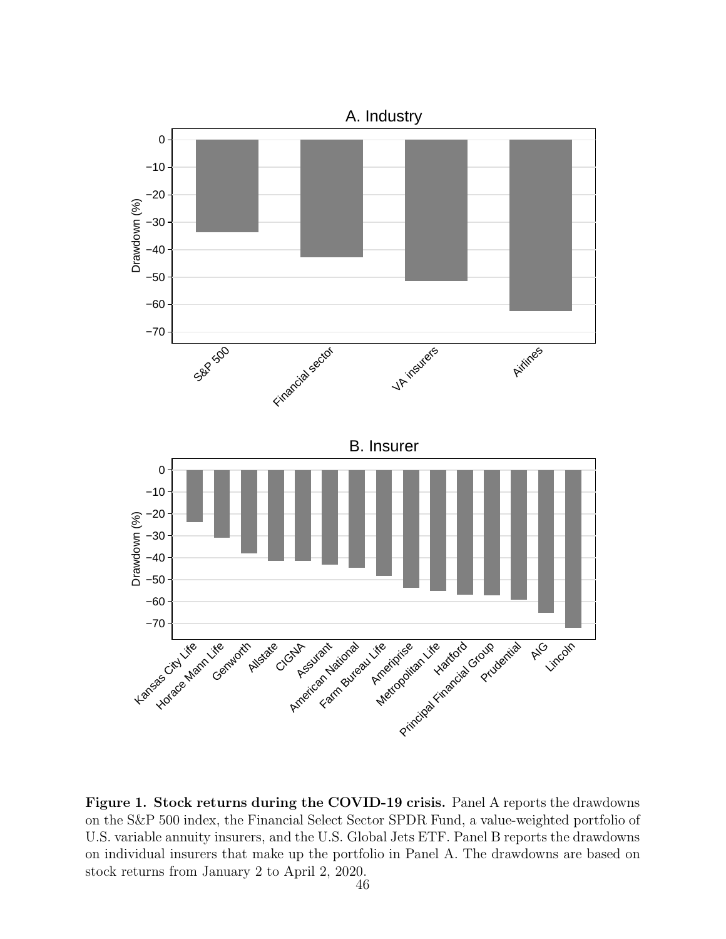

**Figure 1. Stock returns during the COVID-19 crisis.** Panel A reports the drawdowns on the S&P 500 index, the Financial Select Sector SPDR Fund, a value-weighted portfolio of U.S. variable annuity insurers, and the U.S. Global Jets ETF. Panel B reports the drawdowns on individual insurers that make up the portfolio in Panel A. The drawdowns are based on stock returns from January 2 to April 2, 2020.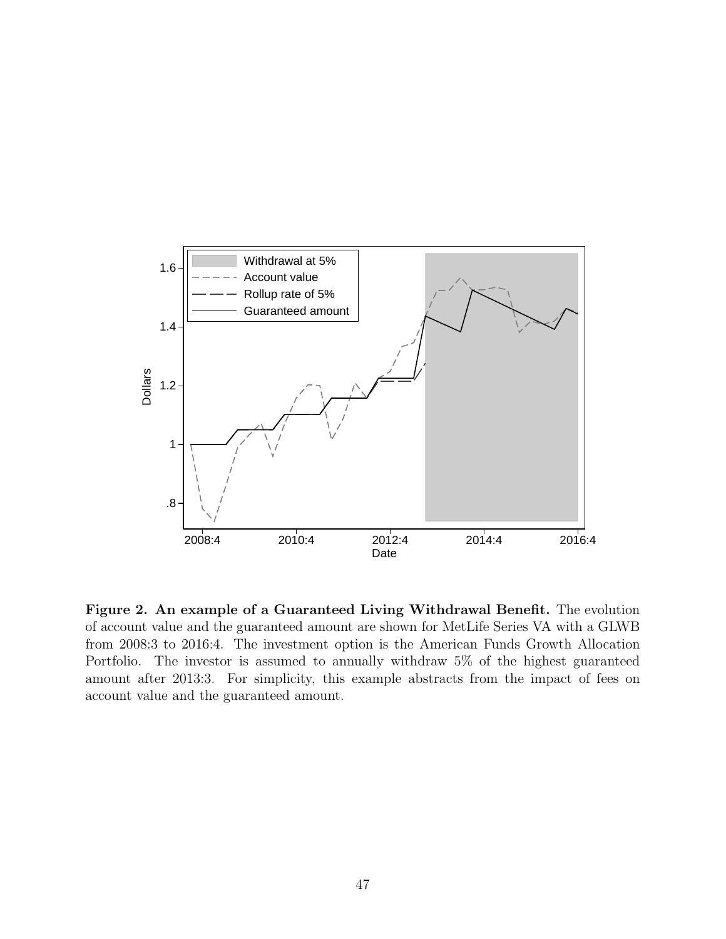

**Figure 2. An example of a Guaranteed Living Withdrawal Benefit.** The evolution of account value and the guaranteed amount are shown for MetLife Series VA with a GLWB from 2008:3 to 2016:4. The investment option is the American Funds Growth Allocation Portfolio. The investor is assumed to annually withdraw 5% of the highest guaranteed amount after 2013:3. For simplicity, this example abstracts from the impact of fees on account value and the guaranteed amount.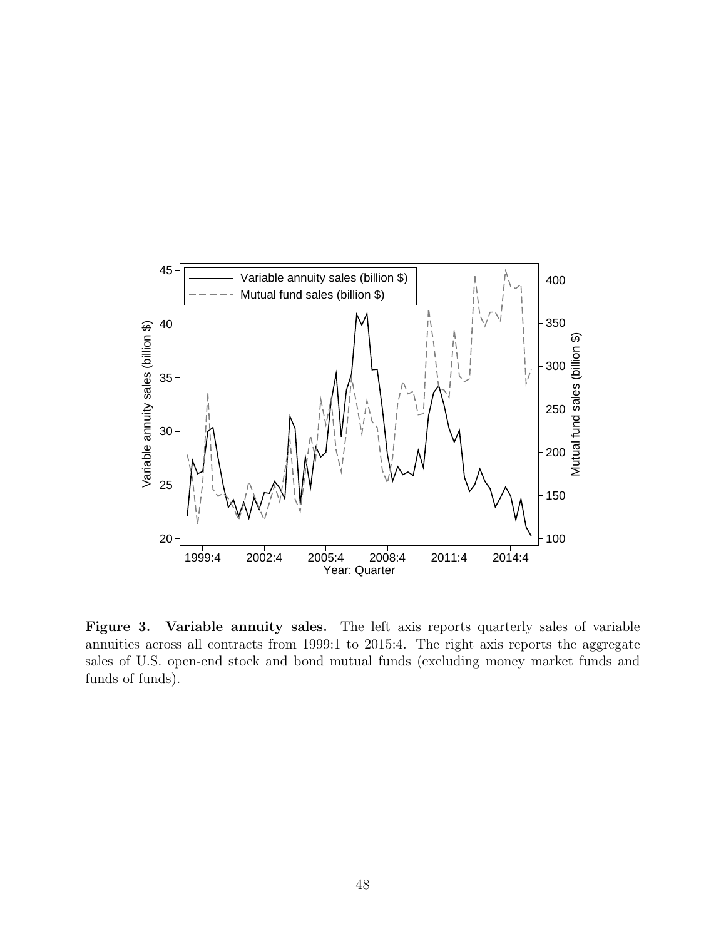

**Figure 3. Variable annuity sales.** The left axis reports quarterly sales of variable annuities across all contracts from 1999:1 to 2015:4. The right axis reports the aggregate sales of U.S. open-end stock and bond mutual funds (excluding money market funds and funds of funds).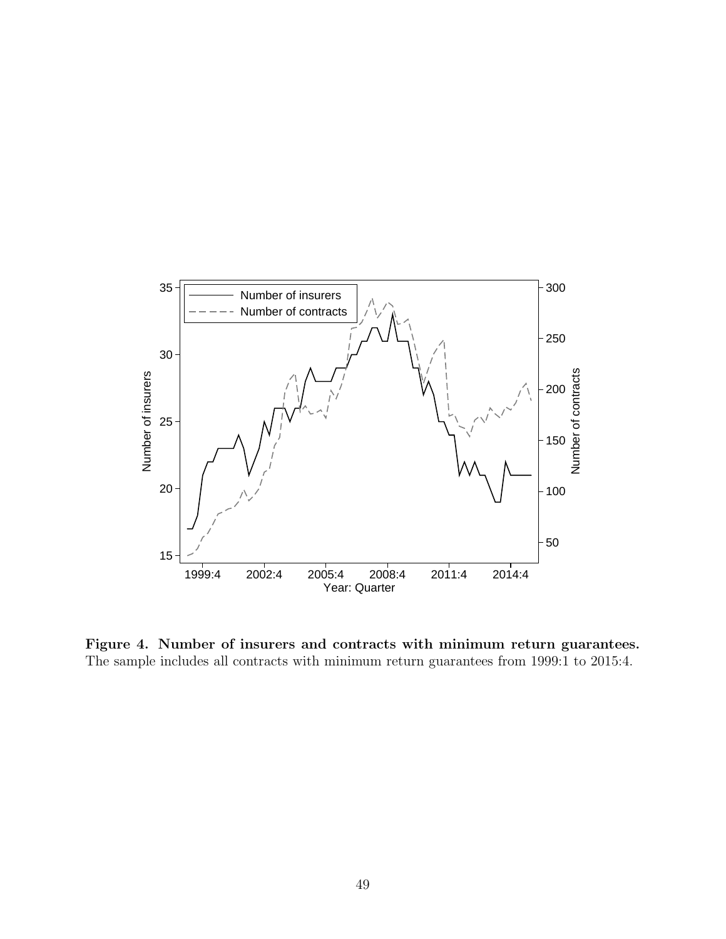

**Figure 4. Number of insurers and contracts with minimum return guarantees.** The sample includes all contracts with minimum return guarantees from 1999:1 to 2015:4.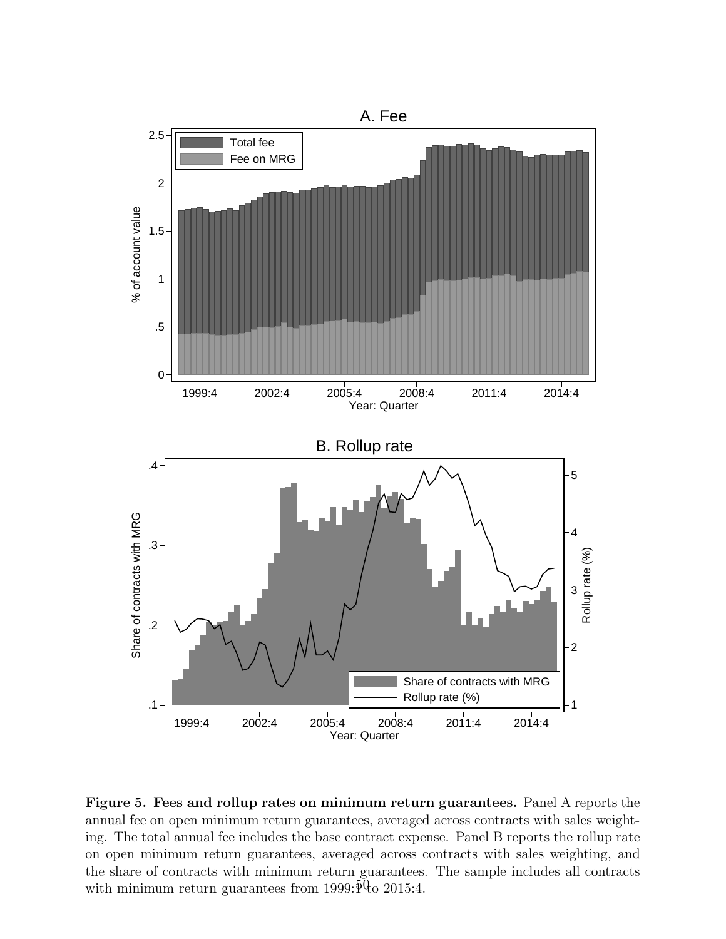

**Figure 5. Fees and rollup rates on minimum return guarantees.** Panel A reports the annual fee on open minimum return guarantees, averaged across contracts with sales weighting. The total annual fee includes the base contract expense. Panel B reports the rollup rate on open minimum return guarantees, averaged across contracts with sales weighting, and the share of contracts with minimum return guarantees. The sample includes all contracts with minimum return guarantees from 1999: $\frac{6}{9}$  to 2015:4.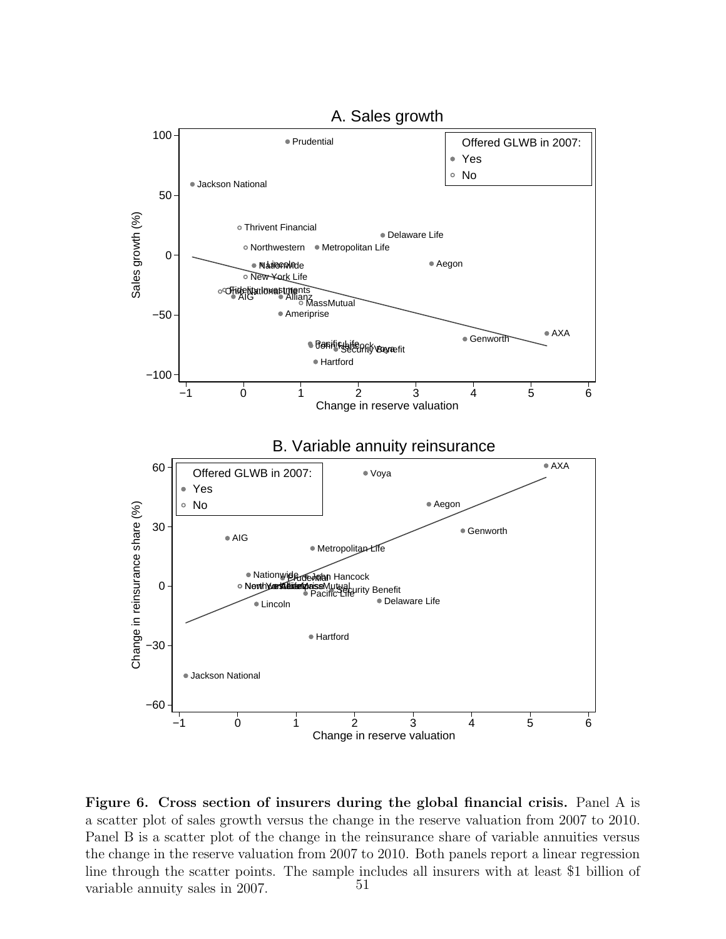

**Figure 6. Cross section of insurers during the global financial crisis.** Panel A is a scatter plot of sales growth versus the change in the reserve valuation from 2007 to 2010. Panel B is a scatter plot of the change in the reinsurance share of variable annuities versus the change in the reserve valuation from 2007 to 2010. Both panels report a linear regression line through the scatter points. The sample includes all insurers with at least \$1 billion of variable annuity sales in  $2007$   $51$ variable annuity sales in 2007.

# A. Sales growth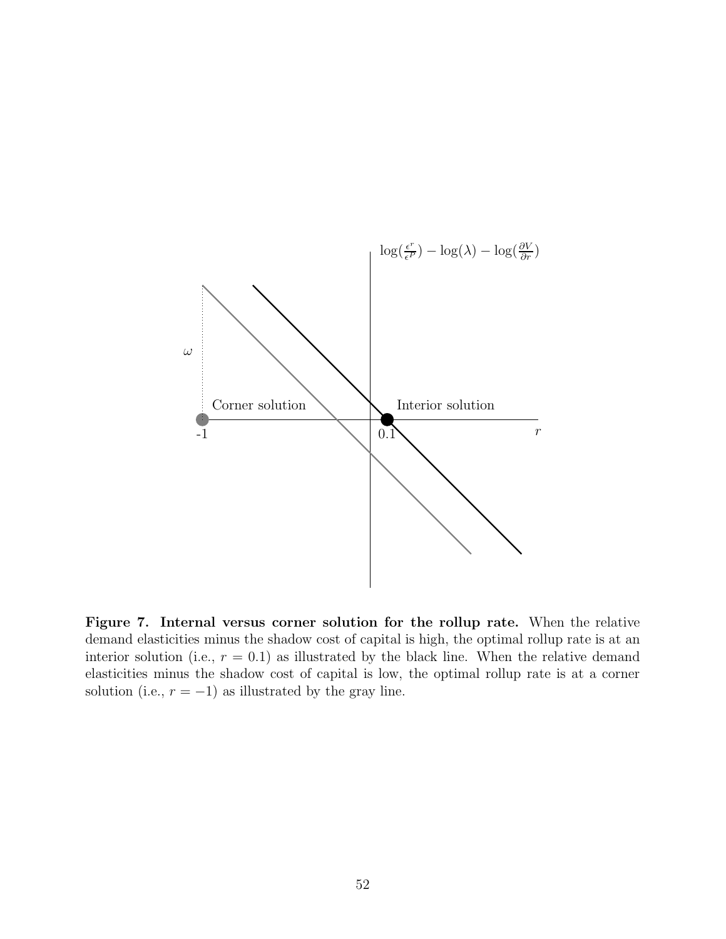

**Figure 7. Internal versus corner solution for the rollup rate.** When the relative demand elasticities minus the shadow cost of capital is high, the optimal rollup rate is at an interior solution (i.e.,  $r = 0.1$ ) as illustrated by the black line. When the relative demand elasticities minus the shadow cost of capital is low, the optimal rollup rate is at a corner solution (i.e.,  $r = -1$ ) as illustrated by the gray line.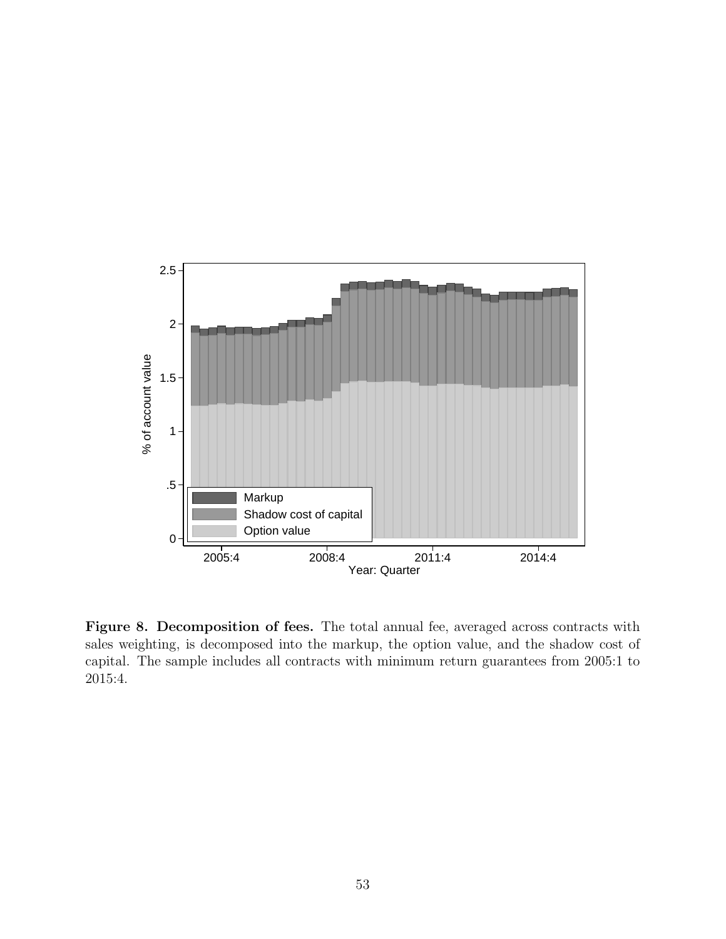

Figure 8. Decomposition of fees. The total annual fee, averaged across contracts with sales weighting, is decomposed into the markup, the option value, and the shadow cost of capital. The sample includes all contracts with minimum return guarantees from 2005:1 to 2015:4.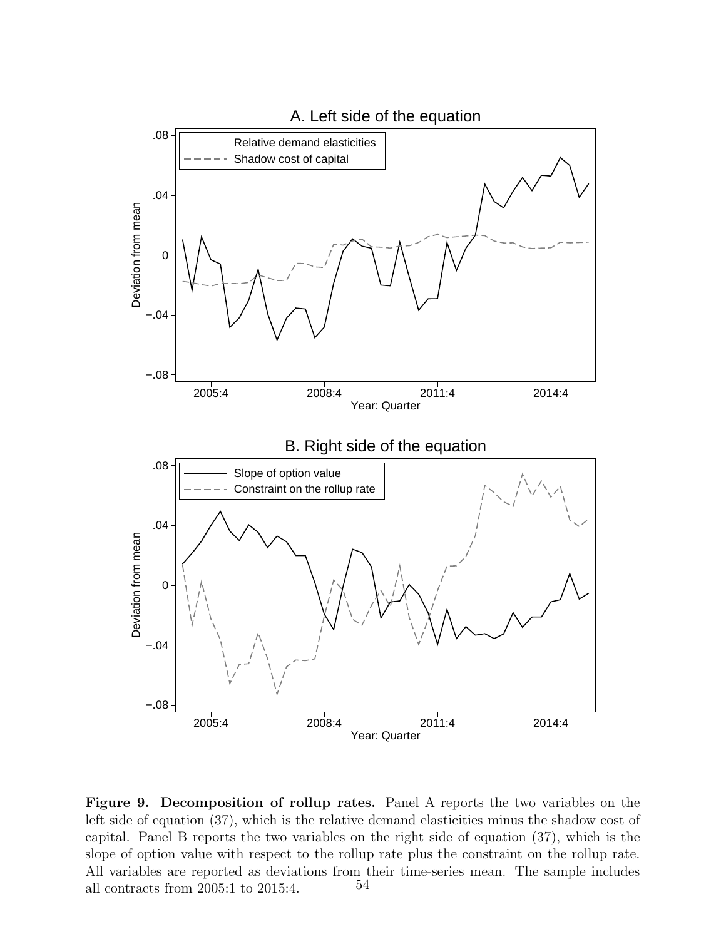

**Figure 9. Decomposition of rollup rates.** Panel A reports the two variables on the left side of equation (37), which is the relative demand elasticities minus the shadow cost of capital. Panel B reports the two variables on the right side of equation (37), which is the slope of option value with respect to the rollup rate plus the constraint on the rollup rate. All variables are reported as deviations from their time-series mean. The sample includes all contracts from 2005:1 to 2015:4.  $54$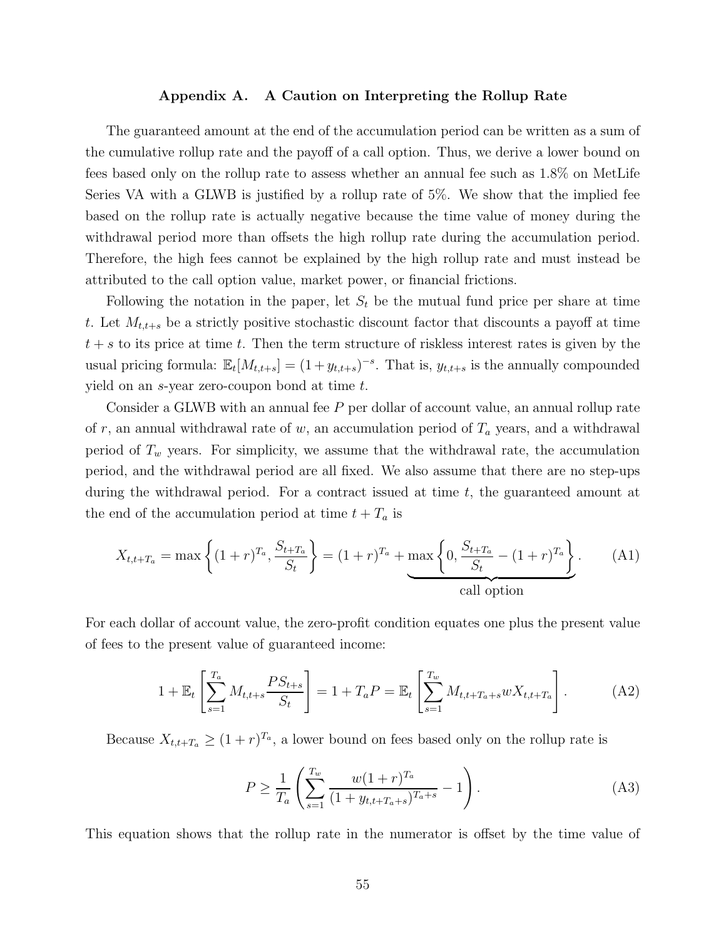#### **Appendix A. A Caution on Interpreting the Rollup Rate**

The guaranteed amount at the end of the accumulation period can be written as a sum of the cumulative rollup rate and the payoff of a call option. Thus, we derive a lower bound on fees based only on the rollup rate to assess whether an annual fee such as 1.8% on MetLife Series VA with a GLWB is justified by a rollup rate of 5%. We show that the implied fee based on the rollup rate is actually negative because the time value of money during the withdrawal period more than offsets the high rollup rate during the accumulation period. Therefore, the high fees cannot be explained by the high rollup rate and must instead be attributed to the call option value, market power, or financial frictions.

Following the notation in the paper, let  $S_t$  be the mutual fund price per share at time t. Let  $M_{t,t+s}$  be a strictly positive stochastic discount factor that discounts a payoff at time  $t + s$  to its price at time t. Then the term structure of riskless interest rates is given by the usual pricing formula:  $\mathbb{E}_{t}[M_{t,t+s}] = (1 + y_{t,t+s})^{-s}$ . That is,  $y_{t,t+s}$  is the annually compounded yield on an s-year zero-coupon bond at time t.

Consider a GLWB with an annual fee P per dollar of account value, an annual rollup rate of r, an annual withdrawal rate of w, an accumulation period of  $T_a$  years, and a withdrawal period of  $T_w$  years. For simplicity, we assume that the withdrawal rate, the accumulation period, and the withdrawal period are all fixed. We also assume that there are no step-ups during the withdrawal period. For a contract issued at time t, the guaranteed amount at the end of the accumulation period at time  $t + T_a$  is

$$
X_{t,t+T_a} = \max\left\{ (1+r)^{T_a}, \frac{S_{t+T_a}}{S_t} \right\} = (1+r)^{T_a} + \max\left\{ 0, \frac{S_{t+T_a}}{S_t} - (1+r)^{T_a} \right\}.
$$
 (A1)  
call option

For each dollar of account value, the zero-profit condition equates one plus the present value of fees to the present value of guaranteed income:

$$
1 + \mathbb{E}_t \left[ \sum_{s=1}^{T_a} M_{t,t+s} \frac{PS_{t+s}}{S_t} \right] = 1 + T_a P = \mathbb{E}_t \left[ \sum_{s=1}^{T_w} M_{t,t+T_a+s} w X_{t,t+T_a} \right]. \tag{A2}
$$

Because  $X_{t,t+T_a} \geq (1+r)^{T_a}$ , a lower bound on fees based only on the rollup rate is

$$
P \ge \frac{1}{T_a} \left( \sum_{s=1}^{T_w} \frac{w(1+r)^{T_a}}{(1+y_{t,t+T_a+s})^{T_a+s}} - 1 \right). \tag{A3}
$$

This equation shows that the rollup rate in the numerator is offset by the time value of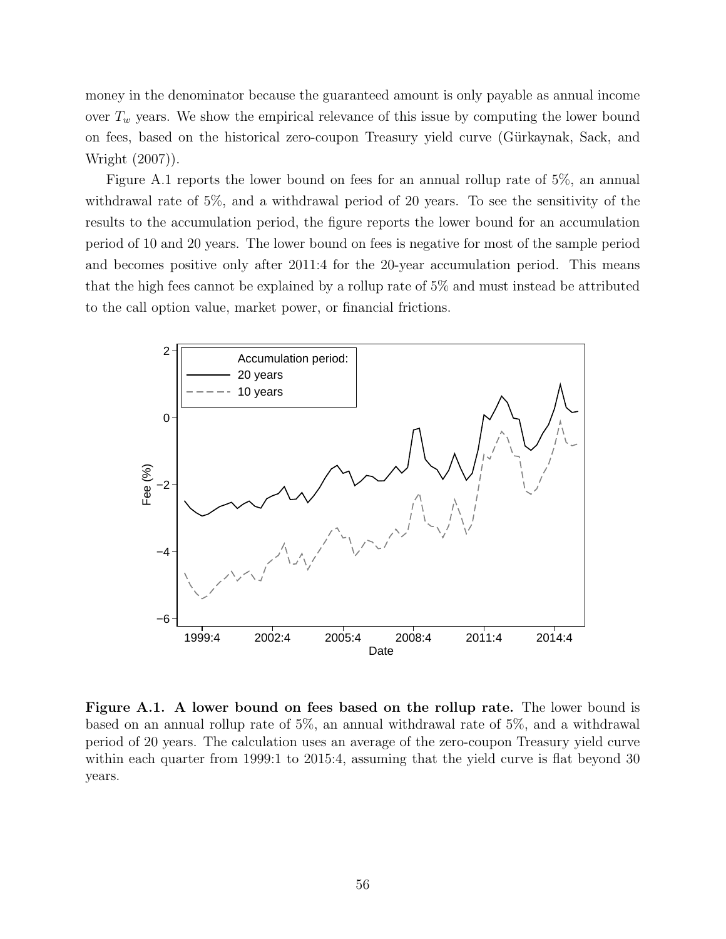money in the denominator because the guaranteed amount is only payable as annual income over  $T_w$  years. We show the empirical relevance of this issue by computing the lower bound on fees, based on the historical zero-coupon Treasury yield curve (Gürkaynak, Sack, and Wright (2007)).

Figure A.1 reports the lower bound on fees for an annual rollup rate of 5%, an annual withdrawal rate of 5%, and a withdrawal period of 20 years. To see the sensitivity of the results to the accumulation period, the figure reports the lower bound for an accumulation period of 10 and 20 years. The lower bound on fees is negative for most of the sample period and becomes positive only after 2011:4 for the 20-year accumulation period. This means that the high fees cannot be explained by a rollup rate of 5% and must instead be attributed to the call option value, market power, or financial frictions.



**Figure A.1. A lower bound on fees based on the rollup rate.** The lower bound is based on an annual rollup rate of 5%, an annual withdrawal rate of 5%, and a withdrawal period of 20 years. The calculation uses an average of the zero-coupon Treasury yield curve within each quarter from 1999:1 to 2015:4, assuming that the yield curve is flat beyond 30 years.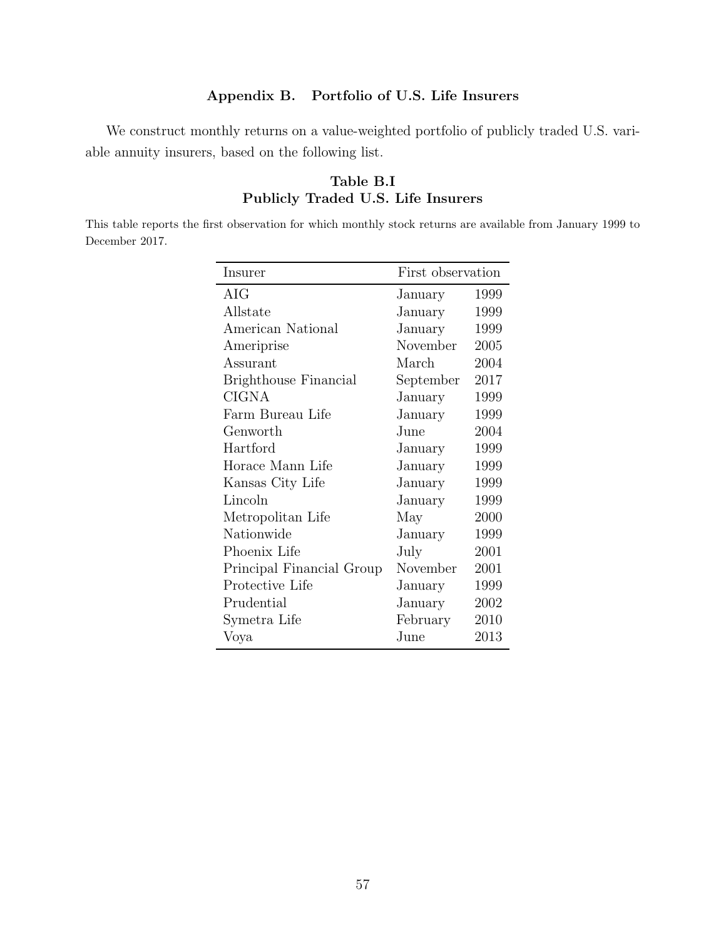# **Appendix B. Portfolio of U.S. Life Insurers**

We construct monthly returns on a value-weighted portfolio of publicly traded U.S. variable annuity insurers, based on the following list.

# **Table B.I Publicly Traded U.S. Life Insurers**

This table reports the first observation for which monthly stock returns are available from January 1999 to December 2017.

| Insurer                      | First observation |      |  |
|------------------------------|-------------------|------|--|
| AIG                          | January           | 1999 |  |
| Allstate                     | January           | 1999 |  |
| American National            | January           | 1999 |  |
| Ameriprise                   | November          | 2005 |  |
| Assurant                     | March             | 2004 |  |
| <b>Brighthouse Financial</b> | September         | 2017 |  |
| <b>CIGNA</b>                 | January           | 1999 |  |
| Farm Bureau Life             | January           | 1999 |  |
| Genworth                     | June              | 2004 |  |
| Hartford                     | January           | 1999 |  |
| Horace Mann Life             | January           | 1999 |  |
| Kansas City Life             | January           | 1999 |  |
| Lincoln                      | January           | 1999 |  |
| Metropolitan Life            | May               | 2000 |  |
| Nationwide                   | January           | 1999 |  |
| Phoenix Life                 | July              | 2001 |  |
| Principal Financial Group    | November          | 2001 |  |
| Protective Life              | January           | 1999 |  |
| Prudential                   | January           | 2002 |  |
| Symetra Life                 | February          | 2010 |  |
| Voya                         | June              | 2013 |  |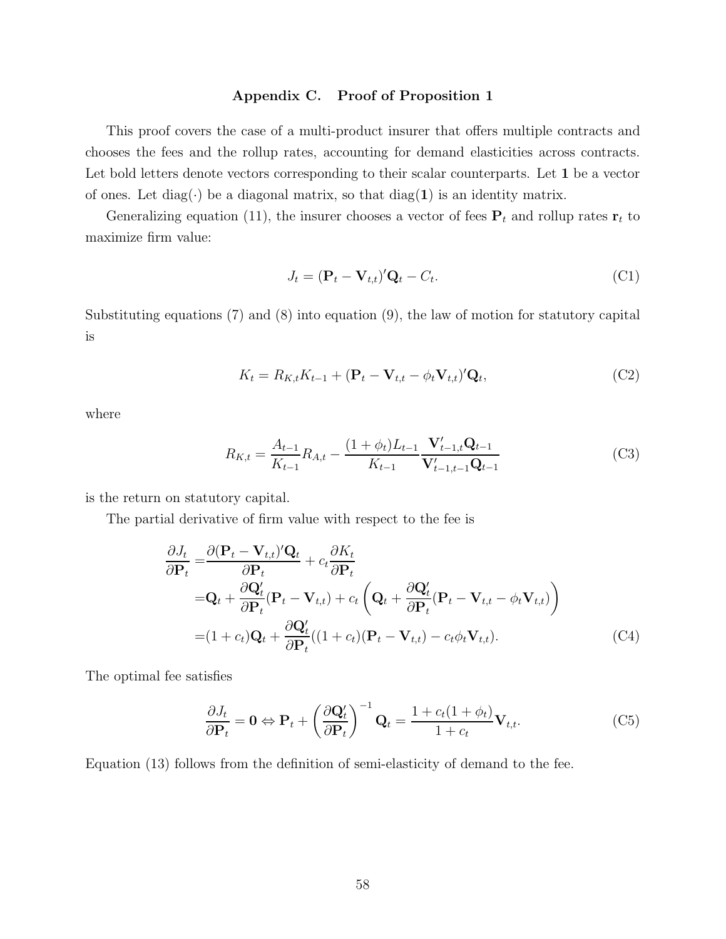#### **Appendix C. Proof of Proposition 1**

This proof covers the case of a multi-product insurer that offers multiple contracts and chooses the fees and the rollup rates, accounting for demand elasticities across contracts. Let bold letters denote vectors corresponding to their scalar counterparts. Let **1** be a vector of ones. Let diag( $\cdot$ ) be a diagonal matrix, so that diag(1) is an identity matrix.

Generalizing equation (11), the insurer chooses a vector of fees  $P_t$  and rollup rates  $r_t$  to maximize firm value:

$$
J_t = (\mathbf{P}_t - \mathbf{V}_{t,t})' \mathbf{Q}_t - C_t.
$$
\n
$$
(C1)
$$

Substituting equations  $(7)$  and  $(8)$  into equation  $(9)$ , the law of motion for statutory capital is

$$
K_t = R_{K,t} K_{t-1} + (\mathbf{P}_t - \mathbf{V}_{t,t} - \phi_t \mathbf{V}_{t,t})' \mathbf{Q}_t,
$$
\n(C2)

where

$$
R_{K,t} = \frac{A_{t-1}}{K_{t-1}} R_{A,t} - \frac{(1+\phi_t)L_{t-1}}{K_{t-1}} \frac{\mathbf{V}'_{t-1,t} \mathbf{Q}_{t-1}}{\mathbf{V}'_{t-1,t-1} \mathbf{Q}_{t-1}}
$$
(C3)

is the return on statutory capital.

The partial derivative of firm value with respect to the fee is

$$
\frac{\partial J_t}{\partial \mathbf{P}_t} = \frac{\partial (\mathbf{P}_t - \mathbf{V}_{t,t})' \mathbf{Q}_t}{\partial \mathbf{P}_t} + c_t \frac{\partial K_t}{\partial \mathbf{P}_t}
$$
\n
$$
= \mathbf{Q}_t + \frac{\partial \mathbf{Q}_t'}{\partial \mathbf{P}_t} (\mathbf{P}_t - \mathbf{V}_{t,t}) + c_t \left( \mathbf{Q}_t + \frac{\partial \mathbf{Q}_t'}{\partial \mathbf{P}_t} (\mathbf{P}_t - \mathbf{V}_{t,t} - \phi_t \mathbf{V}_{t,t}) \right)
$$
\n
$$
= (1 + c_t) \mathbf{Q}_t + \frac{\partial \mathbf{Q}_t'}{\partial \mathbf{P}_t} ((1 + c_t) (\mathbf{P}_t - \mathbf{V}_{t,t}) - c_t \phi_t \mathbf{V}_{t,t}). \tag{C4}
$$

The optimal fee satisfies

$$
\frac{\partial J_t}{\partial \mathbf{P}_t} = \mathbf{0} \Leftrightarrow \mathbf{P}_t + \left(\frac{\partial \mathbf{Q}'_t}{\partial \mathbf{P}_t}\right)^{-1} \mathbf{Q}_t = \frac{1 + c_t(1 + \phi_t)}{1 + c_t} \mathbf{V}_{t, t}.
$$
(C5)

Equation (13) follows from the definition of semi-elasticity of demand to the fee.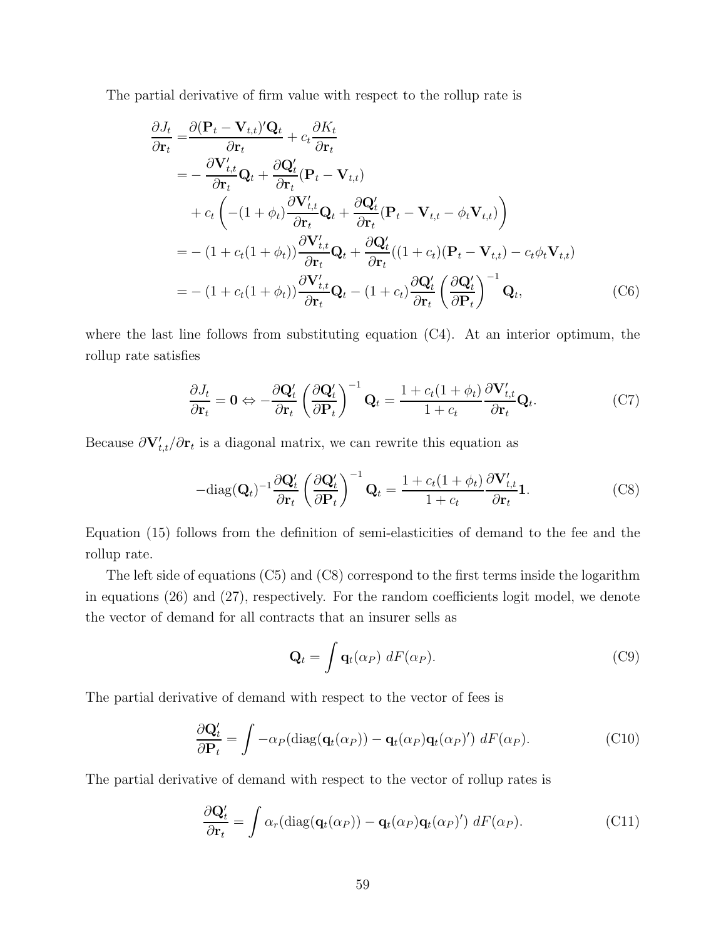The partial derivative of firm value with respect to the rollup rate is

$$
\frac{\partial J_t}{\partial \mathbf{r}_t} = \frac{\partial (\mathbf{P}_t - \mathbf{V}_{t,t})' \mathbf{Q}_t}{\partial \mathbf{r}_t} + c_t \frac{\partial K_t}{\partial \mathbf{r}_t} \n= -\frac{\partial \mathbf{V}'_{t,t}}{\partial \mathbf{r}_t} \mathbf{Q}_t + \frac{\partial \mathbf{Q}'_t}{\partial \mathbf{r}_t} (\mathbf{P}_t - \mathbf{V}_{t,t}) \n+ c_t \left( -(1 + \phi_t) \frac{\partial \mathbf{V}'_{t,t}}{\partial \mathbf{r}_t} \mathbf{Q}_t + \frac{\partial \mathbf{Q}'_t}{\partial \mathbf{r}_t} (\mathbf{P}_t - \mathbf{V}_{t,t} - \phi_t \mathbf{V}_{t,t}) \right) \n= - (1 + c_t (1 + \phi_t)) \frac{\partial \mathbf{V}'_{t,t}}{\partial \mathbf{r}_t} \mathbf{Q}_t + \frac{\partial \mathbf{Q}'_t}{\partial \mathbf{r}_t} ((1 + c_t)(\mathbf{P}_t - \mathbf{V}_{t,t}) - c_t \phi_t \mathbf{V}_{t,t}) \n= - (1 + c_t (1 + \phi_t)) \frac{\partial \mathbf{V}'_{t,t}}{\partial \mathbf{r}_t} \mathbf{Q}_t - (1 + c_t) \frac{\partial \mathbf{Q}'_t}{\partial \mathbf{r}_t} \left( \frac{\partial \mathbf{Q}'_t}{\partial \mathbf{P}_t} \right)^{-1} \mathbf{Q}_t,
$$
\n(C6)

where the last line follows from substituting equation  $(C4)$ . At an interior optimum, the rollup rate satisfies

$$
\frac{\partial J_t}{\partial \mathbf{r}_t} = \mathbf{0} \Leftrightarrow -\frac{\partial \mathbf{Q}'_t}{\partial \mathbf{r}_t} \left(\frac{\partial \mathbf{Q}'_t}{\partial \mathbf{P}_t}\right)^{-1} \mathbf{Q}_t = \frac{1 + c_t(1 + \phi_t)}{1 + c_t} \frac{\partial \mathbf{V}'_{t,t}}{\partial \mathbf{r}_t} \mathbf{Q}_t.
$$
 (C7)

Because  $\partial \mathbf{V}'_{t,t}/\partial \mathbf{r}_t$  is a diagonal matrix, we can rewrite this equation as

$$
-\text{diag}(\mathbf{Q}_t)^{-1} \frac{\partial \mathbf{Q}'_t}{\partial \mathbf{r}_t} \left(\frac{\partial \mathbf{Q}'_t}{\partial \mathbf{P}_t}\right)^{-1} \mathbf{Q}_t = \frac{1 + c_t(1 + \phi_t)}{1 + c_t} \frac{\partial \mathbf{V}'_{t,t}}{\partial \mathbf{r}_t} \mathbf{1}.
$$
 (C8)

Equation (15) follows from the definition of semi-elasticities of demand to the fee and the rollup rate.

The left side of equations (C5) and (C8) correspond to the first terms inside the logarithm in equations (26) and (27), respectively. For the random coefficients logit model, we denote the vector of demand for all contracts that an insurer sells as

$$
\mathbf{Q}_t = \int \mathbf{q}_t(\alpha_P) \, dF(\alpha_P). \tag{C9}
$$

The partial derivative of demand with respect to the vector of fees is

$$
\frac{\partial \mathbf{Q}'_t}{\partial \mathbf{P}_t} = \int -\alpha_P(\text{diag}(\mathbf{q}_t(\alpha_P)) - \mathbf{q}_t(\alpha_P)\mathbf{q}_t(\alpha_P)') dF(\alpha_P).
$$
 (C10)

The partial derivative of demand with respect to the vector of rollup rates is

$$
\frac{\partial \mathbf{Q}'_t}{\partial \mathbf{r}_t} = \int \alpha_r(\text{diag}(\mathbf{q}_t(\alpha_P)) - \mathbf{q}_t(\alpha_P)\mathbf{q}_t(\alpha_P)') dF(\alpha_P).
$$
 (C11)